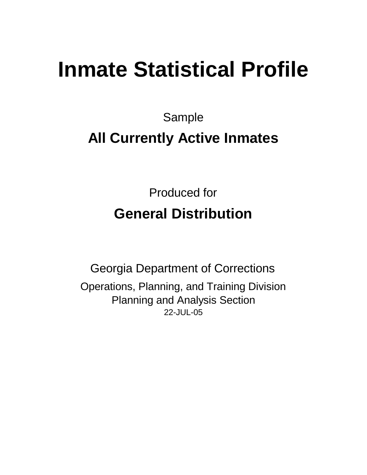# **Inmate Statistical Profile**

Sample

## **All Currently Active Inmates**

Produced for **General Distribution**

22-JUL-05 Georgia Department of Corrections Operations, Planning, and Training Division Planning and Analysis Section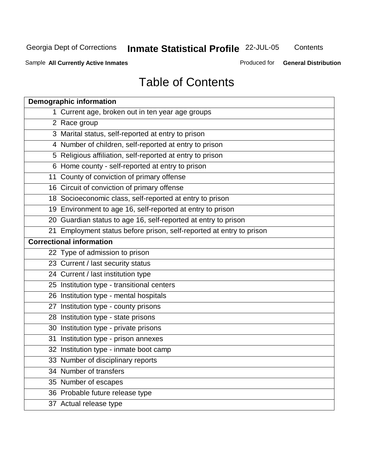Georgia Dept of Corrections 22-JUL-05 **Inmate Statistical Profile**

**Contents** 

Sample All Currently Active Inmates **All and Science Internation** Produced for **General Distribution** 

## Table of Contents

| <b>Demographic information</b>                                       |
|----------------------------------------------------------------------|
| 1 Current age, broken out in ten year age groups                     |
| 2 Race group                                                         |
| 3 Marital status, self-reported at entry to prison                   |
| 4 Number of children, self-reported at entry to prison               |
| 5 Religious affiliation, self-reported at entry to prison            |
| 6 Home county - self-reported at entry to prison                     |
| 11 County of conviction of primary offense                           |
| 16 Circuit of conviction of primary offense                          |
| 18 Socioeconomic class, self-reported at entry to prison             |
| 19 Environment to age 16, self-reported at entry to prison           |
| 20 Guardian status to age 16, self-reported at entry to prison       |
| 21 Employment status before prison, self-reported at entry to prison |
| <b>Correctional information</b>                                      |
| 22 Type of admission to prison                                       |
| 23 Current / last security status                                    |
| 24 Current / last institution type                                   |
| 25 Institution type - transitional centers                           |
| 26 Institution type - mental hospitals                               |
| 27 Institution type - county prisons                                 |
| 28 Institution type - state prisons                                  |
| 30 Institution type - private prisons                                |
| 31 Institution type - prison annexes                                 |
| 32 Institution type - inmate boot camp                               |
| 33 Number of disciplinary reports                                    |
| 34 Number of transfers                                               |
| 35 Number of escapes                                                 |
| 36 Probable future release type                                      |
| 37 Actual release type                                               |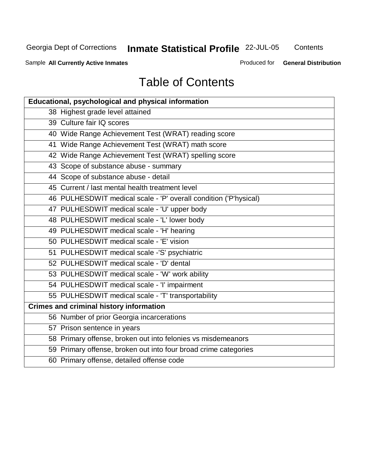Georgia Dept of Corrections 22-JUL-05 **Inmate Statistical Profile**

**Contents** 

Sample All Currently Active Inmates **All Currently Active Inmates Produced for General Distribution** 

## Table of Contents

| <b>Educational, psychological and physical information</b>       |
|------------------------------------------------------------------|
| 38 Highest grade level attained                                  |
| 39 Culture fair IQ scores                                        |
| 40 Wide Range Achievement Test (WRAT) reading score              |
| 41 Wide Range Achievement Test (WRAT) math score                 |
| 42 Wide Range Achievement Test (WRAT) spelling score             |
| 43 Scope of substance abuse - summary                            |
| 44 Scope of substance abuse - detail                             |
| 45 Current / last mental health treatment level                  |
| 46 PULHESDWIT medical scale - 'P' overall condition ('P'hysical) |
| 47 PULHESDWIT medical scale - 'U' upper body                     |
| 48 PULHESDWIT medical scale - 'L' lower body                     |
| 49 PULHESDWIT medical scale - 'H' hearing                        |
| 50 PULHESDWIT medical scale - 'E' vision                         |
| 51 PULHESDWIT medical scale -'S' psychiatric                     |
| 52 PULHESDWIT medical scale - 'D' dental                         |
| 53 PULHESDWIT medical scale - 'W' work ability                   |
| 54 PULHESDWIT medical scale - 'I' impairment                     |
| 55 PULHESDWIT medical scale - 'T' transportability               |
| <b>Crimes and criminal history information</b>                   |
| 56 Number of prior Georgia incarcerations                        |
| 57 Prison sentence in years                                      |
| 58 Primary offense, broken out into felonies vs misdemeanors     |
| 59 Primary offense, broken out into four broad crime categories  |
| 60 Primary offense, detailed offense code                        |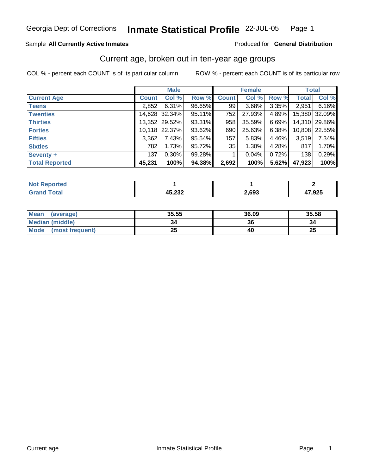## **Inmate Statistical Profile** 22-JUL-05 Page 1

### Sample All Currently Active Inmates **All Currently Active Inmates Produced for General Distribution**

## Current age, broken out in ten-year age groups

|                       |              | <b>Male</b>     |        |              | <b>Female</b> |       |              | <b>Total</b>  |  |
|-----------------------|--------------|-----------------|--------|--------------|---------------|-------|--------------|---------------|--|
| <b>Current Age</b>    | <b>Count</b> | Col %           | Row %  | <b>Count</b> | Col %         | Row % | <b>Total</b> | Col %         |  |
| <b>Teens</b>          | 2,852        | 6.31%           | 96.65% | 99           | 3.68%         | 3.35% | 2,951        | 6.16%         |  |
| <b>Twenties</b>       |              | 14,628 32.34%   | 95.11% | 752          | 27.93%        | 4.89% |              | 15,380 32.09% |  |
| <b>Thirties</b>       |              | 13,352   29.52% | 93.31% | 958          | 35.59%        | 6.69% |              | 14,310 29.86% |  |
| <b>Forties</b>        |              | 10,118 22.37%   | 93.62% | 690          | 25.63%        | 6.38% |              | 10,808 22.55% |  |
| <b>Fifties</b>        | 3,362        | 7.43%           | 95.54% | 157          | 5.83%         | 4.46% | 3,519        | 7.34%         |  |
| <b>Sixties</b>        | 782          | 1.73%           | 95.72% | 35           | 1.30%         | 4.28% | 817          | 1.70%         |  |
| Seventy +             | 137          | 0.30%           | 99.28% |              | 0.04%         | 0.72% | 138          | 0.29%         |  |
| <b>Total Reported</b> | 45,231       | 100%            | 94.38% | 2,692        | 100%          | 5.62% | 47,923       | 100%          |  |

| τeα<br><b>NO</b> |        |       |             |
|------------------|--------|-------|-------------|
|                  | 45,232 | 2,693 | המי<br>,92. |

| Mean<br>(average)              | 35.55 | 36.09 | 35.58 |
|--------------------------------|-------|-------|-------|
| <b>Median (middle)</b>         | 34    | 36    | 34    |
| <b>Mode</b><br>(most frequent) | 25    | 40    | 25    |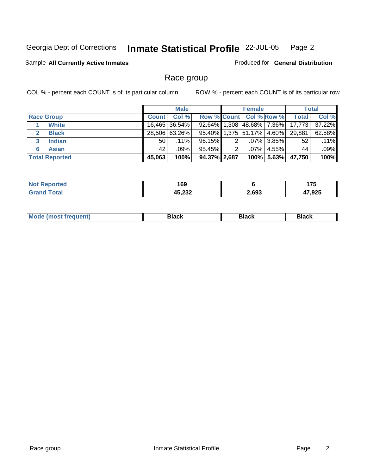## **Inmate Statistical Profile** 22-JUL-05 Page 2

## Sample All Currently Active Inmates **All Currently Active Inmates Produced for General Distribution**

## Race group

|                              |              | <b>Male</b>   |              |   | <b>Female</b>           | <b>Total</b>    |                                  |        |
|------------------------------|--------------|---------------|--------------|---|-------------------------|-----------------|----------------------------------|--------|
| <b>Race Group</b>            | <b>Count</b> | Col %         |              |   | Row % Count Col % Row % |                 | <b>Total</b>                     | Col %  |
| <b>White</b>                 |              | 16,465 36.54% |              |   |                         |                 | 92.64% 1,308 48.68% 7.36% 17,773 | 37.22% |
| <b>Black</b><br>$\mathbf{p}$ |              | 28,506 63.26% |              |   |                         |                 | 95.40% 1,375 51.17% 4.60% 29,881 | 62.58% |
| <b>Indian</b>                | 50           | .11%          | 96.15%       | 2 |                         | $.07\%$ 3.85%   | 52                               | .11%   |
| <b>Asian</b>                 | 42           | .09%          | 95.45%       | 2 |                         | $.07\%$   4.55% | 44                               | .09%   |
| <b>Total Reported</b>        | 45,063       | 100%          | 94.37% 2,687 |   |                         |                 | 100% 5.63% 47,750                | 100%   |

| 'ted<br>' NO. | 169    |       | 1 7 F  |
|---------------|--------|-------|--------|
|               | 45,232 | 2,693 | 17,925 |

| <b>Mo</b> | commercial control of the con-<br><b>Black</b><br>___ | <b>Black</b><br>___ | --<br><b>Black</b> |
|-----------|-------------------------------------------------------|---------------------|--------------------|
|           |                                                       |                     |                    |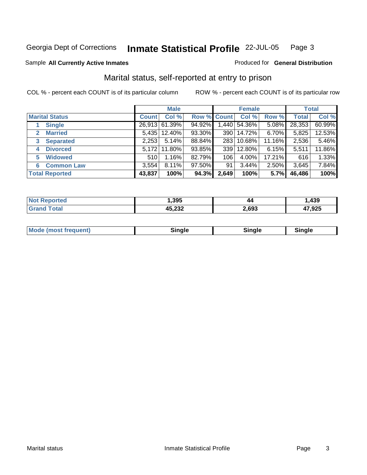### Sample All Currently Active Inmates **All Currently Active Inmates Produced for General Distribution**

## Marital status, self-reported at entry to prison

|                        |              | <b>Male</b>    |                    | <b>Female</b> |              |        | <b>Total</b> |        |
|------------------------|--------------|----------------|--------------------|---------------|--------------|--------|--------------|--------|
| <b>Marital Status</b>  | <b>Count</b> | Col %          | <b>Row % Count</b> |               | Col %        | Row %  | Total        | Col %  |
| <b>Single</b>          |              | 26,913 61.39%  | 94.92%             |               | 1,440 54.36% | 5.08%  | 28,353       | 60.99% |
| <b>Married</b><br>2    |              | 5,435   12.40% | 93.30%             |               | 390   14.72% | 6.70%  | 5,825        | 12.53% |
| <b>Separated</b><br>3  | 2,253        | 5.14%          | 88.84%             |               | 283 10.68%   | 11.16% | 2,536        | 5.46%  |
| <b>Divorced</b><br>4   | 5,172        | 11.80%         | 93.85%             | 339           | 12.80%       | 6.15%  | 5,511        | 11.86% |
| <b>Widowed</b><br>5    | 510          | 1.16%          | 82.79%             | 106           | $4.00\%$     | 17.21% | 616          | 1.33%  |
| <b>Common Law</b><br>6 | 3,554        | 8.11%          | 97.50%             | 91            | 3.44%        | 2.50%  | 3,645        | 7.84%  |
| <b>Total Reported</b>  | 43,837       | 100%           | 94.3%              | 2,649         | 100%         | 5.7%   | 46,486       | 100%   |

| NO.<br>тес. | .395   | 44    | 439  |
|-------------|--------|-------|------|
| <b>otal</b> | 45,232 | .,693 | ,925 |

| <b>Mode (most frequent)</b><br>sinale<br>----<br>---- |
|-------------------------------------------------------|
|-------------------------------------------------------|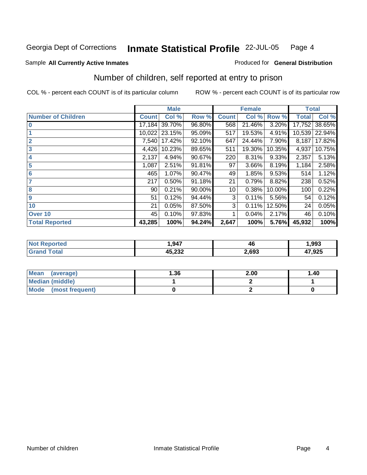## Sample All Currently Active Inmates **All Currently Active Inmates Produced for General Distribution**

## Number of children, self reported at entry to prison

|                           |              | <b>Male</b> |        | <b>Female</b> |        |        | <b>Total</b> |        |
|---------------------------|--------------|-------------|--------|---------------|--------|--------|--------------|--------|
| <b>Number of Children</b> | <b>Count</b> | Col %       | Row %  | <b>Count</b>  | Col %  | Row %  | <b>Total</b> | Col %  |
| $\bf{0}$                  | 17,184       | 39.70%      | 96.80% | 568           | 21.46% | 3.20%  | 17,752       | 38.65% |
|                           | 10,022       | 23.15%      | 95.09% | 517           | 19.53% | 4.91%  | 10,539       | 22.94% |
| $\overline{2}$            | 7,540        | 17.42%      | 92.10% | 647           | 24.44% | 7.90%  | 8,187        | 17.82% |
| $\overline{\mathbf{3}}$   | 4,426        | 10.23%      | 89.65% | 511           | 19.30% | 10.35% | 4,937        | 10.75% |
| 4                         | 2,137        | 4.94%       | 90.67% | 220           | 8.31%  | 9.33%  | 2,357        | 5.13%  |
| 5                         | 1,087        | 2.51%       | 91.81% | 97            | 3.66%  | 8.19%  | 1,184        | 2.58%  |
| $6\phantom{1}6$           | 465          | 1.07%       | 90.47% | 49            | 1.85%  | 9.53%  | 514          | 1.12%  |
| 7                         | 217          | 0.50%       | 91.18% | 21            | 0.79%  | 8.82%  | 238          | 0.52%  |
| 8                         | 90           | 0.21%       | 90.00% | 10            | 0.38%  | 10.00% | 100          | 0.22%  |
| 9                         | 51           | 0.12%       | 94.44% | 3             | 0.11%  | 5.56%  | 54           | 0.12%  |
| 10                        | 21           | 0.05%       | 87.50% | 3             | 0.11%  | 12.50% | 24           | 0.05%  |
| Over 10                   | 45           | 0.10%       | 97.83% | 1             | 0.04%  | 2.17%  | 46           | 0.10%  |
| <b>Total Reported</b>     | 43,285       | 100%        | 94.24% | 2,647         | 100%   | 5.76%  | 45,932       | 100%   |

|     | 1 Q17            | <br>46 | .993   |
|-----|------------------|--------|--------|
| uar | 15.222<br>40.LJL | 2,693  | 17,925 |

| <b>Mean</b><br>(average) | .36 | 2.00 | 1.40 |
|--------------------------|-----|------|------|
| <b>Median (middle)</b>   |     |      |      |
| Mode (most frequent)     |     |      |      |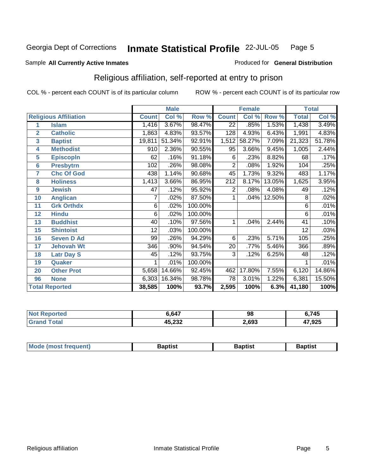### Sample All Currently Active Inmates **All Currently Active Inmates Produced for General Distribution**

## Religious affiliation, self-reported at entry to prison

|                                     |              | <b>Male</b> |         |                  | <b>Female</b> |        |                 | <b>Total</b> |
|-------------------------------------|--------------|-------------|---------|------------------|---------------|--------|-----------------|--------------|
| <b>Religious Affiliation</b>        | <b>Count</b> | Col %       | Row %   | <b>Count</b>     | Col %         | Row %  | <b>Total</b>    | Col %        |
| <b>Islam</b><br>1                   | 1,416        | 3.67%       | 98.47%  | $\overline{22}$  | .85%          | 1.53%  | 1,438           | 3.49%        |
| $\overline{2}$<br><b>Catholic</b>   | 1,863        | 4.83%       | 93.57%  | 128              | 4.93%         | 6.43%  | 1,991           | 4.83%        |
| 3<br><b>Baptist</b>                 | 19,811       | 51.34%      | 92.91%  | 1,512            | 58.27%        | 7.09%  | 21,323          | 51.78%       |
| <b>Methodist</b><br>4               | 910          | 2.36%       | 90.55%  | 95               | 3.66%         | 9.45%  | 1,005           | 2.44%        |
| 5<br><b>EpiscopIn</b>               | 62           | .16%        | 91.18%  | 6                | .23%          | 8.82%  | 68              | .17%         |
| $6\phantom{1}6$<br><b>Presbytrn</b> | 102          | .26%        | 98.08%  | 2                | .08%          | 1.92%  | 104             | .25%         |
| 7<br><b>Chc Of God</b>              | 438          | 1.14%       | 90.68%  | 45               | 1.73%         | 9.32%  | 483             | 1.17%        |
| 8<br><b>Holiness</b>                | 1,413        | 3.66%       | 86.95%  | $\overline{21}2$ | 8.17%         | 13.05% | 1,625           | 3.95%        |
| 9<br><b>Jewish</b>                  | 47           | .12%        | 95.92%  | 2                | .08%          | 4.08%  | 49              | .12%         |
| 10<br><b>Anglican</b>               |              | .02%        | 87.50%  |                  | .04%          | 12.50% | 8               | .02%         |
| 11<br><b>Grk Orthdx</b>             | 6            | .02%        | 100.00% |                  |               |        | 6               | .01%         |
| <b>Hindu</b><br>12                  | 6            | .02%        | 100.00% |                  |               |        | $\overline{6}$  | .01%         |
| <b>Buddhist</b><br>13               | 40           | .10%        | 97.56%  | 1                | .04%          | 2.44%  | 41              | .10%         |
| 15<br><b>Shintoist</b>              | 12           | .03%        | 100.00% |                  |               |        | $\overline{12}$ | .03%         |
| 16<br><b>Seven D Ad</b>             | 99           | .26%        | 94.29%  | 6                | .23%          | 5.71%  | 105             | .25%         |
| 17<br><b>Jehovah Wt</b>             | 346          | .90%        | 94.54%  | 20               | .77%          | 5.46%  | 366             | .89%         |
| 18<br><b>Latr Day S</b>             | 45           | .12%        | 93.75%  | 3                | .12%          | 6.25%  | 48              | .12%         |
| 19<br><b>Quaker</b>                 |              | .01%        | 100.00% |                  |               |        |                 | .01%         |
| <b>Other Prot</b><br>20             | 5,658        | 14.66%      | 92.45%  | 462              | 17.80%        | 7.55%  | 6,120           | 14.86%       |
| 96<br><b>None</b>                   | 6,303        | 16.34%      | 98.78%  | 78               | 3.01%         | 1.22%  | 6,381           | 15.50%       |
| <b>Total Reported</b>               | 38,585       | 100%        | 93.7%   | 2,595            | 100%          | 6.3%   | 41,180          | 100%         |

| 'ted<br>NO | 6,647          | 98    | 745    |
|------------|----------------|-------|--------|
|            | יה הי<br>∠ט.∠י | 2,693 | 47,925 |

| <b>Mo</b>   |       | ptist |
|-------------|-------|-------|
| . <b></b> . | $  -$ |       |
|             |       |       |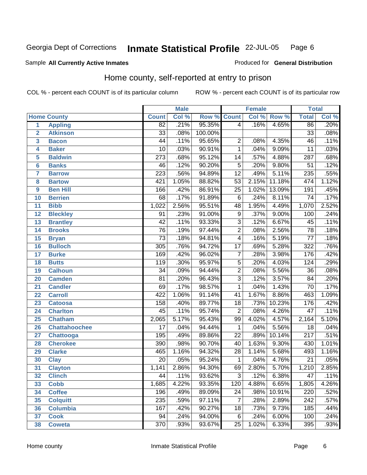### Sample All Currently Active Inmates **All and Science Interval Control Control of Ceneral Distribution**

## Home county, self-reported at entry to prison

|                |                      |                  | <b>Male</b> |         |                 | <b>Female</b> |        | <b>Total</b>     |       |
|----------------|----------------------|------------------|-------------|---------|-----------------|---------------|--------|------------------|-------|
|                | <b>Home County</b>   | <b>Count</b>     | Col %       | Row %   | <b>Count</b>    | Col %         | Row %  | <b>Total</b>     | Col % |
| $\overline{1}$ | <b>Appling</b>       | $\overline{82}$  | .21%        | 95.35%  | $\overline{4}$  | .16%          | 4.65%  | 86               | .20%  |
| $\overline{2}$ | <b>Atkinson</b>      | $\overline{33}$  | .08%        | 100.00% |                 |               |        | $\overline{33}$  | .08%  |
| 3              | <b>Bacon</b>         | 44               | .11%        | 95.65%  | $\overline{2}$  | .08%          | 4.35%  | 46               | .11%  |
| 4              | <b>Baker</b>         | $\overline{10}$  | .03%        | 90.91%  | $\overline{1}$  | .04%          | 9.09%  | $\overline{11}$  | .03%  |
| 5              | <b>Baldwin</b>       | $\overline{273}$ | .68%        | 95.12%  | $\overline{14}$ | .57%          | 4.88%  | 287              | .68%  |
| 6              | <b>Banks</b>         | 46               | .12%        | 90.20%  | $\overline{5}$  | .20%          | 9.80%  | $\overline{51}$  | .12%  |
| 7              | <b>Barrow</b>        | $\overline{223}$ | .56%        | 94.89%  | $\overline{12}$ | .49%          | 5.11%  | 235              | .55%  |
| 8              | <b>Bartow</b>        | 421              | 1.05%       | 88.82%  | $\overline{53}$ | 2.15%         | 11.18% | 474              | 1.12% |
| 9              | <b>Ben Hill</b>      | 166              | .42%        | 86.91%  | $\overline{25}$ | 1.02%         | 13.09% | 191              | .45%  |
| 10             | <b>Berrien</b>       | 68               | .17%        | 91.89%  | $\overline{6}$  | .24%          | 8.11%  | $\overline{74}$  | .17%  |
| 11             | <b>Bibb</b>          | 1,022            | 2.56%       | 95.51%  | 48              | 1.95%         | 4.49%  | 1,070            | 2.52% |
| 12             | <b>Bleckley</b>      | $\overline{91}$  | .23%        | 91.00%  | $\overline{9}$  | .37%          | 9.00%  | 100              | .24%  |
| 13             | <b>Brantley</b>      | $\overline{42}$  | .11%        | 93.33%  | $\overline{3}$  | .12%          | 6.67%  | 45               | .11%  |
| 14             | <b>Brooks</b>        | $\overline{76}$  | .19%        | 97.44%  | $\overline{2}$  | .08%          | 2.56%  | $\overline{78}$  | .18%  |
| 15             | <b>Bryan</b>         | $\overline{73}$  | .18%        | 94.81%  | $\overline{4}$  | .16%          | 5.19%  | $\overline{77}$  | .18%  |
| 16             | <b>Bulloch</b>       | $\overline{305}$ | .76%        | 94.72%  | $\overline{17}$ | .69%          | 5.28%  | 322              | .76%  |
| 17             | <b>Burke</b>         | 169              | .42%        | 96.02%  | $\overline{7}$  | .28%          | 3.98%  | 176              | .42%  |
| 18             | <b>Butts</b>         | 119              | .30%        | 95.97%  | $\overline{5}$  | .20%          | 4.03%  | 124              | .29%  |
| 19             | <b>Calhoun</b>       | 34               | .09%        | 94.44%  | $\overline{2}$  | .08%          | 5.56%  | $\overline{36}$  | .08%  |
| 20             | <b>Camden</b>        | $\overline{81}$  | .20%        | 96.43%  | $\overline{3}$  | .12%          | 3.57%  | $\overline{84}$  | .20%  |
| 21             | <b>Candler</b>       | 69               | .17%        | 98.57%  | $\overline{1}$  | .04%          | 1.43%  | 70               | .17%  |
| 22             | <b>Carroll</b>       | 422              | 1.06%       | 91.14%  | $\overline{41}$ | 1.67%         | 8.86%  | 463              | 1.09% |
| 23             | <b>Catoosa</b>       | 158              | .40%        | 89.77%  | 18              | .73%          | 10.23% | 176              | .42%  |
| 24             | <b>Charlton</b>      | $\overline{45}$  | .11%        | 95.74%  | $\overline{2}$  | .08%          | 4.26%  | $\overline{47}$  | .11%  |
| 25             | <b>Chatham</b>       | 2,065            | 5.17%       | 95.43%  | 99              | 4.02%         | 4.57%  | 2,164            | 5.10% |
| 26             | <b>Chattahoochee</b> | $\overline{17}$  | .04%        | 94.44%  | $\mathbf{1}$    | .04%          | 5.56%  | 18               | .04%  |
| 27             | <b>Chattooga</b>     | 195              | .49%        | 89.86%  | $\overline{22}$ | .89%          | 10.14% | $\overline{217}$ | .51%  |
| 28             | <b>Cherokee</b>      | 390              | .98%        | 90.70%  | $\overline{40}$ | 1.63%         | 9.30%  | 430              | 1.01% |
| 29             | <b>Clarke</b>        | 465              | 1.16%       | 94.32%  | $\overline{28}$ | 1.14%         | 5.68%  | 493              | 1.16% |
| 30             | <b>Clay</b>          | $\overline{20}$  | .05%        | 95.24%  | $\mathbf{1}$    | .04%          | 4.76%  | $\overline{21}$  | .05%  |
| 31             | <b>Clayton</b>       | 1,141            | 2.86%       | 94.30%  | 69              | 2.80%         | 5.70%  | 1,210            | 2.85% |
| 32             | <b>Clinch</b>        | 44               | .11%        | 93.62%  | 3 <sup>1</sup>  | .12%          | 6.38%  | 47               | .11%  |
| 33             | <b>Cobb</b>          | 1,685            | 4.22%       | 93.35%  | 120             | 4.88%         | 6.65%  | 1,805            | 4.26% |
| 34             | <b>Coffee</b>        | 196              | .49%        | 89.09%  | 24              | .98%          | 10.91% | 220              | .52%  |
| 35             | <b>Colquitt</b>      | 235              | .59%        | 97.11%  | 7               | .28%          | 2.89%  | 242              | .57%  |
| 36             | <b>Columbia</b>      | 167              | .42%        | 90.27%  | 18              | .73%          | 9.73%  | 185              | .44%  |
| 37             | <b>Cook</b>          | 94               | .24%        | 94.00%  | 6               | .24%          | 6.00%  | 100              | .24%  |
| 38             | <b>Coweta</b>        | $\overline{370}$ | .93%        | 93.67%  | 25              | 1.02%         | 6.33%  | 395              | .93%  |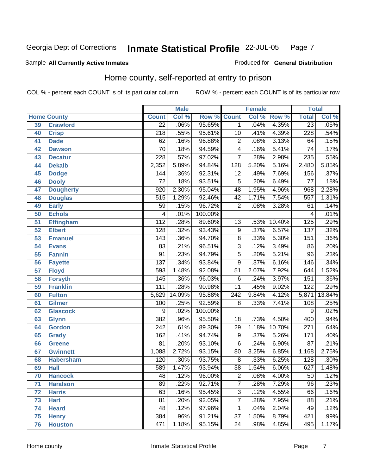### Sample All Currently Active Inmates **All Currently Active Inmates Produced for General Distribution**

## Home county, self-reported at entry to prison

|                 |                    |                  | <b>Male</b> |         |                  | <b>Female</b> |        | <b>Total</b>       |        |
|-----------------|--------------------|------------------|-------------|---------|------------------|---------------|--------|--------------------|--------|
|                 | <b>Home County</b> | <b>Count</b>     | Col %       | Row %   | <b>Count</b>     | Col %         | Row %  | <b>Total</b>       | Col %  |
| 39              | <b>Crawford</b>    | $\overline{22}$  | .06%        | 95.65%  | $\mathbf 1$      | .04%          | 4.35%  | $\overline{23}$    | .05%   |
| 40              | <b>Crisp</b>       | $\overline{218}$ | .55%        | 95.61%  | 10               | .41%          | 4.39%  | 228                | .54%   |
| 41              | <b>Dade</b>        | 62               | .16%        | 96.88%  | $\overline{2}$   | .08%          | 3.13%  | 64                 | .15%   |
| 42              | <b>Dawson</b>      | $\overline{70}$  | .18%        | 94.59%  | $\overline{4}$   | .16%          | 5.41%  | $\overline{74}$    | .17%   |
| 43              | <b>Decatur</b>     | 228              | .57%        | 97.02%  |                  | .28%          | 2.98%  | 235                | .55%   |
| 44              | <b>Dekalb</b>      | 2,352            | 5.89%       | 94.84%  | 128              | 5.20%         | 5.16%  | 2,480              | 5.85%  |
| 45              | <b>Dodge</b>       | 144              | .36%        | 92.31%  | $\overline{12}$  | .49%          | 7.69%  | 156                | .37%   |
| 46              | <b>Dooly</b>       | $\overline{72}$  | .18%        | 93.51%  | $\overline{5}$   | .20%          | 6.49%  | $\overline{77}$    | .18%   |
| 47              | <b>Dougherty</b>   | 920              | 2.30%       | 95.04%  | 48               | 1.95%         | 4.96%  | 968                | 2.28%  |
| 48              | <b>Douglas</b>     | $\overline{515}$ | 1.29%       | 92.46%  | $\overline{42}$  | 1.71%         | 7.54%  | 557                | 1.31%  |
| 49              | <b>Early</b>       | 59               | .15%        | 96.72%  | $\overline{2}$   | .08%          | 3.28%  | 61                 | .14%   |
| $\overline{50}$ | <b>Echols</b>      | 4                | .01%        | 100.00% |                  |               |        | 4                  | .01%   |
| 51              | <b>Effingham</b>   | $\overline{112}$ | .28%        | 89.60%  | $\overline{13}$  | .53%          | 10.40% | $\overline{125}$   | .29%   |
| 52              | <b>Elbert</b>      | $\overline{128}$ | .32%        | 93.43%  | $\overline{9}$   | .37%          | 6.57%  | 137                | .32%   |
| 53              | <b>Emanuel</b>     | $\overline{143}$ | .36%        | 94.70%  | $\overline{8}$   | .33%          | 5.30%  | 151                | .36%   |
| 54              | <b>Evans</b>       | $\overline{83}$  | .21%        | 96.51%  | $\overline{3}$   | .12%          | 3.49%  | 86                 | .20%   |
| 55              | <b>Fannin</b>      | $\overline{91}$  | .23%        | 94.79%  | $\overline{5}$   | .20%          | 5.21%  | $\overline{96}$    | .23%   |
| 56              | <b>Fayette</b>     | $\overline{137}$ | .34%        | 93.84%  | $\overline{9}$   | .37%          | 6.16%  | 146                | .34%   |
| 57              | <b>Floyd</b>       | 593              | 1.48%       | 92.08%  | $\overline{51}$  | 2.07%         | 7.92%  | 644                | 1.52%  |
| 58              | <b>Forsyth</b>     | 145              | .36%        | 96.03%  | $\overline{6}$   | .24%          | 3.97%  | 151                | .36%   |
| 59              | <b>Franklin</b>    | 111              | .28%        | 90.98%  | $\overline{11}$  | .45%          | 9.02%  | 122                | .29%   |
| 60              | <b>Fulton</b>      | 5,629            | 14.09%      | 95.88%  | $\overline{242}$ | 9.84%         | 4.12%  | $\overline{5,871}$ | 13.84% |
| 61              | <b>Gilmer</b>      | 100              | .25%        | 92.59%  | 8                | .33%          | 7.41%  | $\overline{108}$   | .25%   |
| 62              | <b>Glascock</b>    | 9                | .02%        | 100.00% |                  |               |        | 9                  | .02%   |
| 63              | <b>Glynn</b>       | 382              | .96%        | 95.50%  | $\overline{18}$  | .73%          | 4.50%  | 400                | .94%   |
| 64              | <b>Gordon</b>      | $\overline{242}$ | .61%        | 89.30%  | $\overline{29}$  | 1.18%         | 10.70% | $\overline{271}$   | .64%   |
| 65              | <b>Grady</b>       | 162              | .41%        | 94.74%  | 9                | .37%          | 5.26%  | 171                | .40%   |
| 66              | <b>Greene</b>      | $\overline{81}$  | .20%        | 93.10%  | $\overline{6}$   | .24%          | 6.90%  | $\overline{87}$    | .21%   |
| 67              | <b>Gwinnett</b>    | 1,088            | 2.72%       | 93.15%  | $\overline{80}$  | 3.25%         | 6.85%  | 1,168              | 2.75%  |
| 68              | <b>Habersham</b>   | 120              | .30%        | 93.75%  | 8                | .33%          | 6.25%  | 128                | .30%   |
| 69              | <b>Hall</b>        | 589              | 1.47%       | 93.94%  | $\overline{38}$  | 1.54%         | 6.06%  | 627                | 1.48%  |
| 70              | <b>Hancock</b>     | 48               | .12%        | 96.00%  | $\overline{c}$   | .08%          | 4.00%  | 50                 | .12%   |
| 71              | <b>Haralson</b>    | 89               | .22%        | 92.71%  | $\overline{7}$   | .28%          | 7.29%  | $\overline{96}$    | .23%   |
| 72              | <b>Harris</b>      | 63               | .16%        | 95.45%  | $\overline{3}$   | .12%          | 4.55%  | 66                 | .16%   |
| 73              | <b>Hart</b>        | $\overline{81}$  | .20%        | 92.05%  | $\overline{7}$   | .28%          | 7.95%  | $\overline{88}$    | .21%   |
| 74              | <b>Heard</b>       | 48               | .12%        | 97.96%  | $\mathbf{1}$     | .04%          | 2.04%  | 49                 | .12%   |
| 75              | <b>Henry</b>       | 384              | .96%        | 91.21%  | $\overline{37}$  | 1.50%         | 8.79%  | 421                | .99%   |
| 76              | <b>Houston</b>     | 471              | 1.18%       | 95.15%  | 24               | .98%          | 4.85%  | 495                | 1.17%  |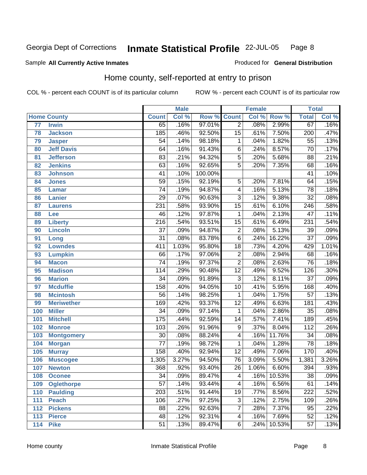### Sample All Currently Active Inmates **All and Science Interval Control Control of Ceneral Distribution**

## Home county, self-reported at entry to prison

|     |                    |                  | <b>Male</b> |         |                          | <b>Female</b> |        | <b>Total</b>     |       |
|-----|--------------------|------------------|-------------|---------|--------------------------|---------------|--------|------------------|-------|
|     | <b>Home County</b> | <b>Count</b>     | Col %       | Row %   | <b>Count</b>             | Col %         | Row %  | <b>Total</b>     | Col % |
| 77  | <b>Irwin</b>       | 65               | .16%        | 97.01%  | $\overline{2}$           | .08%          | 2.99%  | 67               | .16%  |
| 78  | <b>Jackson</b>     | 185              | .46%        | 92.50%  | $\overline{15}$          | .61%          | 7.50%  | $\overline{200}$ | .47%  |
| 79  | <b>Jasper</b>      | 54               | .14%        | 98.18%  | 1                        | .04%          | 1.82%  | $\overline{55}$  | .13%  |
| 80  | <b>Jeff Davis</b>  | 64               | .16%        | 91.43%  | $\overline{6}$           | .24%          | 8.57%  | $\overline{70}$  | .17%  |
| 81  | <b>Jefferson</b>   | 83               | .21%        | 94.32%  | $\overline{5}$           | .20%          | 5.68%  | $\overline{88}$  | .21%  |
| 82  | <b>Jenkins</b>     | 63               | .16%        | 92.65%  | $\overline{5}$           | .20%          | 7.35%  | $\overline{68}$  | .16%  |
| 83  | <b>Johnson</b>     | 41               | .10%        | 100.00% |                          |               |        | $\overline{41}$  | .10%  |
| 84  | <b>Jones</b>       | $\overline{59}$  | .15%        | 92.19%  | $\overline{5}$           | .20%          | 7.81%  | 64               | .15%  |
| 85  | <b>Lamar</b>       | $\overline{74}$  | .19%        | 94.87%  | $\overline{\mathcal{A}}$ | .16%          | 5.13%  | 78               | .18%  |
| 86  | <b>Lanier</b>      | $\overline{29}$  | .07%        | 90.63%  | $\overline{3}$           | .12%          | 9.38%  | $\overline{32}$  | .08%  |
| 87  | <b>Laurens</b>     | 231              | .58%        | 93.90%  | $\overline{15}$          | .61%          | 6.10%  | $\overline{246}$ | .58%  |
| 88  | Lee                | 46               | .12%        | 97.87%  | $\mathbf{1}$             | .04%          | 2.13%  | $\overline{47}$  | .11%  |
| 89  | <b>Liberty</b>     | $\overline{216}$ | .54%        | 93.51%  | $\overline{15}$          | .61%          | 6.49%  | 231              | .54%  |
| 90  | <b>Lincoln</b>     | $\overline{37}$  | .09%        | 94.87%  | $\overline{2}$           | .08%          | 5.13%  | $\overline{39}$  | .09%  |
| 91  | Long               | $\overline{31}$  | .08%        | 83.78%  | $\overline{6}$           | .24%          | 16.22% | $\overline{37}$  | .09%  |
| 92  | <b>Lowndes</b>     | $\overline{411}$ | 1.03%       | 95.80%  | $\overline{18}$          | .73%          | 4.20%  | 429              | 1.01% |
| 93  | <b>Lumpkin</b>     | 66               | .17%        | 97.06%  | $\overline{2}$           | .08%          | 2.94%  | 68               | .16%  |
| 94  | <b>Macon</b>       | $\overline{74}$  | .19%        | 97.37%  | $\overline{2}$           | .08%          | 2.63%  | $\overline{76}$  | .18%  |
| 95  | <b>Madison</b>     | 114              | .29%        | 90.48%  | $\overline{12}$          | .49%          | 9.52%  | 126              | .30%  |
| 96  | <b>Marion</b>      | $\overline{34}$  | .09%        | 91.89%  | $\overline{3}$           | .12%          | 8.11%  | $\overline{37}$  | .09%  |
| 97  | <b>Mcduffie</b>    | 158              | .40%        | 94.05%  | 10                       | .41%          | 5.95%  | 168              | .40%  |
| 98  | <b>Mcintosh</b>    | $\overline{56}$  | .14%        | 98.25%  | $\overline{1}$           | .04%          | 1.75%  | $\overline{57}$  | .13%  |
| 99  | <b>Meriwether</b>  | 169              | .42%        | 93.37%  | $\overline{12}$          | .49%          | 6.63%  | 181              | .43%  |
| 100 | <b>Miller</b>      | $\overline{34}$  | .09%        | 97.14%  | $\overline{1}$           | .04%          | 2.86%  | $\overline{35}$  | .08%  |
| 101 | <b>Mitchell</b>    | $\overline{175}$ | .44%        | 92.59%  | 14                       | .57%          | 7.41%  | 189              | .45%  |
| 102 | <b>Monroe</b>      | 103              | .26%        | 91.96%  | $\overline{9}$           | .37%          | 8.04%  | $\overline{112}$ | .26%  |
| 103 | <b>Montgomery</b>  | $\overline{30}$  | .08%        | 88.24%  | $\overline{4}$           | .16%          | 11.76% | $\overline{34}$  | .08%  |
| 104 | <b>Morgan</b>      | $\overline{77}$  | .19%        | 98.72%  | $\overline{1}$           | .04%          | 1.28%  | $\overline{78}$  | .18%  |
| 105 | <b>Murray</b>      | 158              | .40%        | 92.94%  | $\overline{12}$          | .49%          | 7.06%  | 170              | .40%  |
| 106 | <b>Muscogee</b>    | 1,305            | 3.27%       | 94.50%  | 76                       | 3.09%         | 5.50%  | 1,381            | 3.26% |
| 107 | <b>Newton</b>      | 368              | .92%        | 93.40%  | $\overline{26}$          | 1.06%         | 6.60%  | 394              | .93%  |
| 108 | <b>Oconee</b>      | $\overline{34}$  | .09%        | 89.47%  | 4                        | .16%          | 10.53% | 38               | .09%  |
| 109 | <b>Oglethorpe</b>  | $\overline{57}$  | .14%        | 93.44%  | $\overline{4}$           | .16%          | 6.56%  | 61               | .14%  |
| 110 | <b>Paulding</b>    | $\overline{203}$ | .51%        | 91.44%  | 19                       | .77%          | 8.56%  | 222              | .52%  |
| 111 | <b>Peach</b>       | 106              | .27%        | 97.25%  | 3                        | .12%          | 2.75%  | 109              | .26%  |
| 112 | <b>Pickens</b>     | 88               | .22%        | 92.63%  | 7                        | .28%          | 7.37%  | $\overline{95}$  | .22%  |
| 113 | <b>Pierce</b>      | 48               | .12%        | 92.31%  | 4                        | .16%          | 7.69%  | 52               | .12%  |
| 114 | <b>Pike</b>        | 51               | .13%        | 89.47%  | $\overline{6}$           | .24%          | 10.53% | 57               | .13%  |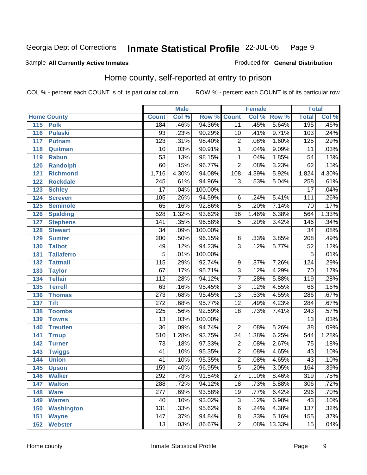### Sample All Currently Active Inmates **All and Science Interval Control Control of Ceneral Distribution**

## Home county, self-reported at entry to prison

|     |                    |                  | <b>Male</b> |         |                  | <b>Female</b> |        | <b>Total</b>     |       |
|-----|--------------------|------------------|-------------|---------|------------------|---------------|--------|------------------|-------|
|     | <b>Home County</b> | <b>Count</b>     | Col %       | Row %   | <b>Count</b>     | Col %         | Row %  | <b>Total</b>     | Col % |
| 115 | <b>Polk</b>        | 184              | .46%        | 94.36%  | 11               | .45%          | 5.64%  | 195              | .46%  |
| 116 | <b>Pulaski</b>     | 93               | .23%        | 90.29%  | 10               | .41%          | 9.71%  | 103              | .24%  |
| 117 | <b>Putnam</b>      | $\overline{123}$ | .31%        | 98.40%  | $\overline{2}$   | .08%          | 1.60%  | 125              | .29%  |
| 118 | Quitman            | 10               | .03%        | 90.91%  | $\mathbf 1$      | .04%          | 9.09%  | $\overline{11}$  | .03%  |
| 119 | <b>Rabun</b>       | $\overline{53}$  | .13%        | 98.15%  | $\overline{1}$   | .04%          | 1.85%  | $\overline{54}$  | .13%  |
| 120 | Randolph           | 60               | .15%        | 96.77%  | $\overline{2}$   | .08%          | 3.23%  | 62               | .15%  |
| 121 | <b>Richmond</b>    | 1,716            | 4.30%       | 94.08%  | $\overline{108}$ | 4.39%         | 5.92%  | 1,824            | 4.30% |
| 122 | <b>Rockdale</b>    | $\overline{245}$ | .61%        | 94.96%  | $\overline{13}$  | .53%          | 5.04%  | 258              | .61%  |
| 123 | <b>Schley</b>      | $\overline{17}$  | .04%        | 100.00% |                  |               |        | $\overline{17}$  | .04%  |
| 124 | <b>Screven</b>     | 105              | .26%        | 94.59%  | 6                | .24%          | 5.41%  | 111              | .26%  |
| 125 | <b>Seminole</b>    | 65               | .16%        | 92.86%  | $\overline{5}$   | .20%          | 7.14%  | $\overline{70}$  | .17%  |
| 126 | <b>Spalding</b>    | 528              | 1.32%       | 93.62%  | 36               | 1.46%         | 6.38%  | 564              | 1.33% |
| 127 | <b>Stephens</b>    | $\overline{141}$ | .35%        | 96.58%  | $\overline{5}$   | .20%          | 3.42%  | 146              | .34%  |
| 128 | <b>Stewart</b>     | $\overline{34}$  | .09%        | 100.00% |                  |               |        | $\overline{34}$  | .08%  |
| 129 | <b>Sumter</b>      | $\overline{200}$ | .50%        | 96.15%  | 8                | .33%          | 3.85%  | 208              | .49%  |
| 130 | <b>Talbot</b>      | 49               | .12%        | 94.23%  | $\overline{3}$   | .12%          | 5.77%  | $\overline{52}$  | .12%  |
| 131 | <b>Taliaferro</b>  | $\overline{5}$   | .01%        | 100.00% |                  |               |        | $\overline{5}$   | .01%  |
| 132 | <b>Tattnall</b>    | $\overline{115}$ | .29%        | 92.74%  | 9                | .37%          | 7.26%  | 124              | .29%  |
| 133 | <b>Taylor</b>      | 67               | .17%        | 95.71%  | $\overline{3}$   | .12%          | 4.29%  | $\overline{70}$  | .17%  |
| 134 | <b>Telfair</b>     | $\overline{112}$ | .28%        | 94.12%  | $\overline{7}$   | .28%          | 5.88%  | 119              | .28%  |
| 135 | <b>Terrell</b>     | 63               | .16%        | 95.45%  | $\overline{3}$   | .12%          | 4.55%  | 66               | .16%  |
| 136 | <b>Thomas</b>      | $\overline{273}$ | .68%        | 95.45%  | $\overline{13}$  | .53%          | 4.55%  | 286              | .67%  |
| 137 | <b>Tift</b>        | $\overline{272}$ | .68%        | 95.77%  | $\overline{12}$  | .49%          | 4.23%  | 284              | .67%  |
| 138 | <b>Toombs</b>      | $\overline{225}$ | .56%        | 92.59%  | 18               | .73%          | 7.41%  | $\overline{243}$ | .57%  |
| 139 | <b>Towns</b>       | $\overline{13}$  | .03%        | 100.00% |                  |               |        | $\overline{13}$  | .03%  |
| 140 | <b>Treutlen</b>    | $\overline{36}$  | .09%        | 94.74%  | $\overline{2}$   | .08%          | 5.26%  | $\overline{38}$  | .09%  |
| 141 | <b>Troup</b>       | 510              | 1.28%       | 93.75%  | $\overline{34}$  | 1.38%         | 6.25%  | 544              | 1.28% |
| 142 | <b>Turner</b>      | $\overline{73}$  | .18%        | 97.33%  | $\overline{2}$   | .08%          | 2.67%  | $\overline{75}$  | .18%  |
| 143 | <b>Twiggs</b>      | $\overline{41}$  | .10%        | 95.35%  | $\overline{2}$   | .08%          | 4.65%  | $\overline{43}$  | .10%  |
| 144 | <b>Union</b>       | $\overline{41}$  | .10%        | 95.35%  | $\overline{2}$   | .08%          | 4.65%  | $\overline{43}$  | .10%  |
| 145 | <b>Upson</b>       | 159              | .40%        | 96.95%  | $\overline{5}$   | .20%          | 3.05%  | 164              | .39%  |
| 146 | <b>Walker</b>      | 292              | .73%        | 91.54%  | 27               | 1.10%         | 8.46%  | 319              | .75%  |
| 147 | <b>Walton</b>      | 288              | .72%        | 94.12%  | $\overline{18}$  | .73%          | 5.88%  | 306              | .72%  |
| 148 | <b>Ware</b>        | 277              | .69%        | 93.58%  | 19               | .77%          | 6.42%  | 296              | .70%  |
| 149 | <b>Warren</b>      | 40               | .10%        | 93.02%  | $\overline{3}$   | .12%          | 6.98%  | 43               | .10%  |
| 150 | <b>Washington</b>  | 131              | .33%        | 95.62%  | 6                | .24%          | 4.38%  | 137              | .32%  |
| 151 | <b>Wayne</b>       | 147              | .37%        | 94.84%  | 8                | .33%          | 5.16%  | 155              | .37%  |
| 152 | <b>Webster</b>     | 13               | .03%        | 86.67%  | $\overline{2}$   | .08%          | 13.33% | 15               | .04%  |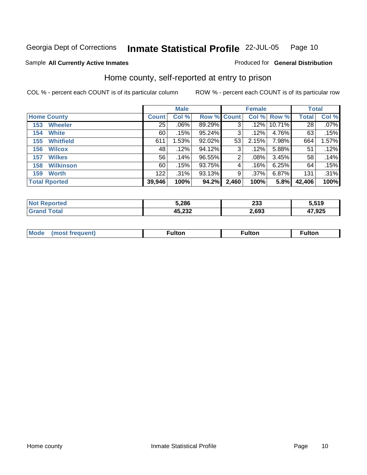### Sample All Currently Active Inmates **All and Science Interval Control Control of Ceneral Distribution**

## Home county, self-reported at entry to prison

|                         |                 | <b>Male</b> |                    |       | <b>Female</b> |          | <b>Total</b>    |         |
|-------------------------|-----------------|-------------|--------------------|-------|---------------|----------|-----------------|---------|
| <b>Home County</b>      | <b>Count</b>    | Col %       | <b>Row % Count</b> |       | Col%          | Row %    | <b>Total</b>    | Col %   |
| <b>Wheeler</b><br>153   | $\overline{25}$ | .06%        | 89.29%             | 3     | .12%          | 10.71%   | $\overline{28}$ | $.07\%$ |
| <b>White</b><br>154     | 60              | .15%        | 95.24%             | 3     | .12%          | 4.76%    | 63              | .15%    |
| <b>Whitfield</b><br>155 | 611             | 1.53%       | 92.02%             | 53    | 2.15%         | 7.98%    | 664             | 1.57%   |
| <b>Wilcox</b><br>156    | 48              | .12%        | 94.12%             | 3     | .12%          | 5.88%    | 51              | .12%    |
| <b>Wilkes</b><br>157    | 56              | .14%        | 96.55%             | 2     | .08%          | 3.45%    | 58              | .14%    |
| <b>Wilkinson</b><br>158 | 60              | .15%        | 93.75%             | 4     | .16%          | 6.25%    | 64              | .15%    |
| <b>Worth</b><br>159     | 122             | .31%        | 93.13%             | 9     | .37%          | $6.87\%$ | 131             | .31%    |
| <b>Total Rported</b>    | 39,946          | 100%        | 94.2%              | 2,460 | 100%          | 5.8%     | 42,406          | 100%    |

| eported<br><b>NO</b> | 5,286            | າາາ<br>മാ | 5,519         |
|----------------------|------------------|-----------|---------------|
| <b>Total</b>         | 15 AMA<br>49.ZJZ | 2,693     | 1700F<br>.923 |

|  | <b>Moo.</b> | ultor | ultor | . |
|--|-------------|-------|-------|---|
|--|-------------|-------|-------|---|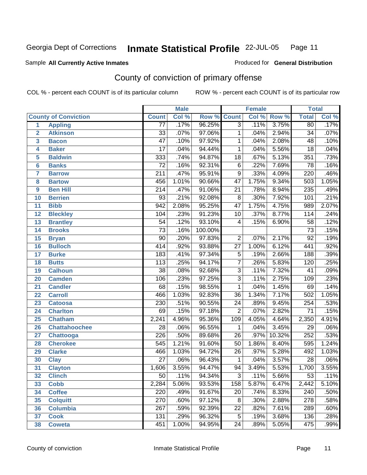## Sample All Currently Active Inmates **All Currently Active Inmates Produced for General Distribution**

## County of conviction of primary offense

|                 |                             |                  | <b>Male</b> |         |                  | <b>Female</b> |                  | <b>Total</b>     |       |
|-----------------|-----------------------------|------------------|-------------|---------|------------------|---------------|------------------|------------------|-------|
|                 | <b>County of Conviction</b> | <b>Count</b>     | Col %       | Row %   | <b>Count</b>     | Col %         | Row <sup>%</sup> | <b>Total</b>     | Col % |
| 1               | <b>Appling</b>              | $\overline{77}$  | .17%        | 96.25%  | $\overline{3}$   | .11%          | 3.75%            | 80               | .17%  |
| $\overline{2}$  | <b>Atkinson</b>             | $\overline{33}$  | .07%        | 97.06%  | $\mathbf{1}$     | .04%          | 2.94%            | $\overline{34}$  | .07%  |
| 3               | <b>Bacon</b>                | $\overline{47}$  | .10%        | 97.92%  | 1                | .04%          | 2.08%            | 48               | .10%  |
| 4               | <b>Baker</b>                | $\overline{17}$  | .04%        | 94.44%  | $\mathbf{1}$     | .04%          | 5.56%            | $\overline{18}$  | .04%  |
| 5               | <b>Baldwin</b>              | 333              | .74%        | 94.87%  | $\overline{18}$  | .67%          | 5.13%            | 351              | .73%  |
| 6               | <b>Banks</b>                | $\overline{72}$  | .16%        | 92.31%  | $\overline{6}$   | .22%          | 7.69%            | $\overline{78}$  | .16%  |
| 7               | <b>Barrow</b>               | $\overline{211}$ | .47%        | 95.91%  | $\overline{9}$   | .33%          | 4.09%            | 220              | .46%  |
| 8               | <b>Bartow</b>               | 456              | 1.01%       | 90.66%  | $\overline{47}$  | 1.75%         | 9.34%            | 503              | 1.05% |
| 9               | <b>Ben Hill</b>             | $\overline{214}$ | .47%        | 91.06%  | $\overline{21}$  | .78%          | 8.94%            | 235              | .49%  |
| 10              | <b>Berrien</b>              | 93               | .21%        | 92.08%  | 8                | .30%          | 7.92%            | 101              | .21%  |
| 11              | <b>Bibb</b>                 | 942              | 2.08%       | 95.25%  | $\overline{47}$  | 1.75%         | 4.75%            | 989              | 2.07% |
| 12              | <b>Bleckley</b>             | 104              | .23%        | 91.23%  | $\overline{10}$  | .37%          | 8.77%            | 114              | .24%  |
| 13              | <b>Brantley</b>             | $\overline{54}$  | .12%        | 93.10%  | 4                | .15%          | 6.90%            | $\overline{58}$  | .12%  |
| 14              | <b>Brooks</b>               | $\overline{73}$  | .16%        | 100.00% |                  |               |                  | $\overline{73}$  | .15%  |
| 15              | <b>Bryan</b>                | $\overline{90}$  | .20%        | 97.83%  | $\overline{2}$   | .07%          | 2.17%            | $\overline{92}$  | .19%  |
| 16              | <b>Bulloch</b>              | 414              | .92%        | 93.88%  | $\overline{27}$  | 1.00%         | 6.12%            | 441              | .92%  |
| $\overline{17}$ | <b>Burke</b>                | $\overline{183}$ | .41%        | 97.34%  | $\overline{5}$   | .19%          | 2.66%            | 188              | .39%  |
| 18              | <b>Butts</b>                | $\overline{113}$ | .25%        | 94.17%  | $\overline{7}$   | .26%          | 5.83%            | 120              | .25%  |
| 19              | <b>Calhoun</b>              | $\overline{38}$  | .08%        | 92.68%  | $\overline{3}$   | .11%          | 7.32%            | $\overline{41}$  | .09%  |
| 20              | <b>Camden</b>               | 106              | .23%        | 97.25%  | $\overline{3}$   | .11%          | 2.75%            | 109              | .23%  |
| 21              | <b>Candler</b>              | $\overline{68}$  | .15%        | 98.55%  | $\mathbf{1}$     | .04%          | 1.45%            | 69               | .14%  |
| 22              | <b>Carroll</b>              | 466              | 1.03%       | 92.83%  | $\overline{36}$  | 1.34%         | 7.17%            | 502              | 1.05% |
| 23              | <b>Catoosa</b>              | 230              | .51%        | 90.55%  | $\overline{24}$  | .89%          | 9.45%            | 254              | .53%  |
| 24              | <b>Charlton</b>             | $\overline{69}$  | .15%        | 97.18%  | $\overline{2}$   | .07%          | 2.82%            | $\overline{71}$  | .15%  |
| 25              | <b>Chatham</b>              | 2,241            | 4.96%       | 95.36%  | $\overline{109}$ | 4.05%         | 4.64%            | 2,350            | 4.91% |
| 26              | <b>Chattahoochee</b>        | $\overline{28}$  | .06%        | 96.55%  | 1                | .04%          | 3.45%            | $\overline{29}$  | .06%  |
| 27              | Chattooga                   | $\overline{226}$ | .50%        | 89.68%  | $\overline{26}$  | .97%          | 10.32%           | 252              | .53%  |
| 28              | <b>Cherokee</b>             | 545              | 1.21%       | 91.60%  | $\overline{50}$  | 1.86%         | 8.40%            | 595              | 1.24% |
| 29              | <b>Clarke</b>               | 466              | 1.03%       | 94.72%  | $\overline{26}$  | .97%          | 5.28%            | 492              | 1.03% |
| 30              | <b>Clay</b>                 | $\overline{27}$  | .06%        | 96.43%  | 1                | .04%          | 3.57%            | $\overline{28}$  | .06%  |
| 31              | <b>Clayton</b>              | 1,606            | 3.55%       | 94.47%  | 94               | 3.49%         | 5.53%            | 1,700            | 3.55% |
| 32              | <b>Clinch</b>               | 50               | .11%        | 94.34%  | 3 <sup>1</sup>   | .11%          | 5.66%            | 53               | .11%  |
| 33              | <b>Cobb</b>                 | 2,284            | 5.06%       | 93.53%  | 158              | 5.87%         | 6.47%            | 2,442            | 5.10% |
| 34              | <b>Coffee</b>               | 220              | .49%        | 91.67%  | 20               | .74%          | 8.33%            | 240              | .50%  |
| 35              | <b>Colquitt</b>             | 270              | .60%        | 97.12%  | $\overline{8}$   | .30%          | 2.88%            | $\overline{278}$ | .58%  |
| 36              | <b>Columbia</b>             | $\overline{267}$ | .59%        | 92.39%  | 22               | .82%          | 7.61%            | 289              | .60%  |
| 37              | <b>Cook</b>                 | 131              | .29%        | 96.32%  | $\overline{5}$   | .19%          | 3.68%            | 136              | .28%  |
| 38              | <b>Coweta</b>               | 451              | 1.00%       | 94.95%  | $\overline{24}$  | .89%          | 5.05%            | 475              | .99%  |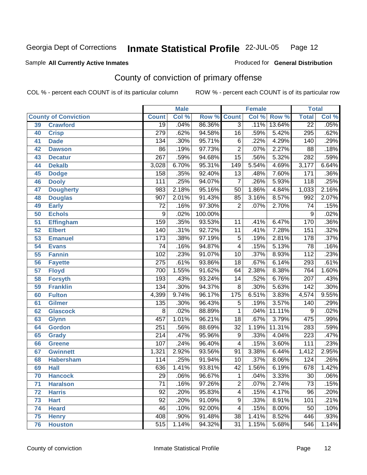## Sample All Currently Active Inmates **All Currently Active Inmates Produced for General Distribution**

## County of conviction of primary offense

|    |                             |                  | <b>Male</b> |         |                 | <b>Female</b> |        | <b>Total</b>     |       |
|----|-----------------------------|------------------|-------------|---------|-----------------|---------------|--------|------------------|-------|
|    | <b>County of Conviction</b> | <b>Count</b>     | Col %       | Row %   | <b>Count</b>    | Col %         | Row %  | <b>Total</b>     | Col % |
| 39 | <b>Crawford</b>             | $\overline{19}$  | .04%        | 86.36%  | $\overline{3}$  | .11%          | 13.64% | $\overline{22}$  | .05%  |
| 40 | <b>Crisp</b>                | $\overline{279}$ | .62%        | 94.58%  | 16              | .59%          | 5.42%  | 295              | .62%  |
| 41 | <b>Dade</b>                 | 134              | .30%        | 95.71%  | $\overline{6}$  | .22%          | 4.29%  | 140              | .29%  |
| 42 | <b>Dawson</b>               | 86               | .19%        | 97.73%  | $\overline{2}$  | .07%          | 2.27%  | 88               | .18%  |
| 43 | <b>Decatur</b>              | $\overline{267}$ | .59%        | 94.68%  | $\overline{15}$ | .56%          | 5.32%  | 282              | .59%  |
| 44 | <b>Dekalb</b>               | 3,028            | 6.70%       | 95.31%  | 149             | 5.54%         | 4.69%  | 3,177            | 6.64% |
| 45 | <b>Dodge</b>                | 158              | .35%        | 92.40%  | $\overline{13}$ | .48%          | 7.60%  | 171              | .36%  |
| 46 | <b>Dooly</b>                | 111              | .25%        | 94.07%  | $\overline{7}$  | .26%          | 5.93%  | $\overline{118}$ | .25%  |
| 47 | <b>Dougherty</b>            | 983              | 2.18%       | 95.16%  | $\overline{50}$ | 1.86%         | 4.84%  | 1,033            | 2.16% |
| 48 | <b>Douglas</b>              | 907              | 2.01%       | 91.43%  | 85              | 3.16%         | 8.57%  | 992              | 2.07% |
| 49 | <b>Early</b>                | $\overline{72}$  | .16%        | 97.30%  | $\overline{2}$  | .07%          | 2.70%  | $\overline{74}$  | .15%  |
| 50 | <b>Echols</b>               | 9                | .02%        | 100.00% |                 |               |        | 9                | .02%  |
| 51 | <b>Effingham</b>            | 159              | .35%        | 93.53%  | $\overline{11}$ | .41%          | 6.47%  | 170              | .36%  |
| 52 | <b>Elbert</b>               | 140              | .31%        | 92.72%  | 11              | .41%          | 7.28%  | 151              | .32%  |
| 53 | <b>Emanuel</b>              | 173              | .38%        | 97.19%  | $\overline{5}$  | .19%          | 2.81%  | $\overline{178}$ | .37%  |
| 54 | <b>Evans</b>                | $\overline{74}$  | .16%        | 94.87%  | 4               | .15%          | 5.13%  | $\overline{78}$  | .16%  |
| 55 | <b>Fannin</b>               | 102              | .23%        | 91.07%  | 10              | .37%          | 8.93%  | $\overline{112}$ | .23%  |
| 56 | <b>Fayette</b>              | $\overline{275}$ | .61%        | 93.86%  | 18              | .67%          | 6.14%  | 293              | .61%  |
| 57 | <b>Floyd</b>                | 700              | 1.55%       | 91.62%  | 64              | 2.38%         | 8.38%  | 764              | 1.60% |
| 58 | <b>Forsyth</b>              | 193              | .43%        | 93.24%  | 14              | .52%          | 6.76%  | 207              | .43%  |
| 59 | <b>Franklin</b>             | 134              | .30%        | 94.37%  | $\overline{8}$  | .30%          | 5.63%  | $\overline{142}$ | .30%  |
| 60 | <b>Fulton</b>               | 4,399            | 9.74%       | 96.17%  | 175             | 6.51%         | 3.83%  | 4,574            | 9.55% |
| 61 | Gilmer                      | 135              | .30%        | 96.43%  | $\overline{5}$  | .19%          | 3.57%  | 140              | .29%  |
| 62 | <b>Glascock</b>             | 8                | .02%        | 88.89%  | 1               | .04%          | 11.11% | 9                | .02%  |
| 63 | <b>Glynn</b>                | 457              | 1.01%       | 96.21%  | $\overline{18}$ | .67%          | 3.79%  | 475              | .99%  |
| 64 | <b>Gordon</b>               | 251              | .56%        | 88.69%  | $\overline{32}$ | 1.19%         | 11.31% | 283              | .59%  |
| 65 | <b>Grady</b>                | $\overline{214}$ | .47%        | 95.96%  | $\overline{9}$  | .33%          | 4.04%  | 223              | .47%  |
| 66 | <b>Greene</b>               | 107              | .24%        | 96.40%  | 4               | .15%          | 3.60%  | $\overline{111}$ | .23%  |
| 67 | <b>Gwinnett</b>             | 1,321            | 2.92%       | 93.56%  | $\overline{91}$ | 3.38%         | 6.44%  | 1,412            | 2.95% |
| 68 | <b>Habersham</b>            | 114              | .25%        | 91.94%  | 10              | .37%          | 8.06%  | 124              | .26%  |
| 69 | <b>Hall</b>                 | 636              | 1.41%       | 93.81%  | 42              | 1.56%         | 6.19%  | 678              | 1.42% |
| 70 | <b>Hancock</b>              | 29               | .06%        | 96.67%  | 1               | .04%          | 3.33%  | 30               | .06%  |
| 71 | <b>Haralson</b>             | $\overline{71}$  | .16%        | 97.26%  | $\overline{2}$  | .07%          | 2.74%  | $\overline{73}$  | .15%  |
| 72 | <b>Harris</b>               | 92               | .20%        | 95.83%  | 4               | .15%          | 4.17%  | 96               | .20%  |
| 73 | <b>Hart</b>                 | $\overline{92}$  | .20%        | 91.09%  | 9               | .33%          | 8.91%  | 101              | .21%  |
| 74 | <b>Heard</b>                | 46               | .10%        | 92.00%  | 4               | .15%          | 8.00%  | 50               | .10%  |
| 75 | <b>Henry</b>                | 408              | .90%        | 91.48%  | 38              | 1.41%         | 8.52%  | 446              | .93%  |
| 76 | <b>Houston</b>              | $\overline{515}$ | 1.14%       | 94.32%  | 31              | 1.15%         | 5.68%  | 546              | 1.14% |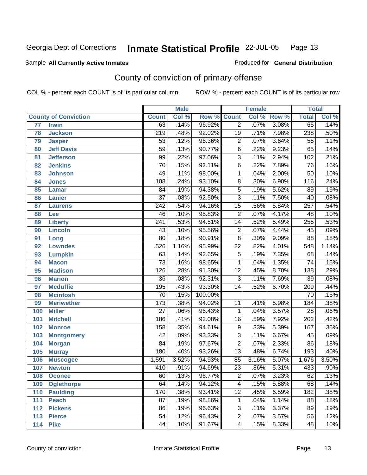## Sample All Currently Active Inmates **All Currently Active Inmates Produced for General Distribution**

## County of conviction of primary offense

|     |                             |                  | <b>Male</b> |         |                         | <b>Female</b> |       | <b>Total</b>     |       |
|-----|-----------------------------|------------------|-------------|---------|-------------------------|---------------|-------|------------------|-------|
|     | <b>County of Conviction</b> | <b>Count</b>     | Col %       | Row %   | <b>Count</b>            | Col %         | Row % | <b>Total</b>     | Col % |
| 77  | <b>Irwin</b>                | 63               | .14%        | 96.92%  | $\overline{2}$          | .07%          | 3.08% | 65               | .14%  |
| 78  | <b>Jackson</b>              | $\overline{219}$ | .48%        | 92.02%  | $\overline{19}$         | .71%          | 7.98% | 238              | .50%  |
| 79  | <b>Jasper</b>               | $\overline{53}$  | .12%        | 96.36%  | $\overline{2}$          | .07%          | 3.64% | $\overline{55}$  | .11%  |
| 80  | <b>Jeff Davis</b>           | $\overline{59}$  | .13%        | 90.77%  | $\overline{6}$          | .22%          | 9.23% | 65               | .14%  |
| 81  | <b>Jefferson</b>            | 99               | .22%        | 97.06%  | $\overline{3}$          | .11%          | 2.94% | 102              | .21%  |
| 82  | <b>Jenkins</b>              | $\overline{70}$  | .15%        | 92.11%  | $\overline{6}$          | .22%          | 7.89% | 76               | .16%  |
| 83  | <b>Johnson</b>              | 49               | .11%        | 98.00%  | $\overline{1}$          | .04%          | 2.00% | $\overline{50}$  | .10%  |
| 84  | <b>Jones</b>                | 108              | .24%        | 93.10%  | $\overline{8}$          | .30%          | 6.90% | 116              | .24%  |
| 85  | <b>Lamar</b>                | $\overline{84}$  | .19%        | 94.38%  | $\overline{5}$          | .19%          | 5.62% | $\overline{89}$  | .19%  |
| 86  | <b>Lanier</b>               | $\overline{37}$  | .08%        | 92.50%  | $\overline{3}$          | .11%          | 7.50% | 40               | .08%  |
| 87  | <b>Laurens</b>              | $\overline{242}$ | .54%        | 94.16%  | $\overline{15}$         | .56%          | 5.84% | $\overline{257}$ | .54%  |
| 88  | Lee                         | 46               | .10%        | 95.83%  | $\overline{2}$          | .07%          | 4.17% | $\overline{48}$  | .10%  |
| 89  | <b>Liberty</b>              | 241              | .53%        | 94.51%  | $\overline{14}$         | .52%          | 5.49% | 255              | .53%  |
| 90  | <b>Lincoln</b>              | 43               | .10%        | 95.56%  | $\overline{2}$          | .07%          | 4.44% | 45               | .09%  |
| 91  | Long                        | $\overline{80}$  | .18%        | 90.91%  | $\overline{8}$          | .30%          | 9.09% | $\overline{88}$  | .18%  |
| 92  | <b>Lowndes</b>              | 526              | 1.16%       | 95.99%  | $\overline{22}$         | .82%          | 4.01% | 548              | 1.14% |
| 93  | <b>Lumpkin</b>              | 63               | .14%        | 92.65%  | $\overline{5}$          | .19%          | 7.35% | 68               | .14%  |
| 94  | <b>Macon</b>                | $\overline{73}$  | .16%        | 98.65%  | 1                       | .04%          | 1.35% | $\overline{74}$  | .15%  |
| 95  | <b>Madison</b>              | 126              | .28%        | 91.30%  | $\overline{12}$         | .45%          | 8.70% | 138              | .29%  |
| 96  | <b>Marion</b>               | $\overline{36}$  | .08%        | 92.31%  | $\overline{3}$          | .11%          | 7.69% | $\overline{39}$  | .08%  |
| 97  | <b>Mcduffie</b>             | 195              | .43%        | 93.30%  | $\overline{14}$         | .52%          | 6.70% | 209              | .44%  |
| 98  | <b>Mcintosh</b>             | $\overline{70}$  | .15%        | 100.00% |                         |               |       | 70               | .15%  |
| 99  | <b>Meriwether</b>           | $\overline{173}$ | .38%        | 94.02%  | $\overline{11}$         | .41%          | 5.98% | 184              | .38%  |
| 100 | <b>Miller</b>               | $\overline{27}$  | .06%        | 96.43%  | $\mathbf{1}$            | .04%          | 3.57% | $\overline{28}$  | .06%  |
| 101 | <b>Mitchell</b>             | 186              | .41%        | 92.08%  | $\overline{16}$         | .59%          | 7.92% | $\overline{202}$ | .42%  |
| 102 | <b>Monroe</b>               | 158              | .35%        | 94.61%  | $\overline{9}$          | .33%          | 5.39% | 167              | .35%  |
| 103 | <b>Montgomery</b>           | $\overline{42}$  | .09%        | 93.33%  | $\overline{3}$          | .11%          | 6.67% | 45               | .09%  |
| 104 | <b>Morgan</b>               | $\overline{84}$  | .19%        | 97.67%  | $\overline{2}$          | .07%          | 2.33% | $\overline{86}$  | .18%  |
| 105 | <b>Murray</b>               | 180              | .40%        | 93.26%  | $\overline{13}$         | .48%          | 6.74% | 193              | .40%  |
| 106 | <b>Muscogee</b>             | 1,591            | 3.52%       | 94.93%  | 85                      | 3.16%         | 5.07% | 1,676            | 3.50% |
| 107 | <b>Newton</b>               | 410              | .91%        | 94.69%  | $\overline{23}$         | .86%          | 5.31% | 433              | .90%  |
| 108 | <b>Oconee</b>               | 60               | .13%        | 96.77%  | $\overline{\mathbf{c}}$ | .07%          | 3.23% | 62               | .13%  |
| 109 | <b>Oglethorpe</b>           | 64               | .14%        | 94.12%  | $\overline{\mathbf{4}}$ | .15%          | 5.88% | 68               | .14%  |
| 110 | <b>Paulding</b>             | 170              | .38%        | 93.41%  | $\overline{12}$         | .45%          | 6.59% | 182              | .38%  |
| 111 | <b>Peach</b>                | $\overline{87}$  | .19%        | 98.86%  | 1                       | .04%          | 1.14% | 88               | .18%  |
| 112 | <b>Pickens</b>              | 86               | .19%        | 96.63%  | 3                       | .11%          | 3.37% | 89               | .19%  |
| 113 | <b>Pierce</b>               | 54               | .12%        | 96.43%  | $\overline{2}$          | .07%          | 3.57% | 56               | .12%  |
| 114 | <b>Pike</b>                 | 44               | .10%        | 91.67%  | 4                       | .15%          | 8.33% | 48               | .10%  |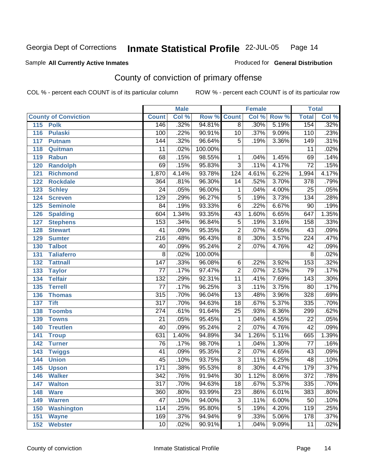### Sample All Currently Active Inmates **All and Science Interval Control Control of Ceneral Distribution**

## County of conviction of primary offense

|     |                             |                  | <b>Male</b> |         |                 | <b>Female</b> |       | <b>Total</b>     |       |
|-----|-----------------------------|------------------|-------------|---------|-----------------|---------------|-------|------------------|-------|
|     | <b>County of Conviction</b> | <b>Count</b>     | Col %       | Row %   | <b>Count</b>    | Col %         | Row % | <b>Total</b>     | Col % |
| 115 | <b>Polk</b>                 | 146              | .32%        | 94.81%  | $\overline{8}$  | .30%          | 5.19% | 154              | .32%  |
| 116 | <b>Pulaski</b>              | 100              | .22%        | 90.91%  | 10              | .37%          | 9.09% | 110              | .23%  |
| 117 | <b>Putnam</b>               | 144              | .32%        | 96.64%  | $\overline{5}$  | .19%          | 3.36% | 149              | .31%  |
| 118 | Quitman                     | $\overline{11}$  | .02%        | 100.00% |                 |               |       | $\overline{11}$  | .02%  |
| 119 | <b>Rabun</b>                | $\overline{68}$  | .15%        | 98.55%  | $\mathbf{1}$    | .04%          | 1.45% | 69               | .14%  |
| 120 | <b>Randolph</b>             | 69               | .15%        | 95.83%  | $\overline{3}$  | .11%          | 4.17% | $\overline{72}$  | .15%  |
| 121 | <b>Richmond</b>             | 1,870            | 4.14%       | 93.78%  | 124             | 4.61%         | 6.22% | 1,994            | 4.17% |
| 122 | <b>Rockdale</b>             | $\overline{364}$ | .81%        | 96.30%  | 14              | .52%          | 3.70% | 378              | .79%  |
| 123 | <b>Schley</b>               | $\overline{24}$  | .05%        | 96.00%  | 1               | .04%          | 4.00% | $\overline{25}$  | .05%  |
| 124 | <b>Screven</b>              | $\overline{129}$ | .29%        | 96.27%  | $\overline{5}$  | .19%          | 3.73% | 134              | .28%  |
| 125 | <b>Seminole</b>             | $\overline{84}$  | .19%        | 93.33%  | $\overline{6}$  | .22%          | 6.67% | $\overline{90}$  | .19%  |
| 126 | <b>Spalding</b>             | 604              | 1.34%       | 93.35%  | 43              | 1.60%         | 6.65% | 647              | 1.35% |
| 127 | <b>Stephens</b>             | 153              | .34%        | 96.84%  | $\overline{5}$  | .19%          | 3.16% | 158              | .33%  |
| 128 | <b>Stewart</b>              | $\overline{41}$  | .09%        | 95.35%  | $\overline{2}$  | .07%          | 4.65% | 43               | .09%  |
| 129 | <b>Sumter</b>               | $\overline{216}$ | .48%        | 96.43%  | $\overline{8}$  | .30%          | 3.57% | 224              | .47%  |
| 130 | <b>Talbot</b>               | $\overline{40}$  | .09%        | 95.24%  | $\overline{2}$  | .07%          | 4.76% | $\overline{42}$  | .09%  |
| 131 | <b>Taliaferro</b>           | $\overline{8}$   | .02%        | 100.00% |                 |               |       | $\overline{8}$   | .02%  |
| 132 | <b>Tattnall</b>             | $\overline{147}$ | .33%        | 96.08%  | 6               | .22%          | 3.92% | 153              | .32%  |
| 133 | <b>Taylor</b>               | $\overline{77}$  | .17%        | 97.47%  | $\overline{2}$  | .07%          | 2.53% | $\overline{79}$  | .17%  |
| 134 | <b>Telfair</b>              | 132              | .29%        | 92.31%  | $\overline{11}$ | .41%          | 7.69% | $\overline{143}$ | .30%  |
| 135 | <b>Terrell</b>              | $\overline{77}$  | .17%        | 96.25%  | $\overline{3}$  | .11%          | 3.75% | $\overline{80}$  | .17%  |
| 136 | <b>Thomas</b>               | $\overline{315}$ | .70%        | 96.04%  | $\overline{13}$ | .48%          | 3.96% | $\overline{328}$ | .69%  |
| 137 | <b>Tift</b>                 | $\overline{317}$ | .70%        | 94.63%  | $\overline{18}$ | .67%          | 5.37% | $\frac{1}{335}$  | .70%  |
| 138 | <b>Toombs</b>               | $\overline{274}$ | .61%        | 91.64%  | $\overline{25}$ | .93%          | 8.36% | 299              | .62%  |
| 139 | <b>Towns</b>                | $\overline{21}$  | .05%        | 95.45%  | $\mathbf{1}$    | .04%          | 4.55% | $\overline{22}$  | .05%  |
| 140 | <b>Treutlen</b>             | $\overline{40}$  | .09%        | 95.24%  | $\overline{2}$  | .07%          | 4.76% | $\overline{42}$  | .09%  |
| 141 | <b>Troup</b>                | 631              | 1.40%       | 94.89%  | $\overline{34}$ | 1.26%         | 5.11% | 665              | 1.39% |
| 142 | <b>Turner</b>               | $\overline{76}$  | .17%        | 98.70%  | $\mathbf 1$     | .04%          | 1.30% | $\overline{77}$  | .16%  |
| 143 | <b>Twiggs</b>               | $\overline{41}$  | .09%        | 95.35%  | $\overline{2}$  | .07%          | 4.65% | $\overline{43}$  | .09%  |
| 144 | <b>Union</b>                | $\overline{45}$  | .10%        | 93.75%  | $\overline{3}$  | .11%          | 6.25% | 48               | .10%  |
| 145 | <b>Upson</b>                | 171              | .38%        | 95.53%  | $\overline{8}$  | .30%          | 4.47% | 179              | .37%  |
| 146 | <b>Walker</b>               | 342              | .76%        | 91.94%  | 30              | 1.12%         | 8.06% | 372              | .78%  |
| 147 | <b>Walton</b>               | $\overline{317}$ | .70%        | 94.63%  | $\overline{18}$ | .67%          | 5.37% | 335              | .70%  |
| 148 | <b>Ware</b>                 | 360              | .80%        | 93.99%  | $\overline{23}$ | .86%          | 6.01% | 383              | .80%  |
| 149 | <b>Warren</b>               | $\overline{47}$  | .10%        | 94.00%  | $\overline{3}$  | .11%          | 6.00% | $\overline{50}$  | .10%  |
| 150 | <b>Washington</b>           | 114              | .25%        | 95.80%  | $\overline{5}$  | .19%          | 4.20% | 119              | .25%  |
| 151 | <b>Wayne</b>                | 169              | .37%        | 94.94%  | $\overline{9}$  | .33%          | 5.06% | 178              | .37%  |
| 152 | <b>Webster</b>              | 10               | .02%        | 90.91%  | 1               | .04%          | 9.09% | 11               | .02%  |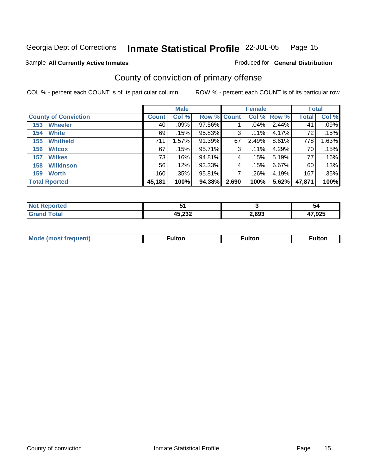### Sample All Currently Active Inmates **All and Science Interval Control Control of Ceneral Distribution**

## County of conviction of primary offense

|                             |              | <b>Male</b> |             |       | <b>Female</b> |          | <b>Total</b> |       |
|-----------------------------|--------------|-------------|-------------|-------|---------------|----------|--------------|-------|
| <b>County of Conviction</b> | <b>Count</b> | Col %       | Row % Count |       | Col %         | Row %    | <b>Total</b> | Col % |
| <b>Wheeler</b><br>153       | 40           | .09%        | 97.56%      |       | .04%          | 2.44%    | 41           | .09%  |
| <b>White</b><br>154         | 69           | .15%        | 95.83%      | 3     | .11%          | 4.17%    | 72           | .15%  |
| <b>Whitfield</b><br>155     | 711          | 1.57%       | 91.39%      | 67    | 2.49%         | 8.61%    | 778          | 1.63% |
| <b>Wilcox</b><br>156        | 67           | .15%        | 95.71%      | 3     | .11%          | 4.29%    | 70           | .15%  |
| <b>Wilkes</b><br>157        | 73           | .16%        | 94.81%      | 4     | .15%          | 5.19%    | 77           | .16%  |
| <b>Wilkinson</b><br>158     | 56           | .12%        | 93.33%      | 4     | .15%          | $6.67\%$ | 60           | .13%  |
| <b>Worth</b><br>159         | 160          | .35%        | 95.81%      | 7     | .26%          | 4.19%    | 167          | .35%  |
| <b>Total Rported</b>        | 45,181       | 100%        | 94.38%      | 2,690 | 100%          | 5.62%    | 47,871       | 100%  |

| <b>Not Reported</b>  |                  |       | יכ     |
|----------------------|------------------|-------|--------|
| <b>Total</b><br>Grar | 15 722<br>43.ZJZ | 2,693 | 47,925 |

| <b>Mode (most frequent)</b> | <sup>∓</sup> ulton | ≂ulton | ≂ulton |
|-----------------------------|--------------------|--------|--------|
|                             |                    |        |        |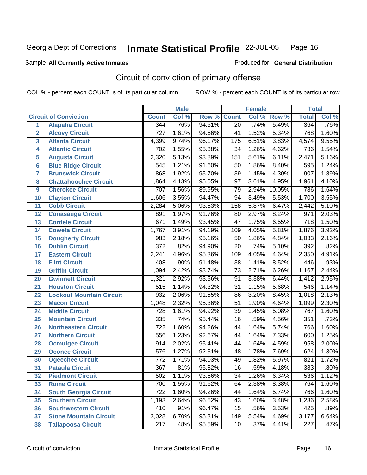## Sample All Currently Active Inmates **All Currently Active Inmates Produced for General Distribution**

## Circuit of conviction of primary offense

|                  |                                 |                  | <b>Male</b> |        |                   | <b>Female</b> |        | <b>Total</b>     |       |
|------------------|---------------------------------|------------------|-------------|--------|-------------------|---------------|--------|------------------|-------|
|                  | <b>Circuit of Conviction</b>    | <b>Count</b>     | Col %       | Row %  | <b>Count</b>      | Col %         | Row %  | <b>Total</b>     | Col % |
| 1                | <b>Alapaha Circuit</b>          | 344              | .76%        | 94.51% | $\overline{20}$   | .74%          | 5.49%  | 364              | .76%  |
| $\overline{2}$   | <b>Alcovy Circuit</b>           | $\overline{727}$ | 1.61%       | 94.66% | 41                | 1.52%         | 5.34%  | 768              | 1.60% |
| 3                | <b>Atlanta Circuit</b>          | 4,399            | 9.74%       | 96.17% | 175               | 6.51%         | 3.83%  | 4,574            | 9.55% |
| 4                | <b>Atlantic Circuit</b>         | $\overline{702}$ | 1.55%       | 95.38% | $\overline{34}$   | 1.26%         | 4.62%  | 736              | 1.54% |
| 5                | <b>Augusta Circuit</b>          | 2,320            | 5.13%       | 93.89% | 151               | 5.61%         | 6.11%  | 2,471            | 5.16% |
| 6                | <b>Blue Ridge Circuit</b>       | 545              | 1.21%       | 91.60% | 50                | 1.86%         | 8.40%  | 595              | 1.24% |
| 7                | <b>Brunswick Circuit</b>        | 868              | 1.92%       | 95.70% | 39                | 1.45%         | 4.30%  | 907              | 1.89% |
| 8                | <b>Chattahoochee Circuit</b>    | 1,864            | 4.13%       | 95.05% | $\overline{97}$   | 3.61%         | 4.95%  | 1,961            | 4.10% |
| $\boldsymbol{9}$ | <b>Cherokee Circuit</b>         | 707              | 1.56%       | 89.95% | 79                | 2.94%         | 10.05% | 786              | 1.64% |
| 10               | <b>Clayton Circuit</b>          | 1,606            | 3.55%       | 94.47% | 94                | 3.49%         | 5.53%  | 1,700            | 3.55% |
| 11               | <b>Cobb Circuit</b>             | 2,284            | 5.06%       | 93.53% | 158               | 5.87%         | 6.47%  | 2,442            | 5.10% |
| 12               | <b>Conasauga Circuit</b>        | 891              | 1.97%       | 91.76% | $\overline{80}$   | 2.97%         | 8.24%  | $\overline{971}$ | 2.03% |
| 13               | <b>Cordele Circuit</b>          | 671              | 1.49%       | 93.45% | $\overline{47}$   | 1.75%         | 6.55%  | $\overline{718}$ | 1.50% |
| 14               | <b>Coweta Circuit</b>           | 1,767            | 3.91%       | 94.19% | 109               | 4.05%         | 5.81%  | 1,876            | 3.92% |
| 15               | <b>Dougherty Circuit</b>        | 983              | 2.18%       | 95.16% | 50                | 1.86%         | 4.84%  | 1,033            | 2.16% |
| 16               | <b>Dublin Circuit</b>           | $\overline{372}$ | .82%        | 94.90% | $\overline{20}$   | .74%          | 5.10%  | 392              | .82%  |
| 17               | <b>Eastern Circuit</b>          | 2,241            | 4.96%       | 95.36% | 109               | 4.05%         | 4.64%  | 2,350            | 4.91% |
| 18               | <b>Flint Circuit</b>            | 408              | .90%        | 91.48% | $\overline{38}$   | 1.41%         | 8.52%  | 446              | .93%  |
| 19               | <b>Griffin Circuit</b>          | 1,094            | 2.42%       | 93.74% | $\overline{73}$   | 2.71%         | 6.26%  | 1,167            | 2.44% |
| 20               | <b>Gwinnett Circuit</b>         | 1,321            | 2.92%       | 93.56% | $\overline{91}$   | 3.38%         | 6.44%  | 1,412            | 2.95% |
| 21               | <b>Houston Circuit</b>          | 515              | 1.14%       | 94.32% | $\overline{31}$   | 1.15%         | 5.68%  | 546              | 1.14% |
| 22               | <b>Lookout Mountain Circuit</b> | 932              | 2.06%       | 91.55% | 86                | 3.20%         | 8.45%  | 1,018            | 2.13% |
| 23               | <b>Macon Circuit</b>            | 1,048            | 2.32%       | 95.36% | 51                | 1.90%         | 4.64%  | 1,099            | 2.30% |
| 24               | <b>Middle Circuit</b>           | $\overline{728}$ | 1.61%       | 94.92% | $\overline{39}$   | 1.45%         | 5.08%  | 767              | 1.60% |
| 25               | <b>Mountain Circuit</b>         | 335              | .74%        | 95.44% | 16                | .59%          | 4.56%  | 351              | .73%  |
| 26               | <b>Northeastern Circuit</b>     | $\overline{722}$ | 1.60%       | 94.26% | 44                | 1.64%         | 5.74%  | 766              | 1.60% |
| 27               | <b>Northern Circuit</b>         | 556              | 1.23%       | 92.67% | 44                | 1.64%         | 7.33%  | 600              | 1.25% |
| 28               | <b>Ocmulgee Circuit</b>         | $\overline{914}$ | 2.02%       | 95.41% | 44                | 1.64%         | 4.59%  | 958              | 2.00% |
| 29               | <b>Oconee Circuit</b>           | $\overline{576}$ | 1.27%       | 92.31% | 48                | 1.78%         | 7.69%  | 624              | 1.30% |
| 30               | <b>Ogeechee Circuit</b>         | 772              | 1.71%       | 94.03% | 49                | 1.82%         | 5.97%  | 821              | 1.72% |
| 31               | <b>Pataula Circuit</b>          | 367              | .81%        | 95.82% | 16                | .59%          | 4.18%  | 383              | .80%  |
| 32               | <b>Piedmont Circuit</b>         | 502              | 1.11%       | 93.66% | $\overline{34}$   | 1.26%         | 6.34%  | 536              | 1.12% |
| 33               | <b>Rome Circuit</b>             | 700              | 1.55%       | 91.62% | 64                | 2.38%         | 8.38%  | 764              | 1.60% |
| 34               | <b>South Georgia Circuit</b>    | 722              | 1.60%       | 94.26% | 44                | 1.64%         | 5.74%  | 766              | 1.60% |
| 35               | <b>Southern Circuit</b>         | 1,193            | 2.64%       | 96.52% | 43                | 1.60%         | 3.48%  | 1,236            | 2.58% |
| 36               | <b>Southwestern Circuit</b>     | 410              | .91%        | 96.47% | 15                | .56%          | 3.53%  | 425              | .89%  |
| 37               | <b>Stone Mountain Circuit</b>   | 3,028            | 6.70%       | 95.31% | $\overline{1}$ 49 | 5.54%         | 4.69%  | 3,177            | 6.64% |
| 38               | <b>Tallapoosa Circuit</b>       | 217              | .48%        | 95.59% | 10                | .37%          | 4.41%  | 227              | .47%  |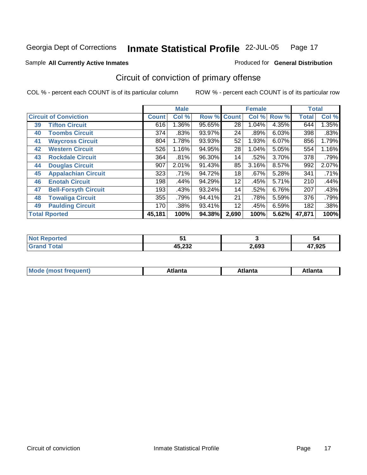### Sample All Currently Active Inmates **All and Science Interval Control Control of Ceneral Distribution**

## Circuit of conviction of primary offense

|    |                              |              | <b>Male</b> |        |              | <b>Female</b> |       | <b>Total</b> |       |
|----|------------------------------|--------------|-------------|--------|--------------|---------------|-------|--------------|-------|
|    | <b>Circuit of Conviction</b> | <b>Count</b> | Col %       | Row %  | <b>Count</b> | Col %         | Row % | <b>Total</b> | Col % |
| 39 | <b>Tifton Circuit</b>        | 616          | 1.36%       | 95.65% | 28           | 1.04%         | 4.35% | 644          | 1.35% |
| 40 | <b>Toombs Circuit</b>        | 374          | .83%        | 93.97% | 24           | .89%          | 6.03% | 398          | .83%  |
| 41 | <b>Waycross Circuit</b>      | 804          | 1.78%       | 93.93% | 52           | 1.93%         | 6.07% | 856          | 1.79% |
| 42 | <b>Western Circuit</b>       | 526          | 1.16%       | 94.95% | 28           | 1.04%         | 5.05% | 554          | 1.16% |
| 43 | <b>Rockdale Circuit</b>      | 364          | .81%        | 96.30% | 14           | .52%          | 3.70% | 378          | .79%  |
| 44 | <b>Douglas Circuit</b>       | 907          | 2.01%       | 91.43% | 85           | 3.16%         | 8.57% | 992          | 2.07% |
| 45 | <b>Appalachian Circuit</b>   | 323          | .71%        | 94.72% | 18           | .67%          | 5.28% | 341          | .71%  |
| 46 | <b>Enotah Circuit</b>        | 198          | .44%        | 94.29% | 12           | .45%          | 5.71% | 210          | .44%  |
| 47 | <b>Bell-Forsyth Circuit</b>  | 193          | .43%        | 93.24% | 14           | .52%          | 6.76% | 207          | .43%  |
| 48 | <b>Towaliga Circuit</b>      | 355          | .79%        | 94.41% | 21           | .78%          | 5.59% | 376          | .79%  |
| 49 | <b>Paulding Circuit</b>      | 170          | .38%        | 93.41% | 12           | .45%          | 6.59% | 182          | .38%  |
|    | <b>Total Rported</b>         | 45,181       | 100%        | 94.38% | 2,690        | 100%          | 5.62% | 47,871       | 100%  |

| <b>Alax</b><br>المتمتلك للمناسب<br>m.<br>ter. |                  |       | 54     |
|-----------------------------------------------|------------------|-------|--------|
| Tatal                                         | 15.000<br>4J.LJZ | 2,693 | 47,925 |

|  | $\sim$ m $\times$<br>m. |  |  |  |
|--|-------------------------|--|--|--|
|--|-------------------------|--|--|--|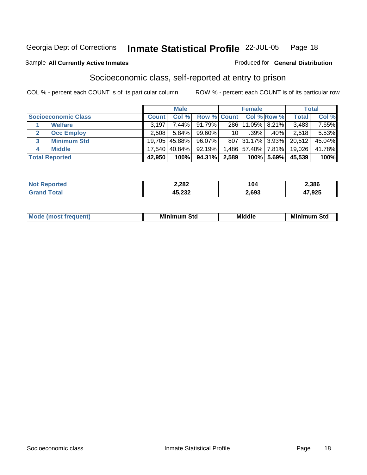### Sample All Currently Active Inmates **All Currently Active Inmates Produced for General Distribution**

## Socioeconomic class, self-reported at entry to prison

|                            |              | <b>Male</b>     |                    |       | <b>Female</b> |                |        | <b>Total</b> |
|----------------------------|--------------|-----------------|--------------------|-------|---------------|----------------|--------|--------------|
| <b>Socioeconomic Class</b> | <b>Count</b> | Col %           | <b>Row % Count</b> |       |               | Col % Row %    | Total  | Col %        |
| <b>Welfare</b>             | 3.197        | $7.44\%$        | 91.79%             |       | 286 11.05%    | $ 8.21\% $     | 3,483  | $7.65\%$     |
| <b>Occ Employ</b>          | 2.508        | $5.84\%$        | 99.60%             | 10 l  | $.39\%$       | $.40\%$        | 2.518  | 5.53%        |
| <b>Minimum Std</b><br>3    |              | 19,705   45.88% | 96.07%             |       | 807 31.17%    | $3.93\%$       | 20,512 | 45.04%       |
| <b>Middle</b><br>4         |              | 17,540   40.84% | 92.19%             |       | 1,486 57.40%  | 7.81% <b> </b> | 19,026 | 41.78%       |
| <b>Total Reported</b>      | 42.950       | 100%            | 94.31%             | 2,589 | 100%          | 5.69%l         | 45,539 | 100%         |

| 2,282  | 104   | .,386 |
|--------|-------|-------|
| ההה הו | 2.693 | 7,925 |

|  | <b>COLOR</b><br>Mc | Mi<br>Std<br>- - - - | .<br>Mır<br>aic | Mir<br>Std<br>- - - - |
|--|--------------------|----------------------|-----------------|-----------------------|
|--|--------------------|----------------------|-----------------|-----------------------|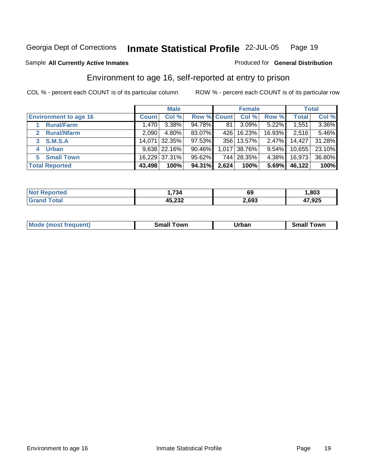### Sample All Currently Active Inmates **All Currently Active Inmates Produced for General Distribution**

## Environment to age 16, self-reported at entry to prison

|                                   | <b>Male</b>  |                  |                    |       | <b>Female</b> | <b>Total</b> |        |        |
|-----------------------------------|--------------|------------------|--------------------|-------|---------------|--------------|--------|--------|
| <b>Environment to age 16</b>      | <b>Count</b> | Col %            | <b>Row % Count</b> |       | Col %         | Row %        | Total  | Col %  |
| <b>Rural/Farm</b>                 | 1.470        | $3.38\%$         | 94.78%             | 81    | $3.09\%$      | 5.22%        | 1,551  | 3.36%  |
| <b>Rural/Nfarm</b><br>$2^{\circ}$ | 2.0901       | $4.80\%$         | 83.07%             | 426   | $16.23\%$     | 16.93%       | 2,516  | 5.46%  |
| 3 S.M.S.A                         |              | 14,071 32.35%    | 97.53%             | 356   | 13.57%        | 2.47%        | 14,427 | 31.28% |
| <b>Urban</b><br>4                 |              | $9,638$   22.16% | 90.46%             |       | 1,017 38.76%  | $9.54\%$     | 10,655 | 23.10% |
| <b>Small Town</b><br>5            |              | 16,229 37.31%    | 95.62%             |       | 744 28.35%    | 4.38%        | 16,973 | 36.80% |
| <b>Total Reported</b>             | 43,498       | 100%             | 94.31%             | 2,624 | 100%          | 5.69%        | 46,122 | 100%   |

| <b>Not Reported</b> | 1,734  | 69    | ,803   |
|---------------------|--------|-------|--------|
| <b>Grand Total</b>  | 45,232 | 2,693 | 47,925 |

| Mc | own | -----<br>_____ | owr. |
|----|-----|----------------|------|
|    |     |                |      |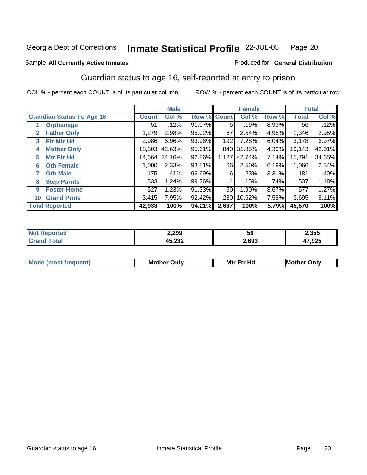### Sample All Currently Active Inmates **All Currently Active Inmates Produced for General Distribution**

## Guardian status to age 16, self-reported at entry to prison

|                                    | <b>Male</b>  |        |        | <b>Female</b> |        |       | <b>Total</b> |        |
|------------------------------------|--------------|--------|--------|---------------|--------|-------|--------------|--------|
| <b>Guardian Status To Age 16</b>   | <b>Count</b> | Col %  | Row %  | <b>Count</b>  | Col %  | Row % | <b>Total</b> | Col %  |
| <b>Orphanage</b>                   | 51           | .12%   | 91.07% | 5.            | .19%   | 8.93% | 56           | .12%   |
| <b>Father Only</b><br>$\mathbf{2}$ | 1,279        | 2.98%  | 95.02% | 67            | 2.54%  | 4.98% | 1,346        | 2.95%  |
| <b>Ftr Mtr Hd</b><br>3             | 2,986        | 6.96%  | 93.96% | 192           | 7.28%  | 6.04% | 3,178        | 6.97%  |
| <b>Mother Only</b><br>4            | 18,303       | 42.63% | 95.61% | 840           | 31.85% | 4.39% | 19,143       | 42.01% |
| <b>Mtr Ftr Hd</b><br>5             | 14,664       | 34.16% | 92.86% | 1,127         | 42.74% | 7.14% | 15,791       | 34.65% |
| <b>Oth Female</b><br>6             | 1,000        | 2.33%  | 93.81% | 66            | 2.50%  | 6.19% | 1,066        | 2.34%  |
| <b>Oth Male</b><br>7               | 175          | .41%   | 96.69% | 6             | .23%   | 3.31% | 181          | .40%   |
| <b>Step-Parnts</b><br>8            | 533          | 1.24%  | 99.26% | 4             | .15%   | .74%  | 537          | 1.18%  |
| <b>Foster Home</b><br>9            | 527          | 1.23%  | 91.33% | 50            | 1.90%  | 8.67% | 577          | 1.27%  |
| <b>Grand Prnts</b><br>10           | 3,415        | 7.95%  | 92.42% | 280           | 10.62% | 7.58% | 3,695        | 8.11%  |
| <b>Total Reported</b>              | 42,933       | 100%   | 94.21% | 2,637         | 100%   | 5.79% | 45,570       | 100%   |

| <b>Not Reported</b> | 2,299  | 56    | 2,355  |
|---------------------|--------|-------|--------|
| Total               | 45,232 | 2,693 | 47,925 |

| <b>Mode</b><br>nst frequent) | Mother<br>Only | <b>Ftr Hd</b><br>Mtr<br>the contract of the contract of the contract of the contract of the contract of the contract of the contract of | Onlv<br>Mother ۲. |
|------------------------------|----------------|-----------------------------------------------------------------------------------------------------------------------------------------|-------------------|
|                              |                |                                                                                                                                         |                   |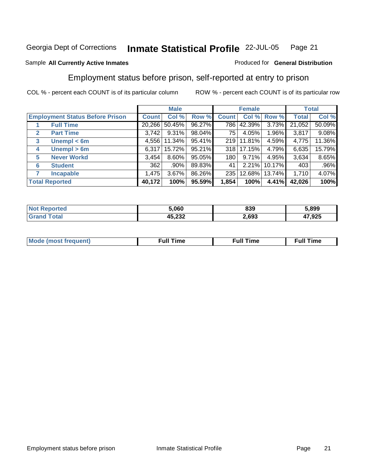## Sample All Currently Active Inmates **All Currently Active Inmates Produced for General Distribution**

## Employment status before prison, self-reported at entry to prison

|                                        | <b>Male</b>        |          |           | <b>Female</b> |          |             | <b>Total</b> |         |
|----------------------------------------|--------------------|----------|-----------|---------------|----------|-------------|--------------|---------|
| <b>Employment Status Before Prison</b> | Count <sup>'</sup> | Col %    | Row %     | <b>Count</b>  |          | Col % Row % | <b>Total</b> | Col %   |
| <b>Full Time</b>                       | 20,266             | 50.45%   | 96.27%    | 786           | 42.39%   | 3.73%       | 21,052       | 50.09%  |
| <b>Part Time</b><br>$\mathbf{2}$       | 3,742              | 9.31%    | $98.04\%$ | 75            | 4.05%    | 1.96%       | 3,817        | 9.08%   |
| Unempl $<$ 6m<br>$\mathbf{3}$          | 4.556              | 11.34%   | $95.41\%$ | 219           | 11.81%   | 4.59%       | 4,775        | 11.36%  |
| Unempl > 6m<br>4                       | 6.317              | 15.72%   | 95.21%    | 318           | 17.15%   | 4.79%       | 6,635        | 15.79%  |
| <b>Never Workd</b><br>5                | 3,454              | $8.60\%$ | 95.05%    | 180           | 9.71%    | 4.95%       | 3,634        | 8.65%   |
| <b>Student</b><br>6                    | 362                | .90%     | 89.83%    | 41            | $2.21\%$ | 10.17%      | 403          | $.96\%$ |
| <b>Incapable</b><br>7                  | 1,475              | 3.67%    | 86.26%    | 235           | 12.68%   | 13.74%      | 1,710        | 4.07%   |
| <b>Total Reported</b>                  | 40,172             | 100%     | 95.59%    | 1,854         | 100%     | 4.41%       | 42,026       | 100%    |

|    | 5.060            | 839   | 5.899 |
|----|------------------|-------|-------|
| aı | オト つつつ<br>40.ZJZ | 2,693 | .925  |

| <b>Mo</b> | ™⊾ | ----<br>ıme | `ime<br>uı |
|-----------|----|-------------|------------|
|           |    |             |            |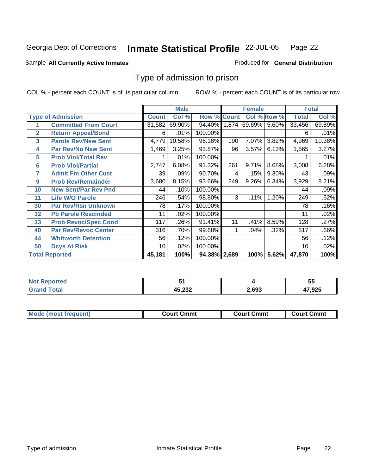## **Inmate Statistical Profile** 22-JUL-05 Page 22

## Sample All Currently Active Inmates **All Currently Active Inmates Produced for General Distribution**

## Type of admission to prison

|                |                             |              | <b>Male</b> |                    | <b>Female</b> |        |             | <b>Total</b> |        |
|----------------|-----------------------------|--------------|-------------|--------------------|---------------|--------|-------------|--------------|--------|
|                | <b>Type of Admission</b>    | <b>Count</b> | Col %       | <b>Row % Count</b> |               |        | Col % Row % | <b>Total</b> | Col %  |
|                | <b>Committed From Court</b> | 31,582       | 69.90%      | 94.40% 1,874       |               | 69.69% | 5.60%       | 33,456       | 69.89% |
| $\overline{2}$ | <b>Return Appeal/Bond</b>   | 6            | .01%        | 100.00%            |               |        |             | 6            | .01%   |
| 3              | <b>Parole Rev/New Sent</b>  | 4,779        | 10.58%      | 96.18%             | 190           | 7.07%  | 3.82%       | 4,969        | 10.38% |
| 4              | <b>Par Rev/No New Sent</b>  | 1,469        | 3.25%       | 93.87%             | 96            | 3.57%  | 6.13%       | 1,565        | 3.27%  |
| 5              | <b>Prob Viol/Total Rev</b>  |              | .01%        | 100.00%            |               |        |             |              | .01%   |
| 6              | <b>Prob Viol/Partial</b>    | 2,747        | 6.08%       | 91.32%             | 261           | 9.71%  | 8.68%       | 3,008        | 6.28%  |
| 7              | <b>Admit Fm Other Cust</b>  | 39           | .09%        | 90.70%             | 4             | .15%   | 9.30%       | 43           | .09%   |
| 9              | <b>Prob Rev/Remainder</b>   | 3,680        | 8.15%       | 93.66%             | 249           | 9.26%  | 6.34%       | 3,929        | 8.21%  |
| 10             | <b>New Sent/Par Rev Pnd</b> | 44           | .10%        | 100.00%            |               |        |             | 44           | .09%   |
| 11             | <b>Life W/O Parole</b>      | 246          | .54%        | 98.80%             | 3             | .11%   | 1.20%       | 249          | .52%   |
| 30             | <b>Par Rev/Rsn Unknown</b>  | 78           | .17%        | 100.00%            |               |        |             | 78           | .16%   |
| 32             | <b>Pb Parole Rescinded</b>  | 11           | .02%        | 100.00%            |               |        |             | 11           | .02%   |
| 33             | <b>Prob Revoc/Spec Cond</b> | 117          | .26%        | 91.41%             | 11            | .41%   | 8.59%       | 128          | .27%   |
| 40             | <b>Par Rev/Revoc Center</b> | 316          | .70%        | 99.68%             |               | .04%   | .32%        | 317          | .66%   |
| 44             | <b>Whitworth Detention</b>  | 56           | .12%        | 100.00%            |               |        |             | 56           | .12%   |
| 50             | <b>Dcys At Risk</b>         | 10           | .02%        | 100.00%            |               |        |             | 10           | .02%   |
|                | <b>Total Reported</b>       | 45,181       | 100%        | 94.38% 2,689       |               | 100%   | 5.62%       | 47,870       | 100%   |

|                         |                | --<br>. .<br>JJ |
|-------------------------|----------------|-----------------|
| AE 727<br>NJ.ZJZ<br>___ | <b>692</b><br> | אמה דו<br>,923  |

| <b>Mode (most frequent)</b><br><b>Court Cmmt</b> | <b>Court Cmmt</b> | <b>Court Cmmt</b> |
|--------------------------------------------------|-------------------|-------------------|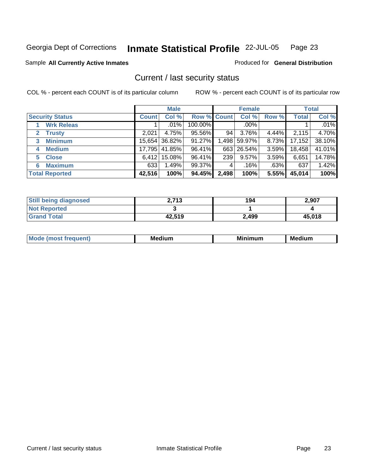## **Inmate Statistical Profile** 22-JUL-05 Page 23

## Sample All Currently Active Inmates **All Currently Active Inmates Produced for General Distribution**

## Current / last security status

|                              | <b>Male</b>  |               |                    | <b>Female</b> |              |          | <b>Total</b> |         |
|------------------------------|--------------|---------------|--------------------|---------------|--------------|----------|--------------|---------|
| <b>Security Status</b>       | <b>Count</b> | Col %         | <b>Row % Count</b> |               | Col %        | Row %    | Total        | Col %   |
| <b>Wrk Releas</b>            |              | $.01\%$       | 100.00%            |               | $.00\%$      |          |              | $.01\%$ |
| <b>Trusty</b><br>$2^{\circ}$ | 2.021        | 4.75%         | 95.56%             | 94            | 3.76%        | 4.44%    | 2,115        | 4.70%   |
| <b>Minimum</b><br>3          |              | 15,654 36.82% | 91.27%             |               | 1,498 59.97% | $8.73\%$ | 17,152       | 38.10%  |
| <b>Medium</b><br>4           |              | 17,795 41.85% | 96.41%             |               | 663 26.54%   | 3.59%    | 18,458       | 41.01%  |
| <b>Close</b><br>5            | 6,412        | 15.08%        | 96.41%             | 239           | $9.57\%$     | 3.59%    | 6,651        | 14.78%  |
| <b>Maximum</b><br>6          | 633          | 1.49%         | 99.37%             |               | .16%         | .63%     | 637          | 1.42%   |
| <b>Total Reported</b>        | 42,516       | 100%          | 94.45%             | 2,498         | 100%         | 5.55%    | 45,014       | 100%    |

| <b>Still being diagnosed</b> | 2,713  | 194   | 2,907  |
|------------------------------|--------|-------|--------|
| <b>Not Reported</b>          |        |       |        |
| <b>Grand Total</b>           | 42.519 | 2.499 | 45,018 |

| M. | м.<br>----- | M<br>. | --<br>.<br>Мe |
|----|-------------|--------|---------------|
|    |             |        |               |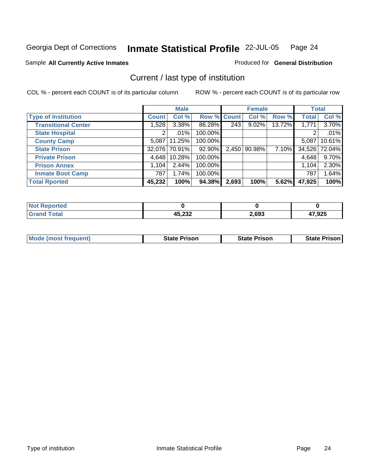## Sample All Currently Active Inmates **All Currently Active Inmates Produced for General Distribution**

## Current / last type of institution

|                            |              | <b>Male</b> |             |       | <b>Female</b>  |        |              | <b>Total</b> |
|----------------------------|--------------|-------------|-------------|-------|----------------|--------|--------------|--------------|
| <b>Type of Institution</b> | <b>Count</b> | Col %       | Row % Count |       | Col %          | Row %  | <b>Total</b> | Col %        |
| <b>Transitional Center</b> | 1.528        | $3.38\%$    | 86.28%      | 243   | 9.02%          | 13.72% | 1,771        | 3.70%        |
| <b>State Hospital</b>      | 2            | .01%        | 100.00%     |       |                |        | 2            | .01%         |
| <b>County Camp</b>         | 5.087        | 11.25%      | 100.00%     |       |                |        | 5.087        | 10.61%       |
| <b>State Prison</b>        | 32,076       | 70.91%      | 92.90%      |       | 2,450   90.98% | 7.10%  | 34,526       | 72.04%       |
| <b>Private Prison</b>      | 4.648        | 10.28%      | 100.00%     |       |                |        | 4,648        | 9.70%        |
| <b>Prison Annex</b>        | 1.104        | 2.44%       | 100.00%     |       |                |        | 1,104        | 2.30%        |
| <b>Inmate Boot Camp</b>    | 787          | 1.74%       | 100.00%     |       |                |        | 787          | 1.64%        |
| <b>Total Rported</b>       | 45,232       | 100%        | 94.38%      | 2,693 | 100%           | 5.62%  | 47,925       | 100%         |

| eported<br>NO. |        |       |        |
|----------------|--------|-------|--------|
|                | 45,232 | 2,693 | 47,925 |

| <b>Mode (most frequent)</b> | <b>State Prison</b> | <b>State Prison</b> | State<br>⊦Prison I |
|-----------------------------|---------------------|---------------------|--------------------|
|                             |                     |                     |                    |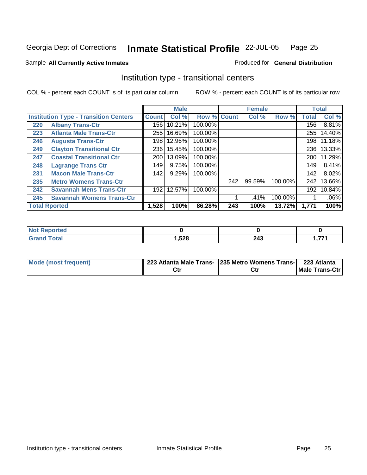## Sample All Currently Active Inmates **All Currently Active Inmates Produced for General Distribution**

## Institution type - transitional centers

|     |                                              |              | <b>Male</b> | <b>Female</b>      |     | <b>Total</b> |         |                  |         |
|-----|----------------------------------------------|--------------|-------------|--------------------|-----|--------------|---------|------------------|---------|
|     | <b>Institution Type - Transition Centers</b> | <b>Count</b> | Col %       | <b>Row % Count</b> |     | Col%         | Row %   | Total            | Col %   |
| 220 | <b>Albany Trans-Ctr</b>                      | 156          | 10.21%      | 100.00%            |     |              |         | 156              | 8.81%   |
| 223 | <b>Atlanta Male Trans-Ctr</b>                | 255          | 16.69%      | 100.00%            |     |              |         | 255              | 14.40%  |
| 246 | <b>Augusta Trans-Ctr</b>                     | 198          | 12.96%      | 100.00%            |     |              |         | 198              | 11.18%  |
| 249 | <b>Clayton Transitional Ctr</b>              | 236          | 15.45%      | 100.00%            |     |              |         | 236              | 13.33%  |
| 247 | <b>Coastal Transitional Ctr</b>              | 200          | 13.09%      | 100.00%            |     |              |         | 200 <sub>1</sub> | 11.29%  |
| 248 | <b>Lagrange Trans Ctr</b>                    | 149          | 9.75%       | 100.00%            |     |              |         | 149              | 8.41%   |
| 231 | <b>Macon Male Trans-Ctr</b>                  | 142          | 9.29%       | 100.00%            |     |              |         | 142              | 8.02%   |
| 235 | <b>Metro Womens Trans-Ctr</b>                |              |             |                    | 242 | 99.59%       | 100.00% | 242              | 13.66%  |
| 242 | <b>Savannah Mens Trans-Ctr</b>               | 192          | 12.57%      | 100.00%            |     |              |         | 192              | 10.84%  |
| 245 | <b>Savannah Womens Trans-Ctr</b>             |              |             |                    |     | .41%         | 100.00% |                  | $.06\%$ |
|     | <b>Total Rported</b>                         | 1,528        | 100%        | 86.28%             | 243 | 100%         | 13.72%  | 1,771            | 100%    |

| <b>INTER</b><br>المتصافين بمر<br>rreo<br>'N ( |      |               |              |
|-----------------------------------------------|------|---------------|--------------|
| <b>Total</b>                                  | ,528 | 243<br>$\sim$ | --<br>1,77 L |

| Mode (most frequent) | 223 Atlanta Male Trans- 235 Metro Womens Trans- 223 Atlanta |                          |
|----------------------|-------------------------------------------------------------|--------------------------|
|                      | Ctr                                                         | <b>IMale Trans-Ctril</b> |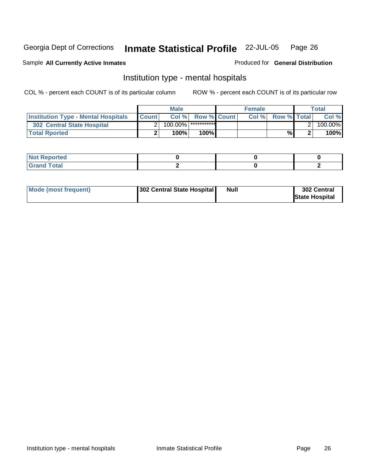### Sample All Currently Active Inmates **All Currently Active Inmates Produced for General Distribution**

## Institution type - mental hospitals

|                                            | <b>Male</b>  |            | <b>Female</b>            |  |      | <b>Total</b>       |  |         |
|--------------------------------------------|--------------|------------|--------------------------|--|------|--------------------|--|---------|
| <b>Institution Type - Mental Hospitals</b> | <b>Count</b> |            | <b>Col % Row % Count</b> |  | Col% | <b>Row % Total</b> |  | Col %   |
| <b>302 Central State Hospital</b>          |              | $100.00\%$ | <b>************</b>      |  |      |                    |  | 100.00% |
| <b>Total Rported</b>                       |              | 100%       | 100%                     |  |      | %                  |  | 100%    |

| ιeα<br>. . |  |  |
|------------|--|--|
| --<br>---  |  |  |

| Mode (most frequent) | [302 Central State Hospital] | <b>Null</b> | 302 Central           |
|----------------------|------------------------------|-------------|-----------------------|
|                      |                              |             | <b>State Hospital</b> |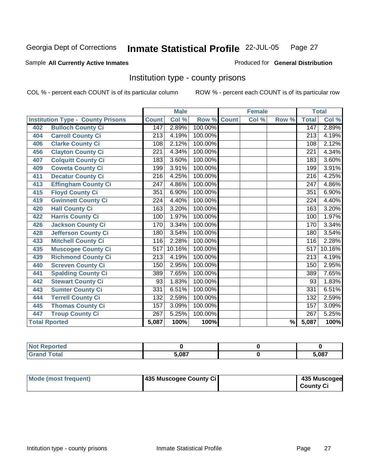### Sample All Currently Active Inmates **All and Science Interval Control Control of Ceneral Distribution**

## Institution type - county prisons

|                                          |                  | <b>Male</b> |         |              | <b>Female</b> |       |                  | <b>Total</b> |
|------------------------------------------|------------------|-------------|---------|--------------|---------------|-------|------------------|--------------|
| <b>Institution Type - County Prisons</b> | <b>Count</b>     | Col %       | Row %   | <b>Count</b> | Col %         | Row % | <b>Total</b>     | Col %        |
| <b>Bulloch County Ci</b><br>402          | 147              | 2.89%       | 100.00% |              |               |       | 147              | 2.89%        |
| <b>Carroll County Ci</b><br>404          | $\overline{213}$ | 4.19%       | 100.00% |              |               |       | $\overline{213}$ | 4.19%        |
| <b>Clarke County Ci</b><br>406           | 108              | 2.12%       | 100.00% |              |               |       | 108              | 2.12%        |
| <b>Clayton County Ci</b><br>456          | 221              | 4.34%       | 100.00% |              |               |       | 221              | 4.34%        |
| <b>Colquitt County Ci</b><br>407         | 183              | 3.60%       | 100.00% |              |               |       | 183              | 3.60%        |
| <b>Coweta County Ci</b><br>409           | 199              | 3.91%       | 100.00% |              |               |       | 199              | 3.91%        |
| <b>Decatur County Ci</b><br>411          | 216              | 4.25%       | 100.00% |              |               |       | 216              | 4.25%        |
| <b>Effingham County Ci</b><br>413        | 247              | 4.86%       | 100.00% |              |               |       | 247              | 4.86%        |
| <b>Floyd County Ci</b><br>415            | 351              | 6.90%       | 100.00% |              |               |       | 351              | 6.90%        |
| <b>Gwinnett County Ci</b><br>419         | $\overline{224}$ | 4.40%       | 100.00% |              |               |       | $\overline{224}$ | 4.40%        |
| <b>Hall County Ci</b><br>420             | 163              | 3.20%       | 100.00% |              |               |       | 163              | 3.20%        |
| <b>Harris County Ci</b><br>422           | 100              | 1.97%       | 100.00% |              |               |       | 100              | 1.97%        |
| <b>Jackson County Ci</b><br>426          | 170              | 3.34%       | 100.00% |              |               |       | 170              | 3.34%        |
| <b>Jefferson County Ci</b><br>428        | 180              | 3.54%       | 100.00% |              |               |       | 180              | 3.54%        |
| <b>Mitchell County Ci</b><br>433         | 116              | 2.28%       | 100.00% |              |               |       | 116              | 2.28%        |
| <b>Muscogee County Ci</b><br>435         | 517              | 10.16%      | 100.00% |              |               |       | 517              | 10.16%       |
| <b>Richmond County Ci</b><br>439         | 213              | 4.19%       | 100.00% |              |               |       | 213              | 4.19%        |
| <b>Screven County Ci</b><br>440          | 150              | 2.95%       | 100.00% |              |               |       | 150              | 2.95%        |
| <b>Spalding County Ci</b><br>441         | 389              | 7.65%       | 100.00% |              |               |       | 389              | 7.65%        |
| <b>Stewart County Ci</b><br>442          | 93               | 1.83%       | 100.00% |              |               |       | 93               | 1.83%        |
| <b>Sumter County Ci</b><br>443           | 331              | 6.51%       | 100.00% |              |               |       | 331              | 6.51%        |
| <b>Terrell County Ci</b><br>444          | 132              | 2.59%       | 100.00% |              |               |       | 132              | 2.59%        |
| <b>Thomas County Ci</b><br>445           | 157              | 3.09%       | 100.00% |              |               |       | 157              | 3.09%        |
| <b>Troup County Ci</b><br>447            | 267              | 5.25%       | 100.00% |              |               |       | $\overline{267}$ | 5.25%        |
| <b>Total Rported</b>                     | 5,087            | 100%        | 100%    |              |               | $\%$  | 5,087            | 100%         |

| .                                       |              |       |
|-----------------------------------------|--------------|-------|
| -<br>$\sim$ $\sim$ $\sim$ $\sim$ $\sim$ | <b>E 007</b> | 5,087 |

| Mode (most frequent) | 435 Muscogee County Ci | 435 Muscogee     |
|----------------------|------------------------|------------------|
|                      |                        | <b>County Ci</b> |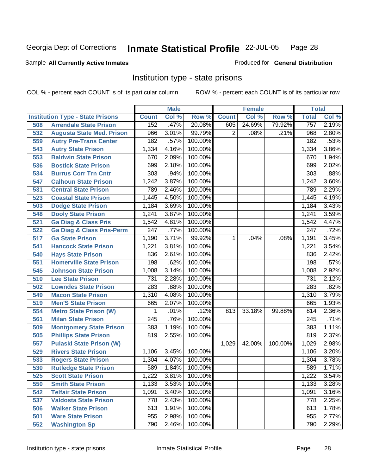## **Inmate Statistical Profile** 22-JUL-05 Page 28

## Sample All Currently Active Inmates **All Currently Active Inmates Produced for General Distribution**

## Institution type - state prisons

|     |                                         |                  | <b>Male</b> |         |              | <b>Female</b> |         | <b>Total</b>     |       |
|-----|-----------------------------------------|------------------|-------------|---------|--------------|---------------|---------|------------------|-------|
|     | <b>Institution Type - State Prisons</b> | <b>Count</b>     | Col %       | Row %   | <b>Count</b> | Col %         | Row %   | <b>Total</b>     | Col % |
| 508 | <b>Arrendale State Prison</b>           | 152              | .47%        | 20.08%  | 605          | 24.69%        | 79.92%  | 757              | 2.19% |
| 532 | <b>Augusta State Med. Prison</b>        | 966              | 3.01%       | 99.79%  | 2            | .08%          | .21%    | 968              | 2.80% |
| 559 | <b>Autry Pre-Trans Center</b>           | 182              | .57%        | 100.00% |              |               |         | 182              | .53%  |
| 543 | <b>Autry State Prison</b>               | 1,334            | 4.16%       | 100.00% |              |               |         | 1,334            | 3.86% |
| 553 | <b>Baldwin State Prison</b>             | 670              | 2.09%       | 100.00% |              |               |         | 670              | 1.94% |
| 536 | <b>Bostick State Prison</b>             | 699              | 2.18%       | 100.00% |              |               |         | 699              | 2.02% |
| 534 | <b>Burrus Corr Trn Cntr</b>             | 303              | .94%        | 100.00% |              |               |         | 303              | .88%  |
| 547 | <b>Calhoun State Prison</b>             | 1,242            | 3.87%       | 100.00% |              |               |         | 1,242            | 3.60% |
| 531 | <b>Central State Prison</b>             | 789              | 2.46%       | 100.00% |              |               |         | 789              | 2.29% |
| 523 | <b>Coastal State Prison</b>             | 1,445            | 4.50%       | 100.00% |              |               |         | 1,445            | 4.19% |
| 503 | <b>Dodge State Prison</b>               | 1,184            | 3.69%       | 100.00% |              |               |         | 1,184            | 3.43% |
| 548 | <b>Dooly State Prison</b>               | 1,241            | 3.87%       | 100.00% |              |               |         | 1,241            | 3.59% |
| 521 | <b>Ga Diag &amp; Class Pris</b>         | 1,542            | 4.81%       | 100.00% |              |               |         | 1,542            | 4.47% |
| 522 | <b>Ga Diag &amp; Class Pris-Perm</b>    | $\overline{247}$ | .77%        | 100.00% |              |               |         | 247              | .72%  |
| 517 | <b>Ga State Prison</b>                  | 1,190            | 3.71%       | 99.92%  | 1            | .04%          | .08%    | 1,191            | 3.45% |
| 541 | <b>Hancock State Prison</b>             | 1,221            | 3.81%       | 100.00% |              |               |         | 1,221            | 3.54% |
| 540 | <b>Hays State Prison</b>                | 836              | 2.61%       | 100.00% |              |               |         | 836              | 2.42% |
| 551 | <b>Homerville State Prison</b>          | 198              | .62%        | 100.00% |              |               |         | 198              | .57%  |
| 545 | <b>Johnson State Prison</b>             | 1,008            | 3.14%       | 100.00% |              |               |         | 1,008            | 2.92% |
| 510 | <b>Lee State Prison</b>                 | 731              | 2.28%       | 100.00% |              |               |         | $\overline{731}$ | 2.12% |
| 502 | <b>Lowndes State Prison</b>             | 283              | .88%        | 100.00% |              |               |         | 283              | .82%  |
| 549 | <b>Macon State Prison</b>               | 1,310            | 4.08%       | 100.00% |              |               |         | 1,310            | 3.79% |
| 519 | <b>Men'S State Prison</b>               | 665              | 2.07%       | 100.00% |              |               |         | 665              | 1.93% |
| 554 | <b>Metro State Prison (W)</b>           | 1                | .01%        | .12%    | 813          | 33.18%        | 99.88%  | 814              | 2.36% |
| 561 | <b>Milan State Prison</b>               | $\overline{245}$ | .76%        | 100.00% |              |               |         | $\overline{245}$ | .71%  |
| 509 | <b>Montgomery State Prison</b>          | 383              | 1.19%       | 100.00% |              |               |         | 383              | 1.11% |
| 505 | <b>Phillips State Prison</b>            | 819              | 2.55%       | 100.00% |              |               |         | 819              | 2.37% |
| 557 | <b>Pulaski State Prison (W)</b>         |                  |             |         | 1,029        | 42.00%        | 100.00% | 1,029            | 2.98% |
| 529 | <b>Rivers State Prison</b>              | 1,106            | 3.45%       | 100.00% |              |               |         | 1,106            | 3.20% |
| 533 | <b>Rogers State Prison</b>              | 1,304            | 4.07%       | 100.00% |              |               |         | 1,304            | 3.78% |
| 530 | <b>Rutledge State Prison</b>            | 589              | 1.84%       | 100.00% |              |               |         | 589              | 1.71% |
| 525 | <b>Scott State Prison</b>               | 1,222            | 3.81%       | 100.00% |              |               |         | 1,222            | 3.54% |
| 550 | <b>Smith State Prison</b>               | 1,133            | 3.53%       | 100.00% |              |               |         | 1,133            | 3.28% |
| 542 | <b>Telfair State Prison</b>             | 1,091            | 3.40%       | 100.00% |              |               |         | 1,091            | 3.16% |
| 537 | <b>Valdosta State Prison</b>            | 778              | 2.43%       | 100.00% |              |               |         | 778              | 2.25% |
| 506 | <b>Walker State Prison</b>              | 613              | 1.91%       | 100.00% |              |               |         | 613              | 1.78% |
| 501 | <b>Ware State Prison</b>                | 955              | 2.98%       | 100.00% |              |               |         | 955              | 2.77% |
| 552 | <b>Washington Sp</b>                    | 790              | 2.46%       | 100.00% |              |               |         | 790              | 2.29% |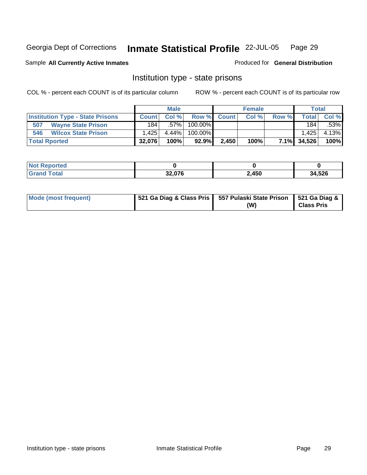## Sample All Currently Active Inmates **All Currently Active Inmates Produced for General Distribution**

## Institution type - state prisons

|                                         |              | <b>Male</b> |          |             | <b>Female</b> |       | <b>Total</b> |       |
|-----------------------------------------|--------------|-------------|----------|-------------|---------------|-------|--------------|-------|
| <b>Institution Type - State Prisons</b> | <b>Count</b> | Col%        |          | Row % Count | Col %         | Row % | <b>Total</b> | Col % |
| 507<br><b>Wayne State Prison</b>        | 1841         | .57%        | 100.00%  |             |               |       | 184          | .53%  |
| 546<br><b>Wilcox State Prison</b>       | 1.4251       | $4.44\%$    | 100.00%  |             |               |       | 1.425        | 4.13% |
| <b>Total Rported</b>                    | 32.076       | 100%        | $92.9\%$ | 2,450       | 100%          |       | 7.1% 34,526  | 100%  |

| orted<br><b>NO</b> |        |       |        |
|--------------------|--------|-------|--------|
|                    | 32,076 | 2,450 | 34,526 |

| Mode (most frequent) |  | 521 Ga Diag & Class Pris   557 Pulaski State Prison   521 Ga Diag &<br>(W) | <b>Class Pris</b> |
|----------------------|--|----------------------------------------------------------------------------|-------------------|
|----------------------|--|----------------------------------------------------------------------------|-------------------|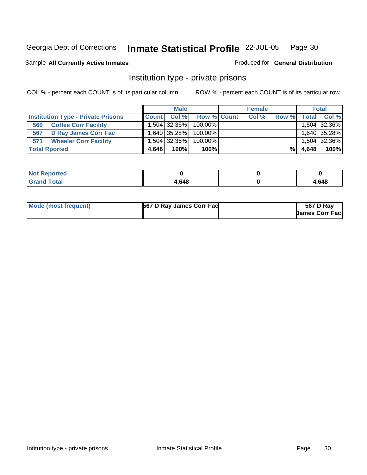### Sample All Currently Active Inmates **All Currently Active Inmates Produced for General Distribution**

## Institution type - private prisons

|                                           |              | <b>Male</b> |                      | <b>Female</b> |       |              | <b>Total</b> |
|-------------------------------------------|--------------|-------------|----------------------|---------------|-------|--------------|--------------|
| <b>Institution Type - Private Prisons</b> | <b>Count</b> | $CoI \%$    | <b>Row % Count</b>   | Col %         | Row % | <b>Total</b> | Col %        |
| <b>Coffee Corr Facility</b><br>569        |              |             | 1,504 32.36% 100.00% |               |       |              | 1,504 32.36% |
| 567<br><b>D Ray James Corr Fac</b>        |              |             | 1,640 35.28% 100.00% |               |       |              | 1,640 35.28% |
| <b>Wheeler Corr Facility</b><br>571       |              |             | 1,504 32.36% 100.00% |               |       |              | 1,504 32.36% |
| <b>Total Rported</b>                      | 4,648        | 100%        | $100\%$              |               | %\    | 4.648        | 100%         |

| N <sub>0</sub><br>oorted |       |       |
|--------------------------|-------|-------|
| <b>Total</b><br>. Grom   | 4,648 | 4,648 |

| Mode (most frequent) | 567 D Ray James Corr Fad | 567 D Ray             |
|----------------------|--------------------------|-----------------------|
|                      |                          | <b>James Corr Fac</b> |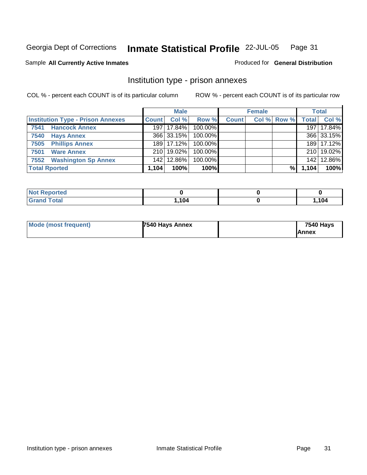### Sample All Currently Active Inmates **All Currently Active Inmates Produced for General Distribution**

## Institution type - prison annexes

|                                          | <b>Male</b>  |              | <b>Female</b> |              |  | Total       |              |            |
|------------------------------------------|--------------|--------------|---------------|--------------|--|-------------|--------------|------------|
| <b>Institution Type - Prison Annexes</b> | <b>Count</b> | Col %        | Row %         | <b>Count</b> |  | Col % Row % | <b>Total</b> | Col %      |
| <b>Hancock Annex</b><br>7541             |              | 197   17.84% | 100.00%       |              |  |             |              | 197 17.84% |
| <b>Hays Annex</b><br>7540                |              | 366 33.15%   | 100.00%       |              |  |             |              | 366 33.15% |
| 7505 Phillips Annex                      |              | 189 17.12%   | $100.00\%$    |              |  |             |              | 189 17.12% |
| <b>Ware Annex</b><br>7501                |              | 210   19.02% | 100.00%       |              |  |             |              | 210 19.02% |
| 7552 Washington Sp Annex                 |              | 142 12.86%   | 100.00%       |              |  |             |              | 142 12.86% |
| <b>Total Rported</b>                     | 1,104        | 100%         | 100%          |              |  | %           | 1,104        | 100%       |

| <b>Not Reported</b> |      |      |
|---------------------|------|------|
| <b>Grand Total</b>  | .104 | 104, |

| Mode (most frequent) | 7540 Hays Annex | <b>7540 Hays</b> |
|----------------------|-----------------|------------------|
|                      |                 | <b>Annex</b>     |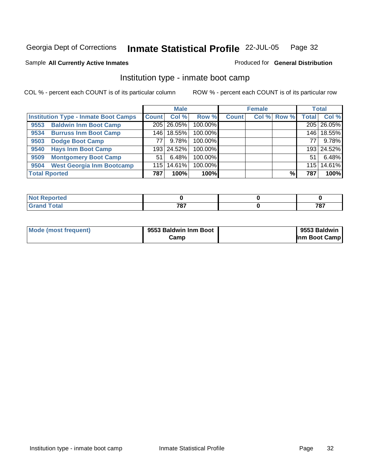### Sample All Currently Active Inmates **All Currently Active Inmates Produced for General Distribution**

## Institution type - inmate boot camp

|                                             |              | <b>Male</b>  |         |              | <b>Female</b> |             |              | <b>Total</b> |
|---------------------------------------------|--------------|--------------|---------|--------------|---------------|-------------|--------------|--------------|
| <b>Institution Type - Inmate Boot Camps</b> | <b>Count</b> | Col %        | Row %   | <b>Count</b> |               | Col % Row % | <b>Total</b> | Col %        |
| <b>Baldwin Inm Boot Camp</b><br>9553        |              | 205 26.05%   | 100.00% |              |               |             |              | 205 26.05%   |
| <b>Burruss Inm Boot Camp</b><br>9534        |              | 146   18.55% | 100.00% |              |               |             | 146          | 18.55%       |
| <b>Dodge Boot Camp</b><br>9503              | 77           | 9.78%        | 100.00% |              |               |             | 77           | 9.78%        |
| <b>Hays Inm Boot Camp</b><br>9540           |              | 193 24.52%   | 100.00% |              |               |             |              | 193 24.52%   |
| <b>Montgomery Boot Camp</b><br>9509         | 51           | 6.48%        | 100.00% |              |               |             | 51           | 6.48%        |
| <b>West Georgia Inm Bootcamp</b><br>9504    | 115          | $ 14.61\% $  | 100.00% |              |               |             | 115          | 14.61%       |
| <b>Total Rported</b>                        | 787          | 100%         | 100%    |              |               | %.          | 787          | 100%         |

| rtea<br>.    |       |       |
|--------------|-------|-------|
| <b>Total</b> | 707   | 707   |
| <b>C</b>     | ' O I | 1 O I |

| Mode (most frequent) | 9553 Baldwin Inm Boot | 9553 Baldwin  |
|----------------------|-----------------------|---------------|
|                      | ا Camp                | Inm Boot Camp |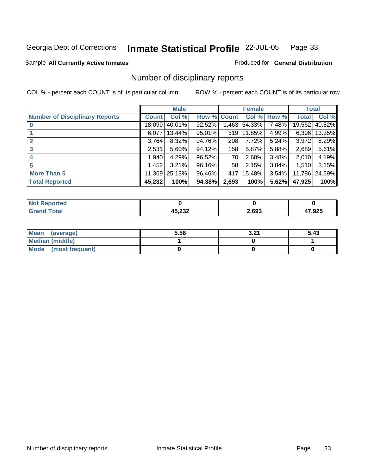## Sample All Currently Active Inmates **All Currently Active Inmates Produced for General Distribution**

## Number of disciplinary reports

|                                       |              | <b>Male</b> |             |       | <b>Female</b> |       | <b>Total</b> |        |
|---------------------------------------|--------------|-------------|-------------|-------|---------------|-------|--------------|--------|
| <b>Number of Disciplinary Reports</b> | <b>Count</b> | Col %       | Row % Count |       | Col %         | Row % | <b>Total</b> | Col %  |
| $\bf{0}$                              | 18,099       | 40.01%      | 92.52%      | 1,463 | 54.33%        | 7.48% | 19,562       | 40.82% |
|                                       | 6.077        | 13.44%      | 95.01%      | 319   | 11.85%        | 4.99% | 6.396        | 13.35% |
| 2                                     | 3,764        | $8.32\%$    | 94.76%      | 208   | 7.72%         | 5.24% | 3,972        | 8.29%  |
| 3                                     | 2,531        | 5.60%       | 94.12%      | 158   | 5.87%         | 5.88% | 2,689        | 5.61%  |
|                                       | 1,940        | 4.29%       | 96.52%      | 70    | 2.60%         | 3.48% | 2,010        | 4.19%  |
| 5                                     | 1,452        | $3.21\%$    | 96.16%      | 58    | 2.15%         | 3.84% | 1,510        | 3.15%  |
| <b>More Than 5</b>                    | 11,369       | 25.13%      | 96.46%      | 417   | 15.48%        | 3.54% | 11,786       | 24.59% |
| <b>Total Reported</b>                 | 45,232       | 100%        | 94.38%      | 2,693 | 100%          | 5.62% | 47,925       | 100%   |

| rted<br>N |                        |       |        |
|-----------|------------------------|-------|--------|
|           | 15 AMA<br>л.<br>47,474 | 2.693 | 47,925 |

| <b>Mean</b><br>(average) | 5.56 | 2.21<br>.J.Z. | 5.43 |
|--------------------------|------|---------------|------|
| <b>Median (middle)</b>   |      |               |      |
| Mode (most frequent)     |      |               |      |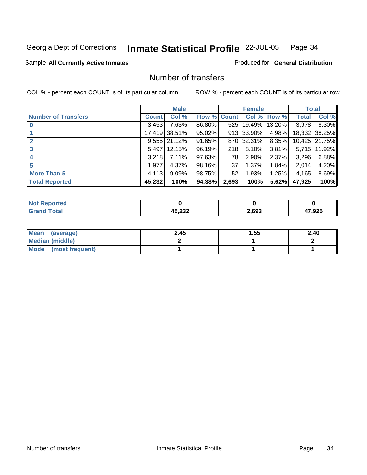## **Inmate Statistical Profile** 22-JUL-05 Page 34

### Sample All Currently Active Inmates **All and Science Interval Control Control of Ceneral Distribution**

## Number of transfers

|                            |              | <b>Male</b>      |                    |       | <b>Female</b> |          | <b>Total</b> |                |
|----------------------------|--------------|------------------|--------------------|-------|---------------|----------|--------------|----------------|
| <b>Number of Transfers</b> | <b>Count</b> | Col %            | <b>Row % Count</b> |       | Col %         | Row %    | <b>Total</b> | Col %          |
| $\bf{0}$                   | 3,453        | 7.63%            | 86.80%             | 525   | 19.49%        | 13.20%   | 3.978        | 8.30%          |
|                            | 17,419       | 38.51%           | $95.02\%$          |       | 913 33.90%    | 4.98%    |              | 18,332 38.25%  |
| $\overline{2}$             |              | $9,555$   21.12% | 91.65%             |       | 870 32.31%    | 8.35%    |              | 10,425 21.75%  |
| 3                          | 5,497        | 12.15%           | 96.19%             | 218   | 8.10%         | $3.81\%$ |              | 5,715   11.92% |
| 4                          | 3,218        | 7.11%            | 97.63%             | 78    | 2.90%         | 2.37%    | 3,296        | 6.88%          |
| 5                          | 1,977        | 4.37%            | 98.16%             | 37    | 1.37%         | 1.84%    | 2,014        | 4.20%          |
| <b>More Than 5</b>         | 4,113        | 9.09%            | 98.75%             | 52    | 1.93%         | 1.25%    | 4,165        | 8.69%          |
| <b>Total Reported</b>      | 45,232       | 100%             | 94.38%             | 2,693 | 100%          | 5.62%    | 47,925       | 100%           |

| N |                        |      |       |
|---|------------------------|------|-------|
|   | המה הו<br><i>א</i> טא, | .693 | 7,925 |

| Mean<br>(average)    | 2.45 | 1.55 | 2.40 |
|----------------------|------|------|------|
| Median (middle)      |      |      |      |
| Mode (most frequent) |      |      |      |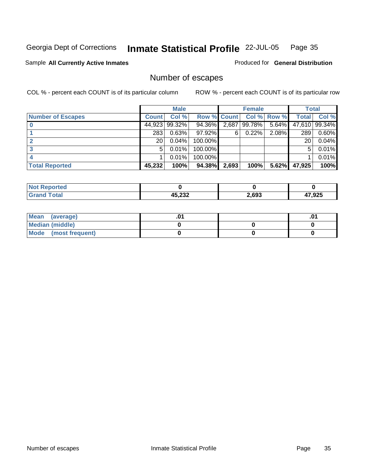## **Inmate Statistical Profile** 22-JUL-05 Page 35

### Sample All Currently Active Inmates **All and Science Interval Control Control of Ceneral Distribution**

## Number of escapes

|                          |              | <b>Male</b> |                    |       | <b>Female</b> |                    |              | <b>Total</b>  |
|--------------------------|--------------|-------------|--------------------|-------|---------------|--------------------|--------------|---------------|
| <b>Number of Escapes</b> | <b>Count</b> | Col %       | <b>Row % Count</b> |       |               | <b>Col % Row %</b> | <b>Total</b> | Col %         |
|                          | 44,923       | 99.32%      | 94.36%             | 2,687 | 99.78%        | $5.64\%$           |              | 47,610 99.34% |
|                          | 283          | 0.63%       | 97.92%             | 6     | $0.22\%$      | 2.08%              | 289          | 0.60%         |
|                          | 20           | 0.04%       | 100.00%            |       |               |                    | 20           | 0.04%         |
|                          | 5            | 0.01%       | 100.00%            |       |               |                    | 5            | 0.01%         |
|                          |              | 0.01%       | 100.00%            |       |               |                    |              | 0.01%         |
| <b>Total Reported</b>    | 45,232       | 100%        | 94.38%             | 2,693 | 100%          | 5.62%              | 47,925       | 100%          |

| วrted                    |                  |       |        |
|--------------------------|------------------|-------|--------|
| $F_{\alpha}$ tal<br>____ | ハト つつつ<br>43,ZJZ | 2.693 | 47,925 |

| <b>Mean</b><br>(average) | .υ | .∪ |
|--------------------------|----|----|
| Median (middle)          |    |    |
| Mode (most frequent)     |    |    |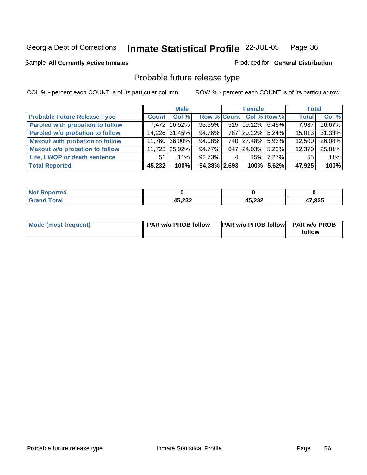## Sample All Currently Active Inmates **All Currently Active Inmates Produced for General Distribution**

## Probable future release type

|                                         |              | <b>Male</b>   |                    |   | <b>Female</b>        |               | <b>Total</b> |        |
|-----------------------------------------|--------------|---------------|--------------------|---|----------------------|---------------|--------------|--------|
| <b>Probable Future Release Type</b>     | <b>Count</b> | Col %         | <b>Row % Count</b> |   | <b>Col % Row %</b>   |               | <b>Total</b> | Col %  |
| <b>Paroled with probation to follow</b> |              | 7,472 16.52%  | 93.55%             |   | $515$   19.12% 6.45% |               | 7,987        | 16.67% |
| Paroled w/o probation to follow         |              | 14,226 31.45% | 94.76%             |   | 787 29.22% 5.24%     |               | 15.013       | 31.33% |
| <b>Maxout with probation to follow</b>  |              | 11,760 26.00% | 94.08%             |   | 740 27.48% 5.92%     |               | 12.500       | 26.08% |
| <b>Maxout w/o probation to follow</b>   |              | 11,723 25.92% | 94.77%             |   | 647 24.03% 5.23%     |               | 12.370       | 25.81% |
| Life, LWOP or death sentence            | 51           | $.11\%$       | 92.73%             | 4 |                      | $.15\%$ 7.27% | 55           | .11%   |
| <b>Total Reported</b>                   | 45,232       | 100%          | $94.38\%$ 2.693    |   |                      | 100% 5.62%    | 47,925       | 100%   |

| <b>orted</b> |                  |        |        |
|--------------|------------------|--------|--------|
| <b>Total</b> | ハベ つつつ<br>4J,ZJZ | 45,232 | 47,925 |

| Mode (most frequent) | PAR w/o PROB follow | <b>PAR w/o PROB follow PAR w/o PROB</b> |        |
|----------------------|---------------------|-----------------------------------------|--------|
|                      |                     |                                         | follow |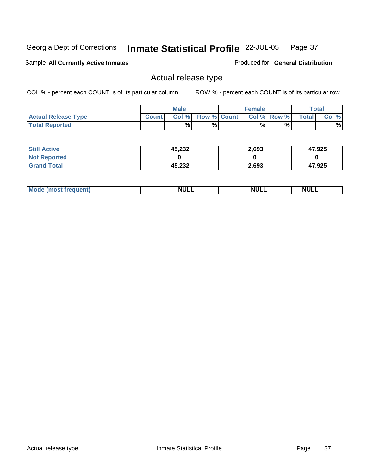## **Inmate Statistical Profile** 22-JUL-05 Page 37

Sample All Currently Active Inmates **All Currently Active Inmates Produced for General Distribution** 

## Actual release type

|                            |              | <b>Male</b> |                    | Female |             |              | $\tau$ otal |
|----------------------------|--------------|-------------|--------------------|--------|-------------|--------------|-------------|
| <b>Actual Release Type</b> | <b>Count</b> | Col%        | <b>Row % Count</b> |        | Col % Row % | <b>Total</b> | Col %       |
| <b>Total Reported</b>      |              | %           | %                  | %      | %           |              | %           |

| <b>Still Active</b> | 45,232 | 2,693 | 47,925 |
|---------------------|--------|-------|--------|
| <b>Not Reported</b> |        |       |        |
| <b>Grand Total</b>  | 45,232 | 2,693 | 47,925 |

| IМ.<br><b>NULL</b><br>.<br>AIL P<br>NI<br>$\cdots$<br>______<br>______<br>______ |  |  |
|----------------------------------------------------------------------------------|--|--|
|                                                                                  |  |  |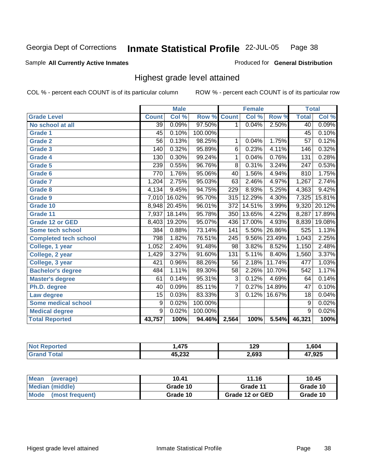**Inmate Statistical Profile** 22-JUL-05 Page 38

## Sample All Currently Active Inmates **All Currently Active Inmates Produced for General Distribution**

## Highest grade level attained

|                              |                 | <b>Male</b> |                    |                  | <b>Female</b> |        | <b>Total</b>     |        |
|------------------------------|-----------------|-------------|--------------------|------------------|---------------|--------|------------------|--------|
| <b>Grade Level</b>           | <b>Count</b>    | Col %       | <b>Row % Count</b> |                  | Col %         | Row %  | <b>Total</b>     | Col %  |
| No school at all             | $\overline{39}$ | 0.09%       | 97.50%             | 1                | 0.04%         | 2.50%  | 40               | 0.09%  |
| <b>Grade 1</b>               | 45              | 0.10%       | 100.00%            |                  |               |        | 45               | 0.10%  |
| <b>Grade 2</b>               | $\overline{56}$ | 0.13%       | 98.25%             | 1                | 0.04%         | 1.75%  | $\overline{57}$  | 0.12%  |
| <b>Grade 3</b>               | 140             | 0.32%       | 95.89%             | 6                | 0.23%         | 4.11%  | 146              | 0.32%  |
| Grade 4                      | 130             | 0.30%       | 99.24%             | 1                | 0.04%         | 0.76%  | 131              | 0.28%  |
| <b>Grade 5</b>               | 239             | 0.55%       | 96.76%             | $\overline{8}$   | 0.31%         | 3.24%  | $\overline{247}$ | 0.53%  |
| Grade 6                      | 770             | 1.76%       | 95.06%             | 40               | 1.56%         | 4.94%  | 810              | 1.75%  |
| <b>Grade 7</b>               | 1,204           | 2.75%       | 95.03%             | 63               | 2.46%         | 4.97%  | 1,267            | 2.74%  |
| <b>Grade 8</b>               | 4,134           | 9.45%       | 94.75%             | 229              | 8.93%         | 5.25%  | 4,363            | 9.42%  |
| Grade 9                      | 7,010           | 16.02%      | 95.70%             | 315              | 12.29%        | 4.30%  | 7,325            | 15.81% |
| Grade 10                     | 8,948           | 20.45%      | 96.01%             | $\overline{372}$ | 14.51%        | 3.99%  | 9,320            | 20.12% |
| Grade 11                     | 7,937           | 18.14%      | 95.78%             | 350              | 13.65%        | 4.22%  | 8,287            | 17.89% |
| <b>Grade 12 or GED</b>       | 8,403           | 19.20%      | 95.07%             | 436              | 17.00%        | 4.93%  | 8,839            | 19.08% |
| Some tech school             | 384             | 0.88%       | 73.14%             | 141              | 5.50%         | 26.86% | 525              | 1.13%  |
| <b>Completed tech school</b> | 798             | 1.82%       | 76.51%             | $\overline{245}$ | $9.56\%$      | 23.49% | 1,043            | 2.25%  |
| College, 1 year              | 1,052           | 2.40%       | 91.48%             | $\overline{98}$  | 3.82%         | 8.52%  | 1,150            | 2.48%  |
| College, 2 year              | 1,429           | 3.27%       | 91.60%             | 131              | 5.11%         | 8.40%  | 1,560            | 3.37%  |
| College, 3 year              | 421             | 0.96%       | 88.26%             | $\overline{56}$  | 2.18%         | 11.74% | 477              | 1.03%  |
| <b>Bachelor's degree</b>     | 484             | 1.11%       | 89.30%             | $\overline{58}$  | 2.26%         | 10.70% | 542              | 1.17%  |
| <b>Master's degree</b>       | 61              | 0.14%       | 95.31%             | $\overline{3}$   | 0.12%         | 4.69%  | 64               | 0.14%  |
| Ph.D. degree                 | 40              | 0.09%       | 85.11%             | $\overline{7}$   | 0.27%         | 14.89% | 47               | 0.10%  |
| Law degree                   | 15              | 0.03%       | 83.33%             | $\overline{3}$   | 0.12%         | 16.67% | 18               | 0.04%  |
| <b>Some medical school</b>   | 9               | 0.02%       | 100.00%            |                  |               |        | 9                | 0.02%  |
| <b>Medical degree</b>        | $\overline{9}$  | 0.02%       | 100.00%            |                  |               |        | 9                | 0.02%  |
| <b>Total Reported</b>        | 43,757          | 100%        | 94.46%             | 2,564            | 100%          | 5.54%  | 46,321           | 100%   |

| $\rightarrow$ | 1 20<br>1 L J<br>__ | .604  |
|---------------|---------------------|-------|
| ההה הו<br>ະບ∠ | 693                 | 7,925 |

| <b>Mean</b><br>(average)       | 10.41    | 11.16           | 10.45    |
|--------------------------------|----------|-----------------|----------|
| Median (middle)                | Grade 10 | Grade 11        | Grade 10 |
| <b>Mode</b><br>(most frequent) | Grade 10 | Grade 12 or GED | Grade 10 |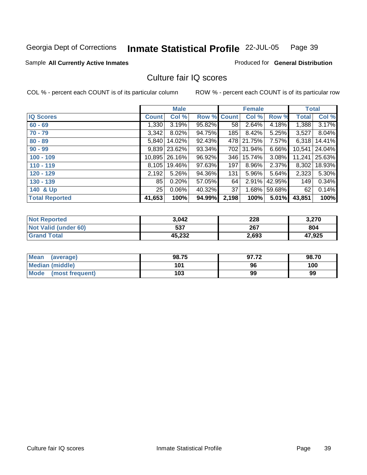## **Inmate Statistical Profile** 22-JUL-05 Page 39

### Sample All Currently Active Inmates **All Currently Active Inmates Produced for General Distribution**

## Culture fair IQ scores

|                       |              | <b>Male</b> |             |       | <b>Female</b> |        | <b>Total</b> |        |
|-----------------------|--------------|-------------|-------------|-------|---------------|--------|--------------|--------|
| <b>IQ Scores</b>      | <b>Count</b> | Col %       | Row % Count |       | Col %         | Row %  | <b>Total</b> | Col %  |
| $60 - 69$             | 1,330        | 3.19%       | 95.82%      | 58    | 2.64%         | 4.18%  | 1,388        | 3.17%  |
| $70 - 79$             | 3,342        | $8.02\%$    | 94.75%      | 185   | 8.42%         | 5.25%  | 3,527        | 8.04%  |
| $80 - 89$             | 5.840        | 14.02%      | 92.43%      | 478   | 21.75%        | 7.57%  | 6,318        | 14.41% |
| $90 - 99$             | 9,839        | 23.62%      | 93.34%      | 702   | 31.94%        | 6.66%  | 10,541       | 24.04% |
| $100 - 109$           | 10,895       | 26.16%      | 96.92%      | 346   | 15.74%        | 3.08%  | 11,241       | 25.63% |
| $110 - 119$           | 8,105        | 19.46%      | 97.63%      | 197   | 8.96%         | 2.37%  | 8,302        | 18.93% |
| $120 - 129$           | 2,192        | $5.26\%$    | 94.36%      | 131   | 5.96%         | 5.64%  | 2,323        | 5.30%  |
| $130 - 139$           | 85           | 0.20%       | 57.05%      | 64    | 2.91%         | 42.95% | 149          | 0.34%  |
| 140 & Up              | 25           | 0.06%       | 40.32%      | 37    | $1.68\%$      | 59.68% | 62           | 0.14%  |
| <b>Total Reported</b> | 41,653       | 100%        | 94.99%      | 2,198 | 100%          | 5.01%  | 43,851       | 100%   |

| <b>Not Reported</b>  | 3,042  | 228   | 3,270  |
|----------------------|--------|-------|--------|
| Not Valid (under 60) | 537    | 267   | 804    |
| <b>Grand Total</b>   | 45,232 | 2,693 | 47,925 |

| Mean<br>(average)       | 98.75 | 97.72 | 98.70 |
|-------------------------|-------|-------|-------|
| Median (middle)         | 101   | 96    | 100   |
| Mode<br>(most frequent) | 103   | 99    | 99    |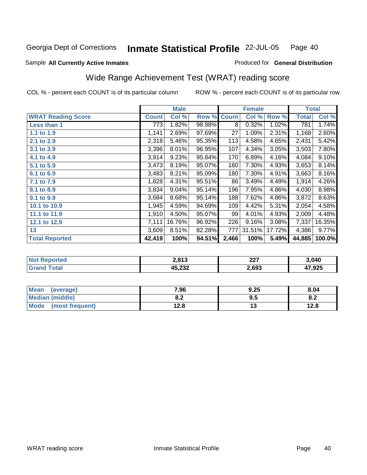### Sample All Currently Active Inmates **All and Science Interval Control Control of Ceneral Distribution**

## Wide Range Achievement Test (WRAT) reading score

|                           |              | <b>Male</b> |        |              | <b>Female</b> |        | <b>Total</b> |        |
|---------------------------|--------------|-------------|--------|--------------|---------------|--------|--------------|--------|
| <b>WRAT Reading Score</b> | <b>Count</b> | Col %       | Row %  | <b>Count</b> | Col %         | Row %  | <b>Total</b> | Col %  |
| Less than 1               | 773          | 1.82%       | 98.98% | 8            | 0.32%         | 1.02%  | 781          | 1.74%  |
| 1.1 to 1.9                | 1,141        | 2.69%       | 97.69% | 27           | 1.09%         | 2.31%  | 1,168        | 2.60%  |
| 2.1 to 2.9                | 2,318        | 5.46%       | 95.35% | 113          | 4.58%         | 4.65%  | 2,431        | 5.42%  |
| 3.1 to 3.9                | 3,396        | 8.01%       | 96.95% | 107          | 4.34%         | 3.05%  | 3,503        | 7.80%  |
| 4.1 to 4.9                | 3,914        | 9.23%       | 95.84% | 170          | 6.89%         | 4.16%  | 4,084        | 9.10%  |
| 5.1 to 5.9                | 3,473        | 8.19%       | 95.07% | 180          | 7.30%         | 4.93%  | 3,653        | 8.14%  |
| 6.1 to 6.9                | 3,483        | 8.21%       | 95.09% | 180          | 7.30%         | 4.91%  | 3,663        | 8.16%  |
| 7.1 to 7.9                | 1,828        | 4.31%       | 95.51% | 86           | 3.49%         | 4.49%  | 1,914        | 4.26%  |
| 8.1 to 8.9                | 3,834        | 9.04%       | 95.14% | 196          | 7.95%         | 4.86%  | 4,030        | 8.98%  |
| 9.1 to 9.9                | 3,684        | 8.68%       | 95.14% | 188          | 7.62%         | 4.86%  | 3,872        | 8.63%  |
| 10.1 to 10.9              | 1,945        | 4.59%       | 94.69% | 109          | 4.42%         | 5.31%  | 2,054        | 4.58%  |
| 11.1 to 11.9              | 1,910        | 4.50%       | 95.07% | 99           | 4.01%         | 4.93%  | 2,009        | 4.48%  |
| 12.1 to 12.9              | 7,111        | 16.76%      | 96.92% | 226          | 9.16%         | 3.08%  | 7,337        | 16.35% |
| 13                        | 3,609        | 8.51%       | 82.28% | 777          | 31.51%        | 17.72% | 4,386        | 9.77%  |
| <b>Total Reported</b>     | 42,419       | 100%        | 94.51% | 2,466        | 100%          | 5.49%  | 44,885       | 100.0% |

| 2012                   | ົາລ<br>22 I | 3,040  |
|------------------------|-------------|--------|
| 15 722<br>л.<br>77,LJZ | .693        | 47,925 |

| Mean<br>(average)       | 7.96       | 9.25 | 8.04 |
|-------------------------|------------|------|------|
| Median (middle)         | o g<br>o.z | 9.5  | 8.2  |
| Mode<br>(most frequent) | 12.8       | 1 v  | 12.8 |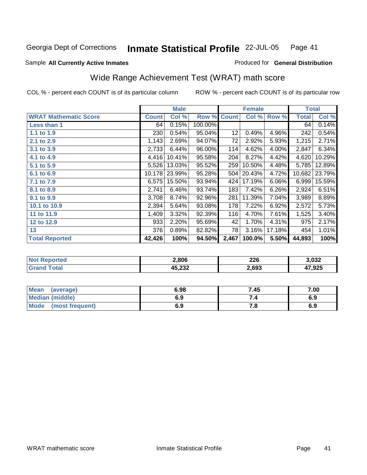## Sample All Currently Active Inmates **All Currently Active Inmates Produced for General Distribution**

## Wide Range Achievement Test (WRAT) math score

|                              |              | <b>Male</b> |         |              | <b>Female</b> |        | <b>Total</b> |        |
|------------------------------|--------------|-------------|---------|--------------|---------------|--------|--------------|--------|
| <b>WRAT Mathematic Score</b> | <b>Count</b> | Col %       | Row %   | <b>Count</b> | Col %         | Row %  | <b>Total</b> | Col %  |
| <b>Less than 1</b>           | 64           | 0.15%       | 100.00% |              |               |        | 64           | 0.14%  |
| 1.1 to 1.9                   | 230          | 0.54%       | 95.04%  | 12           | 0.49%         | 4.96%  | 242          | 0.54%  |
| 2.1 to 2.9                   | 1,143        | 2.69%       | 94.07%  | 72           | 2.92%         | 5.93%  | 1,215        | 2.71%  |
| 3.1 to 3.9                   | 2,733        | 6.44%       | 96.00%  | 114          | 4.62%         | 4.00%  | 2,847        | 6.34%  |
| 4.1 to 4.9                   | 4,416        | 10.41%      | 95.58%  | 204          | 8.27%         | 4.42%  | 4,620        | 10.29% |
| 5.1 to 5.9                   | 5,526        | 13.03%      | 95.52%  | 259          | 10.50%        | 4.48%  | 5,785        | 12.89% |
| 6.1 to 6.9                   | 10,178       | 23.99%      | 95.28%  | 504          | 20.43%        | 4.72%  | 10,682       | 23.79% |
| 7.1 to 7.9                   | 6,575        | 15.50%      | 93.94%  | 424          | 17.19%        | 6.06%  | 6,999        | 15.59% |
| 8.1 to 8.9                   | 2,741        | 6.46%       | 93.74%  | 183          | 7.42%         | 6.26%  | 2,924        | 6.51%  |
| 9.1 to 9.9                   | 3,708        | 8.74%       | 92.96%  | 281          | 11.39%        | 7.04%  | 3,989        | 8.89%  |
| 10.1 to 10.9                 | 2,394        | 5.64%       | 93.08%  | 178          | 7.22%         | 6.92%  | 2,572        | 5.73%  |
| 11 to 11.9                   | 1,409        | 3.32%       | 92.39%  | 116          | 4.70%         | 7.61%  | 1,525        | 3.40%  |
| 12 to 12.9                   | 933          | 2.20%       | 95.69%  | 42           | 1.70%         | 4.31%  | 975          | 2.17%  |
| 13                           | 376          | 0.89%       | 82.82%  | 78           | 3.16%         | 17.18% | 454          | 1.01%  |
| <b>Total Reported</b>        | 42,426       | 100%        | 94.50%  | 2,467        | 100.0%        | 5.50%  | 44,893       | 100%   |

| тес<br>N/ | 2,806                   | 226<br>___ | 3,032  |
|-----------|-------------------------|------------|--------|
|           | 15 AMA<br>л ь<br>43,ZJZ | .693       | 47,925 |

| Mean<br>(average)       | 6.98 | 7.45                  | 7.00 |
|-------------------------|------|-----------------------|------|
| Median (middle)         | 6.9  |                       | 6.9  |
| Mode<br>(most frequent) | 6.9  | 7 <sub>0</sub><br>, u | 6.9  |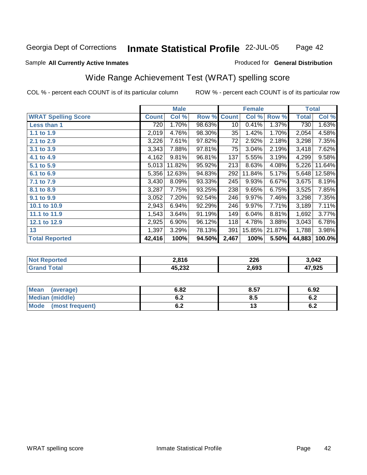### Sample All Currently Active Inmates **All Currently Active Inmates Produced for General Distribution**

## Wide Range Achievement Test (WRAT) spelling score

|                            |              | <b>Male</b> |        |              | <b>Female</b> |        | <b>Total</b> |        |
|----------------------------|--------------|-------------|--------|--------------|---------------|--------|--------------|--------|
| <b>WRAT Spelling Score</b> | <b>Count</b> | Col %       | Row %  | <b>Count</b> | Col %         | Row %  | <b>Total</b> | Col %  |
| Less than 1                | 720          | 1.70%       | 98.63% | 10           | 0.41%         | 1.37%  | 730          | 1.63%  |
| 1.1 to 1.9                 | 2,019        | 4.76%       | 98.30% | 35           | 1.42%         | 1.70%  | 2,054        | 4.58%  |
| 2.1 to 2.9                 | 3,226        | 7.61%       | 97.82% | 72           | 2.92%         | 2.18%  | 3,298        | 7.35%  |
| 3.1 to 3.9                 | 3,343        | 7.88%       | 97.81% | 75           | 3.04%         | 2.19%  | 3,418        | 7.62%  |
| 4.1 to 4.9                 | 4,162        | 9.81%       | 96.81% | 137          | 5.55%         | 3.19%  | 4,299        | 9.58%  |
| 5.1 to 5.9                 | 5,013        | 11.82%      | 95.92% | 213          | 8.63%         | 4.08%  | 5,226        | 11.64% |
| 6.1 to 6.9                 | 5,356        | 12.63%      | 94.83% | 292          | 11.84%        | 5.17%  | 5,648        | 12.58% |
| 7.1 to 7.9                 | 3,430        | 8.09%       | 93.33% | 245          | 9.93%         | 6.67%  | 3,675        | 8.19%  |
| 8.1 to 8.9                 | 3,287        | 7.75%       | 93.25% | 238          | 9.65%         | 6.75%  | 3,525        | 7.85%  |
| 9.1 to 9.9                 | 3,052        | 7.20%       | 92.54% | 246          | 9.97%         | 7.46%  | 3,298        | 7.35%  |
| 10.1 to 10.9               | 2,943        | 6.94%       | 92.29% | 246          | 9.97%         | 7.71%  | 3,189        | 7.11%  |
| 11.1 to 11.9               | 1,543        | 3.64%       | 91.19% | 149          | 6.04%         | 8.81%  | 1,692        | 3.77%  |
| 12.1 to 12.9               | 2,925        | 6.90%       | 96.12% | 118          | 4.78%         | 3.88%  | 3,043        | 6.78%  |
| 13                         | 1,397        | 3.29%       | 78.13% | 391          | 15.85%        | 21.87% | 1,788        | 3.98%  |
| <b>Total Reported</b>      | 42,416       | 100%        | 94.50% | 2,467        | 100%          | 5.50%  | 44,883       | 100.0% |

| 2.816                  | つつに<br>ZZU<br>__ | 3,042  |
|------------------------|------------------|--------|
| 15 722<br>л.<br>40,ZJZ | .693             | 47,925 |

| Mean<br>(average)              | 6.82 | 8.57 | 6.92 |
|--------------------------------|------|------|------|
| Median (middle)                | 6.2  | o.a  | 0.4  |
| <b>Mode</b><br>(most frequent) | 6.2  |      | 0.Z  |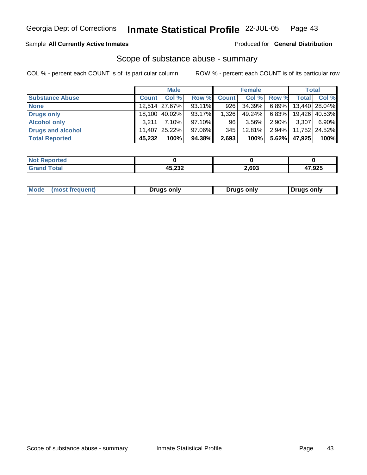**Inmate Statistical Profile** 22-JUL-05 Page 43

## Sample All Currently Active Inmates **All Currently Active Inmates Produced for General Distribution**

## Scope of substance abuse - summary

|                        |              | <b>Male</b>     |        |              | <b>Female</b> |              |              | <b>Total</b>  |
|------------------------|--------------|-----------------|--------|--------------|---------------|--------------|--------------|---------------|
| <b>Substance Abuse</b> | <b>Count</b> | Col %           | Row %  | <b>Count</b> | Col %         | <b>Row %</b> | <b>Total</b> | Col %         |
| <b>None</b>            |              | 12,514   27.67% | 93.11% | 926          | 34.39%        | 6.89%        |              | 13,440 28.04% |
| Drugs only             |              | 18,100   40.02% | 93.17% | 1.326        | 49.24%        | 6.83%        |              | 19,426 40.53% |
| <b>Alcohol only</b>    | 3.211        | $7.10\%$        | 97.10% | 96           | 3.56%         | $2.90\%$     | 3,307        | 6.90%         |
| Drugs and alcohol      | 11.407       | $25.22\%$       | 97.06% | 345          | $12.81\%$     | $2.94\%$     |              | 11,752 24.52% |
| <b>Total Reported</b>  | 45,232       | 100%            | 94.38% | 2,693        | 100%          | 5.62%        | 47,925       | 100%          |

| <b>Not Reported</b> |        |       |        |
|---------------------|--------|-------|--------|
| <b>Grand Total</b>  | 45,232 | 2,693 | 47,925 |

| Mode<br>∎Drugs only<br>Drugs only<br>(most frequent)<br>Drugs only |
|--------------------------------------------------------------------|
|--------------------------------------------------------------------|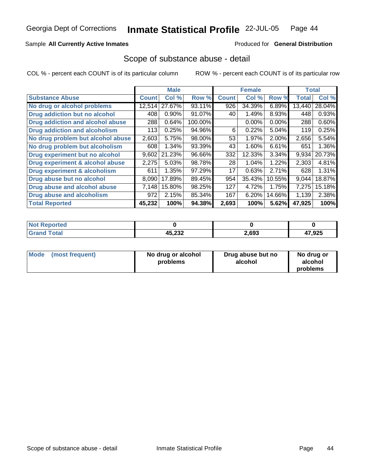**Inmate Statistical Profile** 22-JUL-05 Page 44

Sample All Currently Active Inmates **All Currently Active Inmates Produced for General Distribution** 

## Scope of substance abuse - detail

|                                      |              | <b>Male</b> |         |              | <b>Female</b> |          | <b>Total</b> |        |
|--------------------------------------|--------------|-------------|---------|--------------|---------------|----------|--------------|--------|
| <b>Substance Abuse</b>               | <b>Count</b> | Col %       | Row %   | <b>Count</b> | Col %         | Row %    | <b>Total</b> | Col %  |
| No drug or alcohol problems          | 12,514       | 27.67%      | 93.11%  | 926          | 34.39%        | 6.89%    | 13,440       | 28.04% |
| Drug addiction but no alcohol        | 408          | 0.90%       | 91.07%  | 40           | 1.49%         | 8.93%    | 448          | 0.93%  |
| Drug addiction and alcohol abuse     | 288          | 0.64%       | 100.00% |              | $0.00\%$      | $0.00\%$ | 288          | 0.60%  |
| <b>Drug addiction and alcoholism</b> | 113          | 0.25%       | 94.96%  | 6            | 0.22%         | $5.04\%$ | 119          | 0.25%  |
| No drug problem but alcohol abuse    | 2,603        | 5.75%       | 98.00%  | 53           | 1.97%         | 2.00%    | 2,656        | 5.54%  |
| No drug problem but alcoholism       | 608          | 1.34%       | 93.39%  | 43           | 1.60%         | 6.61%    | 651          | 1.36%  |
| Drug experiment but no alcohol       | 9,602        | 21.23%      | 96.66%  | 332          | 12.33%        | 3.34%    | 9,934        | 20.73% |
| Drug experiment & alcohol abuse      | 2,275        | 5.03%       | 98.78%  | 28           | 1.04%         | 1.22%    | 2,303        | 4.81%  |
| Drug experiment & alcoholism         | 611          | 1.35%       | 97.29%  | 17           | 0.63%         | 2.71%    | 628          | 1.31%  |
| Drug abuse but no alcohol            | 8,090        | 17.89%      | 89.45%  | 954          | 35.43%        | 10.55%   | 9,044        | 18.87% |
| Drug abuse and alcohol abuse         | 7,148        | 15.80%      | 98.25%  | 127          | 4.72%         | 1.75%    | 7,275        | 15.18% |
| Drug abuse and alcoholism            | 972          | 2.15%       | 85.34%  | 167          | 6.20%         | 14.66%   | 1,139        | 2.38%  |
| <b>Total Reported</b>                | 45,232       | 100%        | 94.38%  | 2,693        | 100%          | 5.62%    | 47,925       | 100%   |

| <b>Not Reported</b>     |        |       |        |
|-------------------------|--------|-------|--------|
| <b>Total</b><br>' Grand | 45,232 | 2,693 | 47,925 |

| Mode            | No drug or alcohol | Drug abuse but no | No drug or |
|-----------------|--------------------|-------------------|------------|
| (most frequent) | problems           | alcohol           | alcohol    |
|                 |                    |                   | problems   |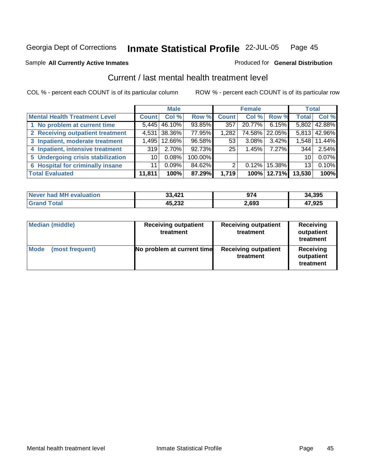### Sample All Currently Active Inmates **All Currently Active Inmates Produced for General Distribution**

## Current / last mental health treatment level

|                                         |              | <b>Male</b>      |         |              | <b>Female</b> |                 | <b>Total</b>    |              |
|-----------------------------------------|--------------|------------------|---------|--------------|---------------|-----------------|-----------------|--------------|
| <b>Mental Health Treatment Level</b>    | <b>Count</b> | Col %            | Row %   | <b>Count</b> | Col %         | Row %           | <b>Total</b>    | Col %        |
| 1 No problem at current time            |              | $5,445$   46.10% | 93.85%  | 357          | 20.77%        | $6.15\%$        |                 | 5,802 42.88% |
| 2 Receiving outpatient treatment        |              | 4,531 38.36%     | 77.95%  | 1,282        | 74.58%        | 22.05%          |                 | 5,813 42.96% |
| 3 Inpatient, moderate treatment         | 1,495        | 12.66%           | 96.58%  | 53           | 3.08%         | 3.42%           | 1,548           | 11.44%       |
| 4 Inpatient, intensive treatment        | 319          | 2.70%            | 92.73%  | 25           | 1.45%         | $7.27\%$        | 344             | 2.54%        |
| 5 Undergoing crisis stabilization       | 10           | 0.08%            | 100.00% |              |               |                 | 10 <sup>1</sup> | 0.07%        |
| <b>6 Hospital for criminally insane</b> | 11           | 0.09%            | 84.62%  | 2            | $0.12\%$      | 15.38% <b>I</b> | 13 <sup>1</sup> | 0.10%        |
| <b>Total Evaluated</b>                  | 11,811       | 100%             | 87.29%  | 1,719        |               | 100% 12.71%     | 13,530          | 100%         |

| Never had MH evaluation | 33,421 | 974   | 34,395 |
|-------------------------|--------|-------|--------|
| 'Grand Total            | 45,232 | 2,693 | 17,925 |

| <b>Median (middle)</b>         | <b>Receiving outpatient</b><br>treatment | <b>Receiving outpatient</b><br>treatment | <b>Receiving</b><br>outpatient<br>treatment |
|--------------------------------|------------------------------------------|------------------------------------------|---------------------------------------------|
| <b>Mode</b><br>(most frequent) | No problem at current time               | <b>Receiving outpatient</b><br>treatment | Receiving<br>outpatient<br>treatment        |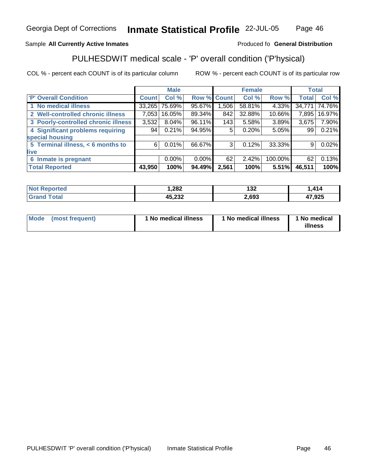**Total Reported 43,950 100% 94.49% 2,561 100% 5.51% 46,511 100%** 

6

 33,265 7,053 3,532 94

| ,282             | 132<br>___ | 414 |
|------------------|------------|-----|
| AE 727<br>NJ.ZJZ | 2.693      | המי |

| <b>Mode</b><br>(most frequent) | 1 No medical illness | ' No medical illness | 1 No medical<br>illness |
|--------------------------------|----------------------|----------------------|-------------------------|
|--------------------------------|----------------------|----------------------|-------------------------|

#### Georgia Dept of Corrections **Inmate Statistical Profile** 22-JUL-05 Page

 75.69% 16.05% 8.04% 0.21%

**'P' Overall Condition Count Col % Row % Count Col % Row % Total Col %** 

0.01%

0.00%

### Sample **All Currently Active Inmates** Produced fo **General Distribution**

 **2 Well-controlled chronic illness 3 Poorly-controlled chronic illness 4 Significant problems requiring**

 **5 Terminal illness, < 6 months to**

 **1 No medical illness**

 **6 Inmate is pregnant**

**special housing**

**live**

## PULHESDWIT medical scale - 'P' overall condition ('P'hysical)

 95.67% 89.34% 96.11% 94.95%

 58.81% 32.88% 5.58% 0.20%

**Male Female Total**

0.12%

2.42%

3

62

66.67%

0.00%

COL % - percent each COUNT is of its particular column ROW % - percent each COUNT is of its particular row

 4.33% 10.66% 3.89% 5.05%

33.33%

100.00%

 34,771 7,895 3,675 99

 74.76% 16.97% 7.90% 0.21%

0.02%

0.13%

9

62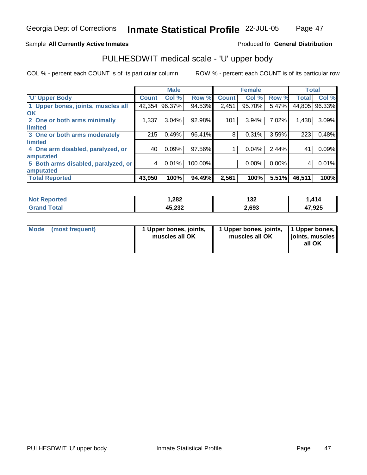#### **Inmate Statistical Profile** 22-JUL-05 Page Page 47

## Sample All Currently Active Inmates **All and Science Interval Control of Active Inmates** Produced fo General Distribution

## PULHESDWIT medical scale - 'U' upper body

|                                     |              | <b>Male</b> |         |              | <b>Female</b> |       | <b>Total</b> |        |
|-------------------------------------|--------------|-------------|---------|--------------|---------------|-------|--------------|--------|
| <b>U' Upper Body</b>                | <b>Count</b> | Col %       | Row %   | <b>Count</b> | Col %         | Row % | <b>Total</b> | Col %  |
| 1 Upper bones, joints, muscles all  | 42,354       | 96.37%      | 94.53%  | 2,451        | 95.70%        | 5.47% | 44,805       | 96.33% |
| <b>OK</b>                           |              |             |         |              |               |       |              |        |
| 2 One or both arms minimally        | 1,337        | 3.04%       | 92.98%  | 101          | 3.94%         | 7.02% | 1,438        | 3.09%  |
| <b>limited</b>                      |              |             |         |              |               |       |              |        |
| 3 One or both arms moderately       | 215          | 0.49%       | 96.41%  | 8            | 0.31%         | 3.59% | 223          | 0.48%  |
| <b>limited</b>                      |              |             |         |              |               |       |              |        |
| 4 One arm disabled, paralyzed, or   | 40           | 0.09%       | 97.56%  |              | 0.04%         | 2.44% | 41           | 0.09%  |
| amputated                           |              |             |         |              |               |       |              |        |
| 5 Both arms disabled, paralyzed, or | 4            | $0.01\%$    | 100.00% |              | $0.00\%$      | 0.00% | 4            | 0.01%  |
| amputated                           |              |             |         |              |               |       |              |        |
| <b>Total Reported</b>               | 43,950       | 100%        | 94.49%  | 2,561        | 100%          | 5.51% | 46,511       | 100%   |

| Not I<br><b>rted</b> | 282. ا | ィクク<br>IJZ | ,414   |
|----------------------|--------|------------|--------|
|                      | 45,232 | 2,693      | 17,925 |

| <b>Mode</b><br>(most frequent)<br>1 Upper bones, joints,<br>muscles all OK | 1 Upper bones, joints, 11 Upper bones,<br>muscles all OK | joints, muscles<br>all OK |
|----------------------------------------------------------------------------|----------------------------------------------------------|---------------------------|
|----------------------------------------------------------------------------|----------------------------------------------------------|---------------------------|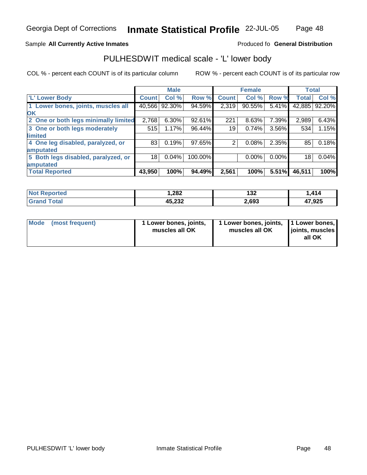## **Inmate Statistical Profile** 22-JUL-05 Page

## Page 48

## Sample All Currently Active Inmates **All and Science Interval Control of Active Inmates** Produced fo General Distribution

## PULHESDWIT medical scale - 'L' lower body

|                                      |                 | <b>Male</b>     |         |              | <b>Female</b> |          | <b>Total</b> |        |
|--------------------------------------|-----------------|-----------------|---------|--------------|---------------|----------|--------------|--------|
| 'L' Lower Body                       | Count!          | Col %           | Row %   | <b>Count</b> | Col%          | Row %    | <b>Total</b> | Col %  |
| 1 Lower bones, joints, muscles all   |                 | 40,566   92.30% | 94.59%  | 2,319        | 90.55%        | 5.41%    | 42,885       | 92.20% |
| <b>OK</b>                            |                 |                 |         |              |               |          |              |        |
| 2 One or both legs minimally limited | 2,768           | 6.30%           | 92.61%  | 221          | 8.63%         | 7.39%    | 2,989        | 6.43%  |
| 3 One or both legs moderately        | 515             | 1.17%           | 96.44%  | 19           | 0.74%         | 3.56%    | 534          | 1.15%  |
| limited                              |                 |                 |         |              |               |          |              |        |
| 4 One leg disabled, paralyzed, or    | 83              | 0.19%           | 97.65%  |              | 0.08%         | 2.35%    | 85           | 0.18%  |
| amputated                            |                 |                 |         |              |               |          |              |        |
| 5 Both legs disabled, paralyzed, or  | 18 <sub>1</sub> | 0.04%           | 100.00% |              | $0.00\%$      | $0.00\%$ | 18           | 0.04%  |
| amputated                            |                 |                 |         |              |               |          |              |        |
| <b>Total Reported</b>                | 43,950          | 100%            | 94.49%  | 2,561        | 100%          | 5.51%    | 46,511       | 100%   |

| Not <b>N</b><br>Reported | 282, ا | 132   | ,414   |
|--------------------------|--------|-------|--------|
|                          | 45,232 | 2,693 | 47,925 |

| Mode (most frequent) | 1 Lower bones, joints,<br>muscles all OK | 1 Lower bones, joints, 1 Lower bones,<br>muscles all OK | joints, muscles  <br>all OK |
|----------------------|------------------------------------------|---------------------------------------------------------|-----------------------------|
|                      |                                          |                                                         |                             |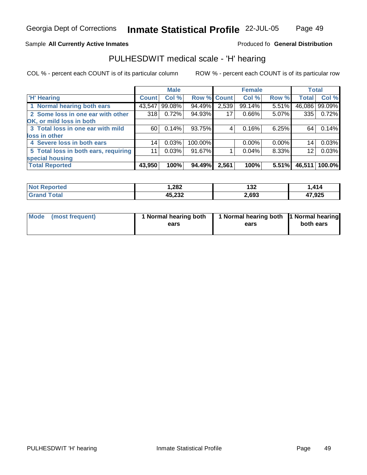**Inmate Statistical Profile** 22-JUL-05 Page Page 49

## Sample All Currently Active Inmates **All and Science Interval Control of Active Inmates** Produced fo General Distribution

## PULHESDWIT medical scale - 'H' hearing

|                                      |              | <b>Male</b> |             |       | <b>Female</b> |          | <b>Total</b>    |        |
|--------------------------------------|--------------|-------------|-------------|-------|---------------|----------|-----------------|--------|
| <b>H' Hearing</b>                    | <b>Count</b> | Col %       | Row % Count |       | Col %         | Row %    | <b>Total</b>    | Col %  |
| 1 Normal hearing both ears           | 43,547       | 99.08%      | 94.49%      | 2,539 | 99.14%        | 5.51%    | 46,086          | 99.09% |
| 2 Some loss in one ear with other    | 318          | 0.72%       | 94.93%      | 17    | $0.66\%$      | $5.07\%$ | 335             | 0.72%  |
| OK, or mild loss in both             |              |             |             |       |               |          |                 |        |
| 3 Total loss in one ear with mild    | 60           | 0.14%       | 93.75%      | 4     | 0.16%         | 6.25%    | 64              | 0.14%  |
| loss in other                        |              |             |             |       |               |          |                 |        |
| 4 Severe loss in both ears           | 14           | 0.03%       | 100.00%     |       | $0.00\%$      | $0.00\%$ | 14              | 0.03%  |
| 5 Total loss in both ears, requiring | 11           | 0.03%       | 91.67%      |       | 0.04%         | 8.33%    | 12 <sub>1</sub> | 0.03%  |
| special housing                      |              |             |             |       |               |          |                 |        |
| <b>Total Reported</b>                | 43,950       | 100%        | 94.49%      | 2,561 | 100%          | 5.51%    | 46,511          | 100.0% |

| <b>Not</b><br>Reported | 1,282            | 132   | $\overline{414}$<br>.414 |
|------------------------|------------------|-------|--------------------------|
|                        | המה זו<br>ےں _ … | 2,693 | 17,925                   |

| Mode (most frequent) | 1 Normal hearing both | 1 Normal hearing both 1 Normal hearing |           |
|----------------------|-----------------------|----------------------------------------|-----------|
|                      | ears                  | ears                                   | both ears |
|                      |                       |                                        |           |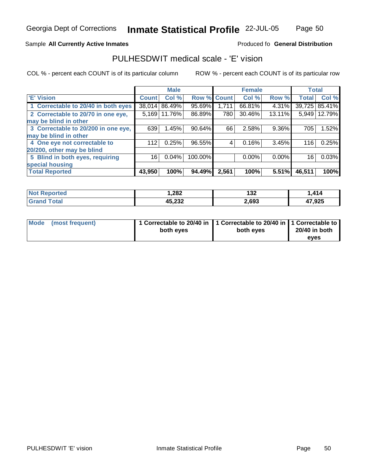## **Inmate Statistical Profile** 22-JUL-05 Page

Page 50

## Sample All Currently Active Inmates **All and Science Interval Control of Active Inmates** Produced fo General Distribution

## PULHESDWIT medical scale - 'E' vision

|                                     |              | <b>Male</b> |         |             | <b>Female</b> |          | <b>Total</b> |               |
|-------------------------------------|--------------|-------------|---------|-------------|---------------|----------|--------------|---------------|
| <b>E' Vision</b>                    | <b>Count</b> | Col %       |         | Row % Count | Col %         | Row %    | <b>Total</b> | Col %         |
| 1 Correctable to 20/40 in both eyes | 38,014       | 86.49%      | 95.69%  | 1,711       | 66.81%        | 4.31%    |              | 39,725 85.41% |
| 2 Correctable to 20/70 in one eye,  | 5,169        | 11.76%      | 86.89%  | 780         | 30.46%        | 13.11%   | 5,949        | 12.79%        |
| may be blind in other               |              |             |         |             |               |          |              |               |
| 3 Correctable to 20/200 in one eye, | 639          | 1.45%       | 90.64%  | 66          | 2.58%         | 9.36%    | 705          | 1.52%         |
| may be blind in other               |              |             |         |             |               |          |              |               |
| 4 One eye not correctable to        | 112          | 0.25%       | 96.55%  | 4           | 0.16%         | 3.45%    | 116          | 0.25%         |
| 20/200, other may be blind          |              |             |         |             |               |          |              |               |
| 5 Blind in both eyes, requiring     | 16           | 0.04%       | 100.00% |             | $0.00\%$      | $0.00\%$ | 16           | 0.03%         |
| special housing                     |              |             |         |             |               |          |              |               |
| <b>Total Reported</b>               | 43,950       | 100%        | 94.49%  | 2,561       | 100%          | 5.51%    | 46,511       | 100%          |

| <b>Not</b><br><b>orted</b> | 1,282            | 132   | 414    |
|----------------------------|------------------|-------|--------|
| <b>⊺otal</b>               | ハベ つつつ<br>90.ZJZ | 2,693 | 47,925 |

| Mode (most frequent) | 1 Correctable to 20/40 in 1 Correctable to 20/40 in 1 Correctable to<br>both eyes | both eyes | 20/40 in both |
|----------------------|-----------------------------------------------------------------------------------|-----------|---------------|
|                      |                                                                                   |           | eves          |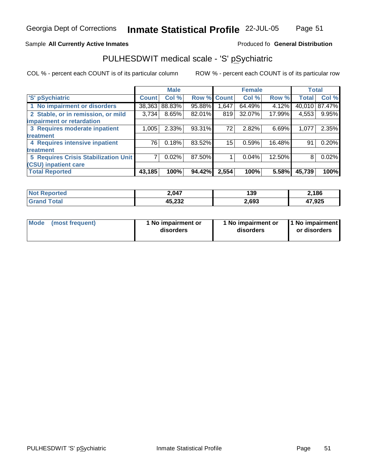#### **Inmate Statistical Profile** 22-JUL-05 Page Page 51

## Sample All Currently Active Inmates **All and Science Interval Control of Active Inmates** Produced fo General Distribution

## PULHESDWIT medical scale - 'S' pSychiatric

|                                      |              | <b>Male</b> |        |              | <b>Female</b> |        | <b>Total</b> |        |
|--------------------------------------|--------------|-------------|--------|--------------|---------------|--------|--------------|--------|
| 'S' pSychiatric                      | <b>Count</b> | Col %       | Row %  | <b>Count</b> | Col %         | Row %  | <b>Total</b> | Col %  |
| 1 No impairment or disorders         | 38,363       | 88.83%      | 95.88% | .647         | 64.49%        | 4.12%  | 40,010       | 87.47% |
| 2 Stable, or in remission, or mild   | 3,734        | 8.65%       | 82.01% | 819          | 32.07%        | 17.99% | 4,553        | 9.95%  |
| impairment or retardation            |              |             |        |              |               |        |              |        |
| 3 Requires moderate inpatient        | 1,005        | $2.33\%$    | 93.31% | 72           | 2.82%         | 6.69%  | 1,077        | 2.35%  |
| treatment                            |              |             |        |              |               |        |              |        |
| 4 Requires intensive inpatient       | 76           | 0.18%       | 83.52% | 15           | 0.59%         | 16.48% | 91           | 0.20%  |
| treatment                            |              |             |        |              |               |        |              |        |
| 5 Requires Crisis Stabilization Unit |              | 0.02%       | 87.50% |              | 0.04%         | 12.50% | 8            | 0.02%  |
| <b>(CSU) inpatient care</b>          |              |             |        |              |               |        |              |        |
| <b>Total Reported</b>                | 43,185       | 100%        | 94.42% | 2,554        | 100%          | 5.58%  | 45,739       | 100%   |

| <b>Not</b><br><b>Reported</b> | 2,047            | 139   | 2,186  |
|-------------------------------|------------------|-------|--------|
| Total                         | ハベ つつつ<br>9J.ZJZ | 2,693 | 47,925 |

| <b>Mode</b>     | 1 No impairment or | 1 No impairment or | 1 No impairment |
|-----------------|--------------------|--------------------|-----------------|
| (most frequent) | disorders          | disorders          | or disorders    |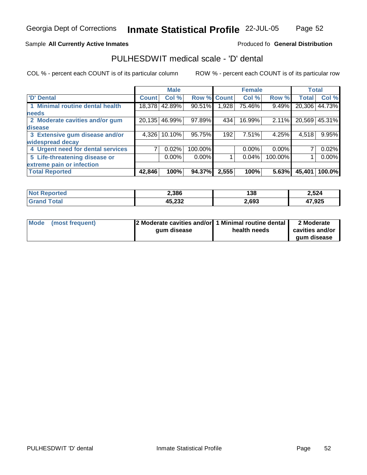## **Inmate Statistical Profile** 22-JUL-05 Page

Page 52

## Sample All Currently Active Inmates **All and Science Interval Control of Active Inmates** Produced fo General Distribution

## PULHESDWIT medical scale - 'D' dental

|                                   |              | <b>Male</b> |          |                    | <b>Female</b> |          | <b>Total</b>       |               |
|-----------------------------------|--------------|-------------|----------|--------------------|---------------|----------|--------------------|---------------|
| <b>D' Dental</b>                  | <b>Count</b> | Col %       |          | <b>Row % Count</b> | Col %         | Row %    | Total <sup>'</sup> | Col %         |
| Minimal routine dental health     | 18,378       | 42.89%      | 90.51%   | ,928               | 75.46%        | 9.49%    | 20,306             | 44.73%        |
| <b>needs</b>                      |              |             |          |                    |               |          |                    |               |
| 2 Moderate cavities and/or gum    | 20,135       | 46.99%      | 97.89%   | 434                | 16.99%        | 2.11%    |                    | 20,569 45.31% |
| disease                           |              |             |          |                    |               |          |                    |               |
| 3 Extensive gum disease and/or    | 4,326        | $10.10\%$   | 95.75%   | 192                | 7.51%         | 4.25%    | 4,518              | 9.95%         |
| widespread decay                  |              |             |          |                    |               |          |                    |               |
| 4 Urgent need for dental services |              | 0.02%       | 100.00%  |                    | $0.00\%$      | $0.00\%$ | 7 <sub>1</sub>     | 0.02%         |
| 5 Life-threatening disease or     |              | $0.00\%$    | $0.00\%$ |                    | 0.04%         | 100.00%  |                    | $0.00\%$      |
| extreme pain or infection         |              |             |          |                    |               |          |                    |               |
| <b>Total Reported</b>             | 42,846       | 100%        | 94.37%   | 2,555              | 100%          | 5.63%    | 45,401             | 100.0%        |

| <b>Not</b><br><b>Reported</b> | 2,386                   | 138   | 2,524  |
|-------------------------------|-------------------------|-------|--------|
| Total                         | <b>A5 232</b><br>90.ZJZ | 2,693 | 47,925 |

| Mode (most frequent) | [2 Moderate cavities and/or] 1 Minimal routine dental<br>qum disease | health needs | 2 Moderate<br>cavities and/or |
|----------------------|----------------------------------------------------------------------|--------------|-------------------------------|
|                      |                                                                      |              | gum disease                   |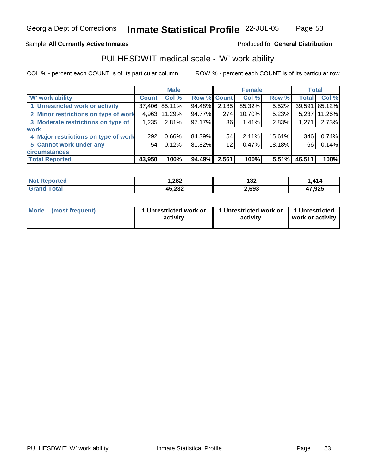## **Inmate Statistical Profile** 22-JUL-05 Page

## Page 53

## Sample All Currently Active Inmates **All and Science Interval Control of Active Inmates** Produced fo General Distribution

## PULHESDWIT medical scale - 'W' work ability

|                                      |              | <b>Male</b>     |             |                   | <b>Female</b> |          | <b>Total</b> |        |
|--------------------------------------|--------------|-----------------|-------------|-------------------|---------------|----------|--------------|--------|
| W' work ability                      | <b>Count</b> | Col %           | Row % Count |                   | Col %         | Row %    | <b>Total</b> | Col %  |
| 1 Unrestricted work or activity      |              | 37,406   85.11% | 94.48%      | 2,185             | 85.32%        | 5.52%    | 39,591       | 85.12% |
| 2 Minor restrictions on type of work | 4,963        | 11.29%          | 94.77%      | 274               | 10.70%        | $5.23\%$ | 5,237        | 11.26% |
| 3 Moderate restrictions on type of   | 1,235        | 2.81%           | 97.17%      | 36                | 1.41%         | 2.83%    | 1,271        | 2.73%  |
| <b>work</b>                          |              |                 |             |                   |               |          |              |        |
| 4 Major restrictions on type of work | 292          | $0.66\%$        | 84.39%      | 54                | 2.11%         | 15.61%   | 346          | 0.74%  |
| 5 Cannot work under any              | 54           | 0.12%           | 81.82%      | $12 \overline{ }$ | 0.47%         | 18.18%   | 66           | 0.14%  |
| <b>circumstances</b>                 |              |                 |             |                   |               |          |              |        |
| <b>Total Reported</b>                | 43,950       | 100%            | 94.49%      | 2,561             | 100%          | 5.51%    | 46,511       | 100%   |

| <b>ported</b><br>NO | 282, ا           | 132   | 414    |
|---------------------|------------------|-------|--------|
| ⊺otaì<br>Grar       | ハベ つつつ<br>7J.LJZ | 2,693 | 47,925 |

| Mode (most frequent) | 1 Unrestricted work or<br>activity | 1 Unrestricted work or   1 Unrestricted<br>activity | work or activity |
|----------------------|------------------------------------|-----------------------------------------------------|------------------|
|                      |                                    |                                                     |                  |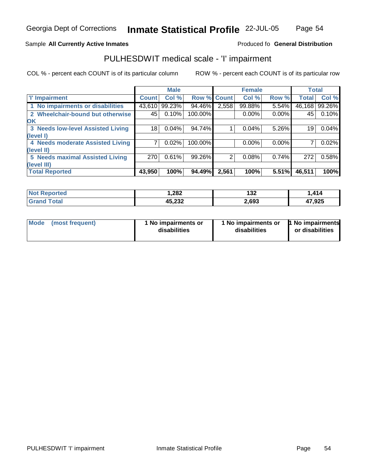**Inmate Statistical Profile** 22-JUL-05 Page Page 54

## Sample All Currently Active Inmates **All and Science Interval Control of Active Inmates** Produced fo General Distribution

## PULHESDWIT medical scale - 'I' impairment

|                                   |              | <b>Male</b> |         |             | <b>Female</b> |          | <b>Total</b>   |        |
|-----------------------------------|--------------|-------------|---------|-------------|---------------|----------|----------------|--------|
| <b>T' Impairment</b>              | <b>Count</b> | Col %       |         | Row % Count | Col %         | Row %    | <b>Total</b>   | Col %  |
| 1 No impairments or disabilities  | 43.610       | 99.23%      | 94.46%  | 2,558       | 99.88%        | 5.54%    | 46,168         | 99.26% |
| 2 Wheelchair-bound but otherwise  | 45           | 0.10%       | 100.00% |             | $0.00\%$      | $0.00\%$ | 45             | 0.10%  |
| <b>OK</b>                         |              |             |         |             |               |          |                |        |
| 3 Needs low-level Assisted Living | 18           | 0.04%       | 94.74%  |             | 0.04%         | 5.26%    | 19             | 0.04%  |
| (level I)                         |              |             |         |             |               |          |                |        |
| 4 Needs moderate Assisted Living  |              | 0.02%       | 100.00% |             | $0.00\%$      | $0.00\%$ | 7 <sub>1</sub> | 0.02%  |
| (level II)                        |              |             |         |             |               |          |                |        |
| 5 Needs maximal Assisted Living   | 270          | 0.61%       | 99.26%  | 2           | 0.08%         | 0.74%    | 272            | 0.58%  |
| (level III)                       |              |             |         |             |               |          |                |        |
| <b>Total Reported</b>             | 43,950       | 100%        | 94.49%  | 2,561       | 100%          | 5.51%    | 46,511         | 100%   |

| <b>Not R</b><br>Reported | 1,282            | 132   | ,414   |
|--------------------------|------------------|-------|--------|
| <b>Total</b>             | ハト つつつ<br>NJ.ZJZ | 2,693 | 47,925 |

| <b>Mode</b>     | 1 No impairments or | I No impairments or | 1 No impairments |
|-----------------|---------------------|---------------------|------------------|
| (most frequent) | disabilities        | disabilities        | or disabilities  |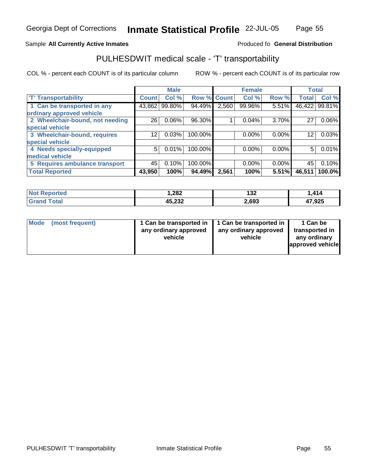#### **Inmate Statistical Profile** 22-JUL-05 Page Page 55

## Sample All Currently Active Inmates **All and Science Interval Control of Active Inmates** Produced fo General Distribution

## PULHESDWIT medical scale - 'T' transportability

|                                 |              | <b>Male</b> |             |       | <b>Female</b> |          | <b>Total</b> |                 |
|---------------------------------|--------------|-------------|-------------|-------|---------------|----------|--------------|-----------------|
| <b>T' Transportability</b>      | <b>Count</b> | Col %       | Row % Count |       | Col %         | Row %    | <b>Total</b> | Col %           |
| 1 Can be transported in any     | 43,862       | 99.80%      | 94.49%      | 2,560 | 99.96%        | 5.51%    |              | 46,422   99.81% |
| ordinary approved vehicle       |              |             |             |       |               |          |              |                 |
| 2 Wheelchair-bound, not needing | 26           | $0.06\%$    | 96.30%      |       | 0.04%         | 3.70%    | 27           | 0.06%           |
| special vehicle                 |              |             |             |       |               |          |              |                 |
| 3 Wheelchair-bound, requires    | 12           | 0.03%       | 100.00%     |       | $0.00\%$      | $0.00\%$ | 12           | 0.03%           |
| special vehicle                 |              |             |             |       |               |          |              |                 |
| 4 Needs specially-equipped      | 5            | 0.01%       | 100.00%     |       | $0.00\%$      | $0.00\%$ | 5            | 0.01%           |
| medical vehicle                 |              |             |             |       |               |          |              |                 |
| 5 Requires ambulance transport  | 45           | 0.10%       | 100.00%     |       | $0.00\%$      | $0.00\%$ | 45           | 0.10%           |
| <b>Total Reported</b>           | 43,950       | 100%        | 94.49%      | 2,561 | 100%          | 5.51%    | 46,511       | 100.0%          |

| <b>Not R</b><br>Reported | 1,282            | 132   | ,414   |
|--------------------------|------------------|-------|--------|
| <b>Total</b>             | ハト つつつ<br>NJ.ZJZ | 2,693 | 47,925 |

| <b>Mode</b><br>(most frequent) | 1 Can be transported in   1 Can be transported in<br>any ordinary approved<br>vehicle | any ordinary approved<br>vehicle | 1 Can be<br>transported in<br>any ordinary<br>approved vehicle |
|--------------------------------|---------------------------------------------------------------------------------------|----------------------------------|----------------------------------------------------------------|
|--------------------------------|---------------------------------------------------------------------------------------|----------------------------------|----------------------------------------------------------------|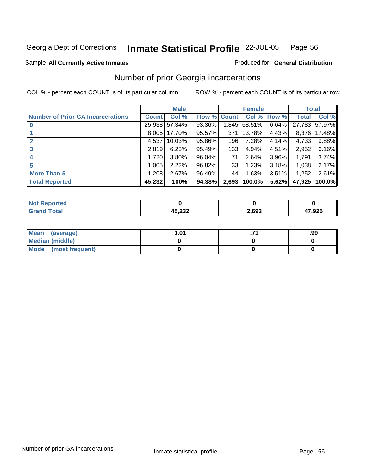### Sample All Currently Active Inmates **All Currently Active Inmates Produced for General Distribution**

## Number of prior Georgia incarcerations

|                                          |              | <b>Male</b> |                    |                  | <b>Female</b> |          | <b>Total</b> |        |
|------------------------------------------|--------------|-------------|--------------------|------------------|---------------|----------|--------------|--------|
| <b>Number of Prior GA Incarcerations</b> | <b>Count</b> | Col %       | <b>Row % Count</b> |                  | Col %         | Row %    | <b>Total</b> | Col %  |
|                                          | 25,938       | 57.34%      | 93.36%             | 1,845            | 68.51%        | 6.64%    | 27,783       | 57.97% |
|                                          | 8,005        | 17.70%      | 95.57%             | 371              | 13.78%        | 4.43%    | 8.376        | 17.48% |
| 2                                        | 4,537        | 10.03%      | 95.86%             | 196 <sub>1</sub> | 7.28%         | 4.14%    | 4,733        | 9.88%  |
| 3                                        | 2.819        | 6.23%       | 95.49%             | 133              | 4.94%         | 4.51%    | 2,952        | 6.16%  |
|                                          | 1,720        | 3.80%       | 96.04%             | 71 <sup>1</sup>  | 2.64%         | $3.96\%$ | 1.791        | 3.74%  |
| 5                                        | 1,005        | 2.22%       | 96.82%             | 33               | 1.23%         | 3.18%    | 1,038        | 2.17%  |
| <b>More Than 5</b>                       | 1,208        | 2.67%       | 96.49%             | 44               | 1.63%         | 3.51%    | 1,252        | 2.61%  |
| <b>Total Reported</b>                    | 45,232       | 100%        | 94.38%             | 2,693            | 100.0%        | 5.62%    | 47,925       | 100.0% |

| N |                        |      |       |
|---|------------------------|------|-------|
|   | ההה הו<br><i>א</i> טא, | .693 | 7,925 |

| Mean (average)         | l .01 |  |  |  |
|------------------------|-------|--|--|--|
| <b>Median (middle)</b> |       |  |  |  |
| Mode (most frequent)   |       |  |  |  |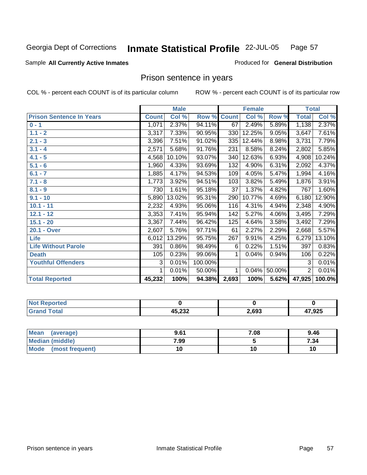**Inmate Statistical Profile** 22-JUL-05 Page 57

### Sample All Currently Active Inmates **All and Science Interval Control Control of Ceneral Distribution**

## Prison sentence in years

|                                 |              | <b>Male</b> |         |              | <b>Female</b> |        |                | <b>Total</b> |
|---------------------------------|--------------|-------------|---------|--------------|---------------|--------|----------------|--------------|
| <b>Prison Sentence In Years</b> | <b>Count</b> | Col %       | Row %   | <b>Count</b> | Col %         | Row %  | <b>Total</b>   | Col %        |
| $0 - 1$                         | 1,071        | 2.37%       | 94.11%  | 67           | 2.49%         | 5.89%  | 1,138          | 2.37%        |
| $1.1 - 2$                       | 3,317        | 7.33%       | 90.95%  | 330          | 12.25%        | 9.05%  | 3,647          | 7.61%        |
| $2.1 - 3$                       | 3,396        | 7.51%       | 91.02%  | 335          | 12.44%        | 8.98%  | 3,731          | 7.79%        |
| $3.1 - 4$                       | 2,571        | 5.68%       | 91.76%  | 231          | 8.58%         | 8.24%  | 2,802          | 5.85%        |
| $4.1 - 5$                       | 4,568        | 10.10%      | 93.07%  | 340          | 12.63%        | 6.93%  | 4,908          | 10.24%       |
| $5.1 - 6$                       | 1,960        | 4.33%       | 93.69%  | 132          | 4.90%         | 6.31%  | 2,092          | 4.37%        |
| $6.1 - 7$                       | 1,885        | 4.17%       | 94.53%  | 109          | 4.05%         | 5.47%  | 1,994          | 4.16%        |
| $7.1 - 8$                       | 1,773        | 3.92%       | 94.51%  | 103          | 3.82%         | 5.49%  | 1,876          | 3.91%        |
| $8.1 - 9$                       | 730          | 1.61%       | 95.18%  | 37           | 1.37%         | 4.82%  | 767            | 1.60%        |
| $9.1 - 10$                      | 5,890        | 13.02%      | 95.31%  | 290          | 10.77%        | 4.69%  | 6,180          | 12.90%       |
| $10.1 - 11$                     | 2,232        | 4.93%       | 95.06%  | 116          | 4.31%         | 4.94%  | 2,348          | 4.90%        |
| $12.1 - 12$                     | 3,353        | 7.41%       | 95.94%  | 142          | 5.27%         | 4.06%  | 3,495          | 7.29%        |
| $15.1 - 20$                     | 3,367        | 7.44%       | 96.42%  | 125          | 4.64%         | 3.58%  | 3,492          | 7.29%        |
| 20.1 - Over                     | 2,607        | 5.76%       | 97.71%  | 61           | 2.27%         | 2.29%  | 2,668          | 5.57%        |
| <b>Life</b>                     | 6,012        | 13.29%      | 95.75%  | 267          | 9.91%         | 4.25%  | 6,279          | 13.10%       |
| <b>Life Without Parole</b>      | 391          | 0.86%       | 98.49%  | 6            | 0.22%         | 1.51%  | 397            | 0.83%        |
| <b>Death</b>                    | 105          | 0.23%       | 99.06%  | 1            | 0.04%         | 0.94%  | 106            | 0.22%        |
| <b>Youthful Offenders</b>       | 3            | 0.01%       | 100.00% |              |               |        | 3              | 0.01%        |
|                                 | 1            | 0.01%       | 50.00%  | $\mathbf{1}$ | $0.04\%$      | 50.00% | $\overline{2}$ | 0.01%        |
| <b>Total Reported</b>           | 45,232       | 100%        | 94.38%  | 2,693        | 100%          | 5.62%  | 47,925         | 100.0%       |

| Reported              |        |       |        |
|-----------------------|--------|-------|--------|
| <b>Total</b><br>Crope | 45,232 | 2,693 | 47,925 |

| <b>Mean</b><br>(average) | 9.61 | 7.08 | 9.46 |
|--------------------------|------|------|------|
| Median (middle)          | 7.99 |      | 7.34 |
| Mode<br>(most frequent)  |      | 10   |      |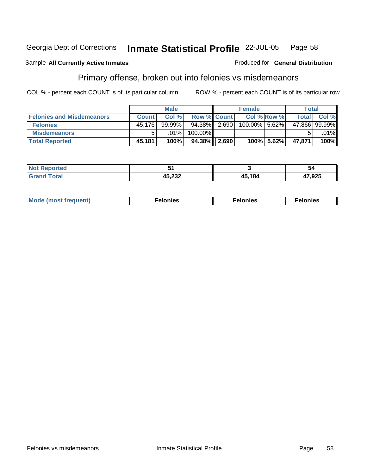### Sample All Currently Active Inmates **All Currently Active Inmates Produced for General Distribution**

## Primary offense, broken out into felonies vs misdemeanors

|                                  | <b>Male</b>  |           |                    | <b>Female</b> |               |             | Total  |               |
|----------------------------------|--------------|-----------|--------------------|---------------|---------------|-------------|--------|---------------|
| <b>Felonies and Misdemeanors</b> | <b>Count</b> | Col %     | <b>Row % Count</b> |               |               | Col % Row % | Total  | Col %         |
| <b>Felonies</b>                  | 45.176       | $99.99\%$ | 94.38%             | 2,690         | 100.00% 5.62% |             |        | 47,866 99.99% |
| <b>Misdemeanors</b>              | 5            | .01%      | 100.00%            |               |               |             |        | $.01\%$       |
| <b>Total Reported</b>            | 45,181       | 100%      | $94.38\%$          | 2,690         |               | 100% 5.62%  | 47.871 | 100%          |

| . .              |        | 54             |
|------------------|--------|----------------|
| 15 AMA<br>70,LJZ | 45,184 | אמה דו<br>,ນ∠ວ |

| Mode (most frequent) | Felonies | Felonies | elonies |
|----------------------|----------|----------|---------|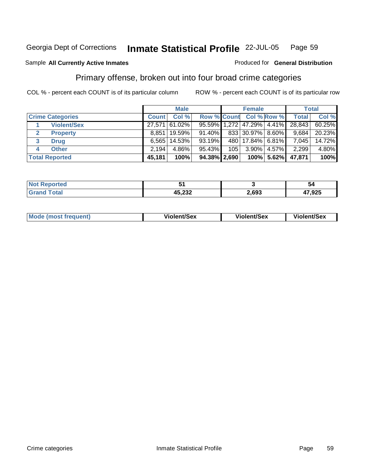### Sample All Currently Active Inmates **All Currently Active Inmates Produced for General Distribution**

## Primary offense, broken out into four broad crime categories

|                                 |              | <b>Male</b>   |                    |     | <b>Female</b>    |               |                                  | Total  |
|---------------------------------|--------------|---------------|--------------------|-----|------------------|---------------|----------------------------------|--------|
| <b>Crime Categories</b>         | <b>Count</b> | Col%          | <b>Row % Count</b> |     |                  | Col % Row %   | <b>Total</b>                     | Col %  |
| <b>Violent/Sex</b>              |              | 27,571 61.02% |                    |     |                  |               | 95.59% 1,272 47.29% 4.41% 28,843 | 60.25% |
| <b>Property</b><br>$\mathbf{2}$ | 8.851        | 19.59%        | 91.40%             |     | 833 30.97% 8.60% |               | 9,684                            | 20.23% |
| 3<br><b>Drug</b>                | 6.565        | 14.53%        | 93.19%             |     | 480 17.84% 6.81% |               | 7,045                            | 14.72% |
| <b>Other</b><br>4               | 2,194        | $4.86\%$      | 95.43%             | 105 | $3.90\%$         | 4.57%         | 2,299                            | 4.80%  |
| <b>Total Reported</b>           | 45.181       | 100%          | $94.38\%$ 2,690    |     |                  | $100\%$ 5.62% | 47.871                           | 100%   |

|               |      | -<br>э.       |
|---------------|------|---------------|
| ハト つつつ<br>ະບ∠ | .693 | הח דו<br>.JZJ |

|  | Mode (most frequent) | Violent/Sex | <b>Violent/Sex</b> | <b>Violent/Sex</b> |
|--|----------------------|-------------|--------------------|--------------------|
|--|----------------------|-------------|--------------------|--------------------|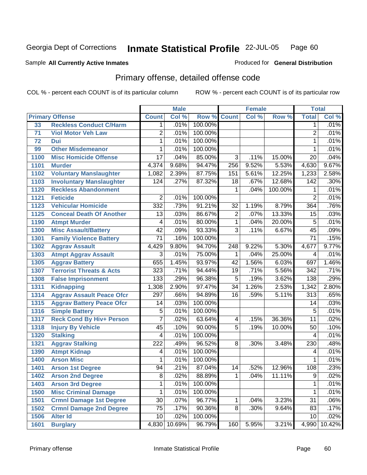### Sample All Currently Active Inmates **All and Science Interval Control Control of Ceneral Distribution**

## Primary offense, detailed offense code

|      |                                     |                         | <b>Male</b> |         |                         | <b>Female</b> |         |                  | <b>Total</b> |
|------|-------------------------------------|-------------------------|-------------|---------|-------------------------|---------------|---------|------------------|--------------|
|      | <b>Primary Offense</b>              | <b>Count</b>            | Col %       | Row %   | <b>Count</b>            | Col %         | Row %   | <b>Total</b>     | Col %        |
| 33   | <b>Reckless Conduct C/Harm</b>      | 1                       | .01%        | 100.00% |                         |               |         | 1                | .01%         |
| 71   | <b>Viol Motor Veh Law</b>           | $\overline{2}$          | .01%        | 100.00% |                         |               |         | $\overline{2}$   | .01%         |
| 72   | Dui                                 | $\overline{1}$          | .01%        | 100.00% |                         |               |         | 1                | .01%         |
| 99   | <b>Other Misdemeanor</b>            | 1                       | .01%        | 100.00% |                         |               |         | 1                | .01%         |
| 1100 | <b>Misc Homicide Offense</b>        | $\overline{17}$         | .04%        | 85.00%  | $\overline{3}$          | .11%          | 15.00%  | $\overline{20}$  | .04%         |
| 1101 | <b>Murder</b>                       | 4,374                   | 9.68%       | 94.47%  | 256                     | 9.52%         | 5.53%   | 4,630            | 9.67%        |
| 1102 | <b>Voluntary Manslaughter</b>       | 1,082                   | 2.39%       | 87.75%  | 151                     | 5.61%         | 12.25%  | 1,233            | 2.58%        |
| 1103 | <b>Involuntary Manslaughter</b>     | 124                     | .27%        | 87.32%  | 18                      | .67%          | 12.68%  | $\overline{142}$ | .30%         |
| 1120 | <b>Reckless Abandonment</b>         |                         |             |         | $\mathbf{1}$            | .04%          | 100.00% | 1                | .01%         |
| 1121 | <b>Feticide</b>                     | $\overline{2}$          | .01%        | 100.00% |                         |               |         | $\overline{2}$   | .01%         |
| 1123 | <b>Vehicular Homicide</b>           | 332                     | .73%        | 91.21%  | 32                      | 1.19%         | 8.79%   | 364              | .76%         |
| 1125 | <b>Conceal Death Of Another</b>     | 13                      | .03%        | 86.67%  | $\overline{2}$          | .07%          | 13.33%  | 15               | .03%         |
| 1190 | <b>Atmpt Murder</b>                 | $\overline{\mathbf{4}}$ | .01%        | 80.00%  | 1                       | .04%          | 20.00%  | 5                | .01%         |
| 1300 | <b>Misc Assault/Battery</b>         | $\overline{42}$         | .09%        | 93.33%  | 3                       | .11%          | 6.67%   | $\overline{45}$  | .09%         |
| 1301 | <b>Family Violence Battery</b>      | 71                      | .16%        | 100.00% |                         |               |         | $\overline{71}$  | .15%         |
| 1302 | <b>Aggrav Assault</b>               | 4,429                   | 9.80%       | 94.70%  | 248                     | 9.22%         | 5.30%   | 4,677            | 9.77%        |
| 1303 | <b>Atmpt Aggrav Assault</b>         | $\overline{3}$          | .01%        | 75.00%  | 1                       | .04%          | 25.00%  | 4                | .01%         |
| 1305 | <b>Aggrav Battery</b>               | 655                     | 1.45%       | 93.97%  | 42                      | 1.56%         | 6.03%   | 697              | 1.46%        |
| 1307 | <b>Terrorist Threats &amp; Acts</b> | 323                     | .71%        | 94.44%  | $\overline{19}$         | .71%          | 5.56%   | 342              | .71%         |
| 1308 | <b>False Imprisonment</b>           | 133                     | .29%        | 96.38%  | $\overline{5}$          | .19%          | 3.62%   | 138              | .29%         |
| 1311 | <b>Kidnapping</b>                   | 1,308                   | 2.90%       | 97.47%  | $\overline{34}$         | 1.26%         | 2.53%   | 1,342            | 2.80%        |
| 1314 | <b>Aggrav Assault Peace Ofcr</b>    | 297                     | .66%        | 94.89%  | 16                      | .59%          | 5.11%   | $\overline{313}$ | .65%         |
| 1315 | <b>Aggrav Battery Peace Ofcr</b>    | 14                      | .03%        | 100.00% |                         |               |         | $\overline{14}$  | .03%         |
| 1316 | <b>Simple Battery</b>               | $\overline{5}$          | .01%        | 100.00% |                         |               |         | 5                | .01%         |
| 1317 | <b>Reck Cond By Hiv+ Person</b>     | 7                       | .02%        | 63.64%  | $\overline{\mathbf{4}}$ | .15%          | 36.36%  | $\overline{11}$  | .02%         |
| 1318 | <b>Injury By Vehicle</b>            | $\overline{45}$         | .10%        | 90.00%  | $\overline{5}$          | .19%          | 10.00%  | $\overline{50}$  | .10%         |
| 1320 | <b>Stalking</b>                     | 4                       | .01%        | 100.00% |                         |               |         | 4                | .01%         |
| 1321 | <b>Aggrav Stalking</b>              | $\overline{222}$        | .49%        | 96.52%  | 8                       | .30%          | 3.48%   | 230              | .48%         |
| 1390 | <b>Atmpt Kidnap</b>                 | 4                       | .01%        | 100.00% |                         |               |         | 4                | .01%         |
| 1400 | <b>Arson Misc</b>                   | 1                       | .01%        | 100.00% |                         |               |         | 1                | .01%         |
| 1401 | <b>Arson 1st Degree</b>             | 94                      | .21%        | 87.04%  | 14                      | .52%          | 12.96%  | 108              | .23%         |
| 1402 | <b>Arson 2nd Degree</b>             | 8                       | .02%        | 88.89%  | $\mathbf{1}$            | .04%          | 11.11%  | 9                | .02%         |
| 1403 | <b>Arson 3rd Degree</b>             | 1                       | .01%        | 100.00% |                         |               |         | 1                | .01%         |
| 1500 | <b>Misc Criminal Damage</b>         | 1                       | .01%        | 100.00% |                         |               |         | 1                | .01%         |
| 1501 | <b>Crmnl Damage 1st Degree</b>      | 30                      | .07%        | 96.77%  | $\mathbf 1$             | .04%          | 3.23%   | 31               | .06%         |
| 1502 | <b>Crmnl Damage 2nd Degree</b>      | 75                      | .17%        | 90.36%  | 8                       | .30%          | 9.64%   | 83               | .17%         |
| 1506 | <b>Alter Id</b>                     | 10                      | .02%        | 100.00% |                         |               |         | 10               | .02%         |
| 1601 | <b>Burglary</b>                     | 4,830                   | 10.69%      | 96.79%  | 160                     | 5.95%         | 3.21%   | 4,990            | 10.42%       |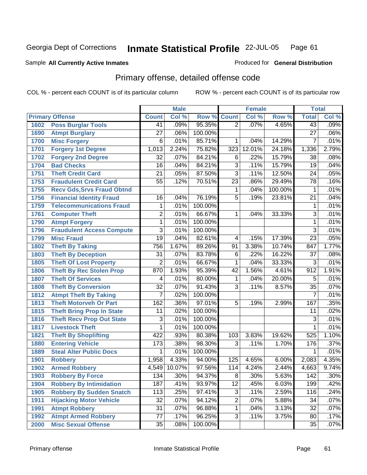## Sample All Currently Active Inmates **All Currently Active Inmates Produced for General Distribution**

## Primary offense, detailed offense code

|      |                                   |                 | <b>Male</b> |         |                 | <b>Female</b> |         | <b>Total</b>    |         |
|------|-----------------------------------|-----------------|-------------|---------|-----------------|---------------|---------|-----------------|---------|
|      | <b>Primary Offense</b>            | <b>Count</b>    | Col %       | Row %   | <b>Count</b>    | Col %         | Row %   | <b>Total</b>    | Col%    |
| 1602 | <b>Poss Burglar Tools</b>         | 41              | .09%        | 95.35%  | $\overline{2}$  | .07%          | 4.65%   | 43              | .09%    |
| 1690 | <b>Atmpt Burglary</b>             | $\overline{27}$ | .06%        | 100.00% |                 |               |         | $\overline{27}$ | .06%    |
| 1700 | <b>Misc Forgery</b>               | 6               | .01%        | 85.71%  | 1               | .04%          | 14.29%  | $\overline{7}$  | .01%    |
| 1701 | <b>Forgery 1st Degree</b>         | 1,013           | 2.24%       | 75.82%  | 323             | 12.01%        | 24.18%  | 1,336           | 2.79%   |
| 1702 | <b>Forgery 2nd Degree</b>         | $\overline{32}$ | .07%        | 84.21%  | $\overline{6}$  | .22%          | 15.79%  | $\overline{38}$ | .08%    |
| 1704 | <b>Bad Checks</b>                 | $\overline{16}$ | .04%        | 84.21%  | $\overline{3}$  | .11%          | 15.79%  | $\overline{19}$ | .04%    |
| 1751 | <b>Theft Credit Card</b>          | $\overline{21}$ | .05%        | 87.50%  | $\overline{3}$  | .11%          | 12.50%  | $\overline{24}$ | .05%    |
| 1753 | <b>Fraudulent Credit Card</b>     | $\overline{55}$ | .12%        | 70.51%  | $\overline{23}$ | .86%          | 29.49%  | $\overline{78}$ | .16%    |
| 1755 | <b>Recv Gds, Srvs Fraud Obtnd</b> |                 |             |         | 1               | .04%          | 100.00% | 1               | .01%    |
| 1756 | <b>Financial Identity Fraud</b>   | 16              | .04%        | 76.19%  | $\overline{5}$  | .19%          | 23.81%  | $\overline{21}$ | .04%    |
| 1759 | <b>Telecommunications Fraud</b>   | 1               | .01%        | 100.00% |                 |               |         | 1               | .01%    |
| 1761 | <b>Computer Theft</b>             | $\overline{2}$  | .01%        | 66.67%  | 1               | .04%          | 33.33%  | 3               | .01%    |
| 1790 | <b>Atmpt Forgery</b>              | $\mathbf{1}$    | .01%        | 100.00% |                 |               |         | 1               | .01%    |
| 1796 | <b>Fraudulent Access Compute</b>  | 3               | .01%        | 100.00% |                 |               |         | $\overline{3}$  | .01%    |
| 1799 | <b>Misc Fraud</b>                 | $\overline{19}$ | .04%        | 82.61%  | 4               | .15%          | 17.39%  | $\overline{23}$ | .05%    |
| 1802 | <b>Theft By Taking</b>            | 756             | 1.67%       | 89.26%  | 91              | 3.38%         | 10.74%  | 847             | 1.77%   |
| 1803 | <b>Theft By Deception</b>         | $\overline{31}$ | .07%        | 83.78%  | 6               | .22%          | 16.22%  | $\overline{37}$ | .08%    |
| 1805 | <b>Theft Of Lost Property</b>     | $\overline{2}$  | .01%        | 66.67%  | $\mathbf{1}$    | .04%          | 33.33%  | 3               | .01%    |
| 1806 | <b>Theft By Rec Stolen Prop</b>   | 870             | 1.93%       | 95.39%  | 42              | 1.56%         | 4.61%   | 912             | 1.91%   |
| 1807 | <b>Theft Of Services</b>          | 4               | .01%        | 80.00%  | 1               | .04%          | 20.00%  | 5               | .01%    |
| 1808 | <b>Theft By Conversion</b>        | $\overline{32}$ | .07%        | 91.43%  | 3               | .11%          | 8.57%   | $\overline{35}$ | .07%    |
| 1812 | <b>Atmpt Theft By Taking</b>      | $\overline{7}$  | .02%        | 100.00% |                 |               |         | 7               | .01%    |
| 1813 | <b>Theft Motorveh Or Part</b>     | 162             | .36%        | 97.01%  | 5               | .19%          | 2.99%   | 167             | .35%    |
| 1815 | <b>Theft Bring Prop In State</b>  | 11              | .02%        | 100.00% |                 |               |         | 11              | .02%    |
| 1816 | <b>Theft Recv Prop Out State</b>  | 3               | .01%        | 100.00% |                 |               |         | 3               | .01%    |
| 1817 | <b>Livestock Theft</b>            | 1               | .01%        | 100.00% |                 |               |         | 1               | .01%    |
| 1821 | <b>Theft By Shoplifting</b>       | 422             | .93%        | 80.38%  | 103             | 3.83%         | 19.62%  | 525             | 1.10%   |
| 1880 | <b>Entering Vehicle</b>           | 173             | .38%        | 98.30%  | 3               | .11%          | 1.70%   | 176             | .37%    |
| 1889 | <b>Steal Alter Public Docs</b>    | $\mathbf{1}$    | .01%        | 100.00% |                 |               |         | 1               | .01%    |
| 1901 | <b>Robbery</b>                    | 1,958           | 4.33%       | 94.00%  | 125             | 4.65%         | 6.00%   | 2,083           | 4.35%   |
| 1902 | <b>Armed Robbery</b>              | 4,549           | 10.07%      | 97.56%  | 114             | 4.24%         | 2.44%   | 4,663           | 9.74%   |
| 1903 | <b>Robbery By Force</b>           | 134             | .30%        | 94.37%  | 8               | .30%          | 5.63%   | 142             | $.30\%$ |
| 1904 | <b>Robbery By Intimidation</b>    | 187             | .41%        | 93.97%  | $\overline{12}$ | .45%          | 6.03%   | 199             | .42%    |
| 1905 | <b>Robbery By Sudden Snatch</b>   | 113             | .25%        | 97.41%  | 3               | .11%          | 2.59%   | 116             | .24%    |
| 1911 | <b>Hijacking Motor Vehicle</b>    | $\overline{32}$ | .07%        | 94.12%  | $\overline{2}$  | .07%          | 5.88%   | 34              | .07%    |
| 1991 | <b>Atmpt Robbery</b>              | $\overline{31}$ | .07%        | 96.88%  | 1               | .04%          | 3.13%   | $\overline{32}$ | .07%    |
| 1992 | <b>Atmpt Armed Robbery</b>        | $\overline{77}$ | .17%        | 96.25%  | $\overline{3}$  | .11%          | 3.75%   | 80              | .17%    |
| 2000 | <b>Misc Sexual Offense</b>        | $\overline{35}$ | .08%        | 100.00% |                 |               |         | $\overline{35}$ | .07%    |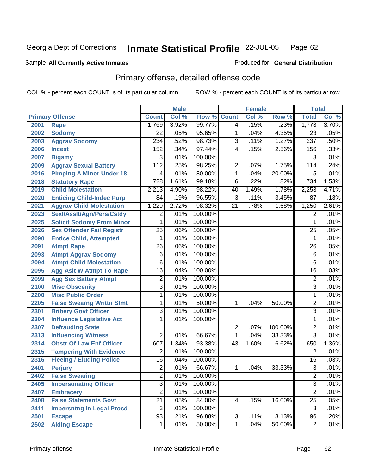### Sample All Currently Active Inmates **All Currently Active Inmates Produced for General Distribution**

## Primary offense, detailed offense code

|      |                                  |                  | <b>Male</b> |         |                 | <b>Female</b> |         | <b>Total</b>    |       |
|------|----------------------------------|------------------|-------------|---------|-----------------|---------------|---------|-----------------|-------|
|      | <b>Primary Offense</b>           | <b>Count</b>     | Col %       | Row %   | <b>Count</b>    | Col %         | Row %   | <b>Total</b>    | Col % |
| 2001 | <b>Rape</b>                      | 1,769            | 3.92%       | 99.77%  | 4               | .15%          | .23%    | 1,773           | 3.70% |
| 2002 | <b>Sodomy</b>                    | 22               | .05%        | 95.65%  | 1               | .04%          | 4.35%   | 23              | .05%  |
| 2003 | <b>Aggrav Sodomy</b>             | 234              | .52%        | 98.73%  | $\overline{3}$  | .11%          | 1.27%   | 237             | .50%  |
| 2006 | <b>Incest</b>                    | 152              | .34%        | 97.44%  | 4               | .15%          | 2.56%   | 156             | .33%  |
| 2007 | <b>Bigamy</b>                    | $\overline{3}$   | .01%        | 100.00% |                 |               |         | 3               | .01%  |
| 2009 | <b>Aggrav Sexual Battery</b>     | 112              | .25%        | 98.25%  | $\overline{2}$  | .07%          | 1.75%   | 114             | .24%  |
| 2016 | <b>Pimping A Minor Under 18</b>  | 4                | .01%        | 80.00%  | $\mathbf{1}$    | .04%          | 20.00%  | 5               | .01%  |
| 2018 | <b>Statutory Rape</b>            | $\overline{728}$ | 1.61%       | 99.18%  | 6               | .22%          | .82%    | 734             | 1.53% |
| 2019 | <b>Child Molestation</b>         | 2,213            | 4.90%       | 98.22%  | 40              | 1.49%         | 1.78%   | 2,253           | 4.71% |
| 2020 | <b>Enticing Child-Indec Purp</b> | 84               | .19%        | 96.55%  | 3               | .11%          | 3.45%   | 87              | .18%  |
| 2021 | <b>Aggrav Child Molestation</b>  | 1,229            | 2.72%       | 98.32%  | $\overline{21}$ | .78%          | 1.68%   | 1,250           | 2.61% |
| 2023 | Sexl/AssIt/Agn/Pers/Cstdy        | $\overline{2}$   | .01%        | 100.00% |                 |               |         | 2               | .01%  |
| 2025 | <b>Solicit Sodomy From Minor</b> | 1                | .01%        | 100.00% |                 |               |         | 1               | .01%  |
| 2026 | <b>Sex Offender Fail Registr</b> | $\overline{25}$  | .06%        | 100.00% |                 |               |         | $\overline{25}$ | .05%  |
| 2090 | <b>Entice Child, Attempted</b>   | 1                | .01%        | 100.00% |                 |               |         | 1               | .01%  |
| 2091 | <b>Atmpt Rape</b>                | $\overline{26}$  | .06%        | 100.00% |                 |               |         | $\overline{26}$ | .05%  |
| 2093 | <b>Atmpt Aggrav Sodomy</b>       | 6                | .01%        | 100.00% |                 |               |         | $\overline{6}$  | .01%  |
| 2094 | <b>Atmpt Child Molestation</b>   | 6                | .01%        | 100.00% |                 |               |         | $\overline{6}$  | .01%  |
| 2095 | <b>Agg Aslt W Atmpt To Rape</b>  | 16               | .04%        | 100.00% |                 |               |         | $\overline{16}$ | .03%  |
| 2099 | <b>Agg Sex Battery Atmpt</b>     | $\overline{2}$   | .01%        | 100.00% |                 |               |         | $\overline{2}$  | .01%  |
| 2100 | <b>Misc Obscenity</b>            | $\overline{3}$   | .01%        | 100.00% |                 |               |         | 3               | .01%  |
| 2200 | <b>Misc Public Order</b>         | 1                | .01%        | 100.00% |                 |               |         | 1               | .01%  |
| 2205 | <b>False Swearng Writtn Stmt</b> | 1                | .01%        | 50.00%  | 1               | .04%          | 50.00%  | 2               | .01%  |
| 2301 | <b>Bribery Govt Officer</b>      | 3                | .01%        | 100.00% |                 |               |         | 3               | .01%  |
| 2304 | <b>Influence Legislative Act</b> | 1                | .01%        | 100.00% |                 |               |         | 1               | .01%  |
| 2307 | <b>Defrauding State</b>          |                  |             |         | 2               | .07%          | 100.00% | 2               | .01%  |
| 2313 | <b>Influencing Witness</b>       | $\overline{2}$   | .01%        | 66.67%  | 1               | .04%          | 33.33%  | $\overline{3}$  | .01%  |
| 2314 | <b>Obstr Of Law Enf Officer</b>  | 607              | 1.34%       | 93.38%  | 43              | 1.60%         | 6.62%   | 650             | 1.36% |
| 2315 | <b>Tampering With Evidence</b>   | $\overline{2}$   | .01%        | 100.00% |                 |               |         | $\overline{2}$  | .01%  |
| 2316 | <b>Fleeing / Eluding Police</b>  | 16               | .04%        | 100.00% |                 |               |         | $\overline{16}$ | .03%  |
| 2401 | <b>Perjury</b>                   | $\overline{2}$   | .01%        | 66.67%  | 1               | .04%          | 33.33%  | $\overline{3}$  | .01%  |
| 2402 | <b>False Swearing</b>            | $\overline{c}$   | .01%        | 100.00% |                 |               |         | $\overline{c}$  | .01%  |
| 2405 | <b>Impersonating Officer</b>     | $\overline{3}$   | .01%        | 100.00% |                 |               |         | $\overline{3}$  | .01%  |
| 2407 | <b>Embracery</b>                 | $\overline{2}$   | .01%        | 100.00% |                 |               |         | $\overline{2}$  | .01%  |
| 2408 | <b>False Statements Govt</b>     | $\overline{21}$  | .05%        | 84.00%  | 4               | .15%          | 16.00%  | $\overline{25}$ | .05%  |
| 2411 | <b>Impersntng In Legal Procd</b> | $\overline{3}$   | .01%        | 100.00% |                 |               |         | $\overline{3}$  | .01%  |
| 2501 | <b>Escape</b>                    | $\overline{93}$  | .21%        | 96.88%  | $\overline{3}$  | .11%          | 3.13%   | $\overline{96}$ | .20%  |
| 2502 | <b>Aiding Escape</b>             | $\mathbf{1}$     | .01%        | 50.00%  | $\mathbf{1}$    | .04%          | 50.00%  | $\overline{c}$  | .01%  |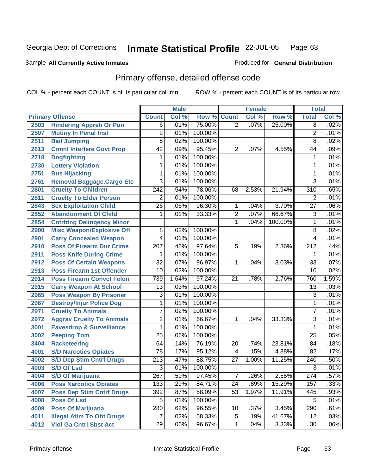### Sample All Currently Active Inmates **All and Science Interval Control Control of Ceneral Distribution**

## Primary offense, detailed offense code

|      |                                     |                  | <b>Male</b> |         |                 | <b>Female</b> |         | <b>Total</b>     |       |
|------|-------------------------------------|------------------|-------------|---------|-----------------|---------------|---------|------------------|-------|
|      | <b>Primary Offense</b>              | <b>Count</b>     | Col %       | Row %   | <b>Count</b>    | Col %         | Row %   | <b>Total</b>     | Col % |
| 2503 | <b>Hindering Appreh Or Pun</b>      | $\overline{6}$   | .01%        | 75.00%  | $\overline{2}$  | .07%          | 25.00%  | $\overline{8}$   | .02%  |
| 2507 | <b>Mutiny In Penal Inst</b>         | $\overline{2}$   | .01%        | 100.00% |                 |               |         | 2                | .01%  |
| 2511 | <b>Bail Jumping</b>                 | 8                | .02%        | 100.00% |                 |               |         | 8                | .02%  |
| 2613 | <b>Crmnl Interfere Govt Prop</b>    | $\overline{42}$  | .09%        | 95.45%  | $\overline{2}$  | .07%          | 4.55%   | 44               | .09%  |
| 2718 | <b>Dogfighting</b>                  | 1                | .01%        | 100.00% |                 |               |         | 1                | .01%  |
| 2730 | <b>Lottery Violation</b>            | 1                | .01%        | 100.00% |                 |               |         | 1                | .01%  |
| 2751 | <b>Bus Hijacking</b>                | 1                | .01%        | 100.00% |                 |               |         | 1                | .01%  |
| 2761 | Removal Baggage, Cargo Etc          | $\overline{3}$   | .01%        | 100.00% |                 |               |         | 3                | .01%  |
| 2801 | <b>Cruelty To Children</b>          | $\overline{242}$ | .54%        | 78.06%  | 68              | 2.53%         | 21.94%  | 310              | .65%  |
| 2811 | <b>Cruelty To Elder Person</b>      | $\overline{2}$   | .01%        | 100.00% |                 |               |         | $\overline{2}$   | .01%  |
| 2843 | <b>Sex Exploitation Child</b>       | $\overline{26}$  | .06%        | 96.30%  | 1               | .04%          | 3.70%   | $\overline{27}$  | .06%  |
| 2852 | <b>Abandonment Of Child</b>         | 1                | .01%        | 33.33%  | $\overline{2}$  | .07%          | 66.67%  | 3                | .01%  |
| 2854 | <b>Cntrbtng Delingency Minor</b>    |                  |             |         | 1               | .04%          | 100.00% | 1                | .01%  |
| 2900 | <b>Misc Weapon/Explosive Off</b>    | 8                | .02%        | 100.00% |                 |               |         | $\overline{8}$   | .02%  |
| 2901 | <b>Carry Concealed Weapon</b>       | 4                | .01%        | 100.00% |                 |               |         | 4                | .01%  |
| 2910 | <b>Poss Of Firearm Dur Crime</b>    | 207              | .46%        | 97.64%  | 5               | .19%          | 2.36%   | $\overline{212}$ | .44%  |
| 2911 | <b>Poss Knife During Crime</b>      | 1                | .01%        | 100.00% |                 |               |         | 1                | .01%  |
| 2912 | <b>Poss Of Certain Weapons</b>      | $\overline{32}$  | .07%        | 96.97%  | 1               | .04%          | 3.03%   | $\overline{33}$  | .07%  |
| 2913 | <b>Poss Firearm 1st Offender</b>    | $\overline{10}$  | .02%        | 100.00% |                 |               |         | $\overline{10}$  | .02%  |
| 2914 | <b>Poss Firearm Convct Felon</b>    | 739              | 1.64%       | 97.24%  | $\overline{21}$ | .78%          | 2.76%   | 760              | 1.59% |
| 2915 | <b>Carry Weapon At School</b>       | 13               | .03%        | 100.00% |                 |               |         | $\overline{13}$  | .03%  |
| 2965 | <b>Poss Weapon By Prisoner</b>      | 3                | .01%        | 100.00% |                 |               |         | 3                | .01%  |
| 2967 | <b>Destroy/Injur Police Dog</b>     | 1                | .01%        | 100.00% |                 |               |         | 1                | .01%  |
| 2971 | <b>Cruelty To Animals</b>           | 7                | .02%        | 100.00% |                 |               |         | 7                | .01%  |
| 2972 | <b>Aggrav Cruelty To Animals</b>    | $\overline{2}$   | .01%        | 66.67%  | 1               | .04%          | 33.33%  | $\overline{3}$   | .01%  |
| 3001 | <b>Eavesdrop &amp; Surveillance</b> | 1                | .01%        | 100.00% |                 |               |         | 1                | .01%  |
| 3002 | <b>Peeping Tom</b>                  | $\overline{25}$  | .06%        | 100.00% |                 |               |         | $\overline{25}$  | .05%  |
| 3404 | <b>Racketeering</b>                 | 64               | .14%        | 76.19%  | 20              | .74%          | 23.81%  | 84               | .18%  |
| 4001 | <b>S/D Narcotics Opiates</b>        | $\overline{78}$  | .17%        | 95.12%  | 4               | .15%          | 4.88%   | $\overline{82}$  | .17%  |
| 4002 | <b>S/D Dep Stim Cntrf Drugs</b>     | $\overline{213}$ | .47%        | 88.75%  | $\overline{27}$ | 1.00%         | 11.25%  | $\overline{240}$ | .50%  |
| 4003 | <b>S/D Of Lsd</b>                   | $\overline{3}$   | .01%        | 100.00% |                 |               |         | 3                | .01%  |
| 4004 | <b>S/D Of Marijuana</b>             | 267              | .59%        | 97.45%  | $\overline{7}$  | .26%          | 2.55%   | 274              | .57%  |
| 4006 | <b>Poss Narcotics Opiates</b>       | 133              | .29%        | 84.71%  | 24              | .89%          | 15.29%  | 157              | .33%  |
| 4007 | <b>Poss Dep Stim Cntrf Drugs</b>    | 392              | .87%        | 88.09%  | 53              | 1.97%         | 11.91%  | 445              | .93%  |
| 4008 | <b>Poss Of Lsd</b>                  | $\overline{5}$   | .01%        | 100.00% |                 |               |         | 5                | .01%  |
| 4009 | <b>Poss Of Marijuana</b>            | 280              | .62%        | 96.55%  | 10              | .37%          | 3.45%   | 290              | .61%  |
| 4011 | <b>Illegal Attm To Obt Drugs</b>    | $\overline{7}$   | .02%        | 58.33%  | $\overline{5}$  | .19%          | 41.67%  | $\overline{12}$  | .03%  |
| 4012 | <b>Viol Ga Cntrl Sbst Act</b>       | $\overline{29}$  | .06%        | 96.67%  | 1               | .04%          | 3.33%   | $\overline{30}$  | .06%  |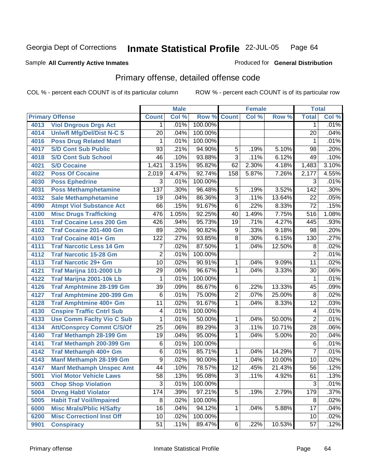### Sample All Currently Active Inmates **All and Science Interval Control Control of Ceneral Distribution**

## Primary offense, detailed offense code

|      |                                  |                 | <b>Male</b> |         |                 | <b>Female</b> |        | <b>Total</b>     |       |
|------|----------------------------------|-----------------|-------------|---------|-----------------|---------------|--------|------------------|-------|
|      | <b>Primary Offense</b>           | <b>Count</b>    | Col %       | Row %   | <b>Count</b>    | Col %         | Row %  | <b>Total</b>     | Col%  |
| 4013 | <b>Viol Dngrous Drgs Act</b>     | 1               | .01%        | 100.00% |                 |               |        | 1                | .01%  |
| 4014 | <b>Uniwfl Mfg/Del/Dist N-C S</b> | $\overline{20}$ | .04%        | 100.00% |                 |               |        | $\overline{20}$  | .04%  |
| 4016 | <b>Poss Drug Related Matri</b>   | 1               | .01%        | 100.00% |                 |               |        | 1                | .01%  |
| 4017 | <b>S/D Cont Sub Public</b>       | 93              | .21%        | 94.90%  | 5               | .19%          | 5.10%  | $\overline{98}$  | .20%  |
| 4018 | <b>S/D Cont Sub School</b>       | 46              | .10%        | 93.88%  | $\overline{3}$  | .11%          | 6.12%  | 49               | .10%  |
| 4021 | <b>S/D Cocaine</b>               | 1,421           | 3.15%       | 95.82%  | 62              | 2.30%         | 4.18%  | 1,483            | 3.10% |
| 4022 | <b>Poss Of Cocaine</b>           | 2,019           | 4.47%       | 92.74%  | 158             | 5.87%         | 7.26%  | 2,177            | 4.55% |
| 4030 | <b>Poss Ephedrine</b>            | 3               | .01%        | 100.00% |                 |               |        | 3                | .01%  |
| 4031 | <b>Poss Methamphetamine</b>      | 137             | .30%        | 96.48%  | 5               | .19%          | 3.52%  | $\overline{142}$ | .30%  |
| 4032 | <b>Sale Methamphetamine</b>      | 19              | .04%        | 86.36%  | $\overline{3}$  | .11%          | 13.64% | $\overline{22}$  | .05%  |
| 4090 | <b>Atmpt Viol Substance Act</b>  | 66              | .15%        | 91.67%  | $\overline{6}$  | .22%          | 8.33%  | $\overline{72}$  | .15%  |
| 4100 | <b>Misc Drugs Trafficking</b>    | 476             | 1.05%       | 92.25%  | 40              | 1.49%         | 7.75%  | 516              | 1.08% |
| 4101 | <b>Traf Cocaine Less 200 Gm</b>  | 426             | .94%        | 95.73%  | $\overline{19}$ | .71%          | 4.27%  | 445              | .93%  |
| 4102 | Traf Cocaine 201-400 Gm          | 89              | .20%        | 90.82%  | 9               | .33%          | 9.18%  | $\overline{98}$  | .20%  |
| 4103 | <b>Traf Cocaine 401+ Gm</b>      | 122             | .27%        | 93.85%  | $\overline{8}$  | .30%          | 6.15%  | 130              | .27%  |
| 4111 | <b>Traf Narcotic Less 14 Gm</b>  | 7               | .02%        | 87.50%  | 1               | .04%          | 12.50% | 8                | .02%  |
| 4112 | <b>Traf Narcotic 15-28 Gm</b>    | $\overline{2}$  | .01%        | 100.00% |                 |               |        | $\overline{2}$   | .01%  |
| 4113 | <b>Traf Narcotic 29+ Gm</b>      | $\overline{10}$ | .02%        | 90.91%  | 1               | .04%          | 9.09%  | $\overline{11}$  | .02%  |
| 4121 | Traf Marijna 101-2000 Lb         | 29              | .06%        | 96.67%  | 1               | .04%          | 3.33%  | $\overline{30}$  | .06%  |
| 4122 | Traf Marijna 2001-10k Lb         | 1               | .01%        | 100.00% |                 |               |        | 1                | .01%  |
| 4126 | <b>Traf Amphtmine 28-199 Gm</b>  | $\overline{39}$ | .09%        | 86.67%  | $\overline{6}$  | .22%          | 13.33% | $\overline{45}$  | .09%  |
| 4127 | <b>Traf Amphtmine 200-399 Gm</b> | $\overline{6}$  | .01%        | 75.00%  | $\overline{2}$  | .07%          | 25.00% | $\overline{8}$   | .02%  |
| 4128 | Traf Amphtmine 400+ Gm           | $\overline{11}$ | .02%        | 91.67%  | $\mathbf{1}$    | .04%          | 8.33%  | $\overline{12}$  | .03%  |
| 4130 | <b>Cnspire Traffic Cntrl Sub</b> | 4               | .01%        | 100.00% |                 |               |        | 4                | .01%  |
| 4133 | <b>Use Comm Facity Vio C Sub</b> | 1               | .01%        | 50.00%  | 1               | .04%          | 50.00% | $\overline{2}$   | .01%  |
| 4134 | <b>Att/Consprcy Commt C/S/Of</b> | $\overline{25}$ | .06%        | 89.29%  | $\overline{3}$  | .11%          | 10.71% | $\overline{28}$  | .06%  |
| 4140 | <b>Traf Methamph 28-199 Gm</b>   | $\overline{19}$ | .04%        | 95.00%  | 1               | .04%          | 5.00%  | $\overline{20}$  | .04%  |
| 4141 | Traf Methamph 200-399 Gm         | 6               | .01%        | 100.00% |                 |               |        | 6                | .01%  |
| 4142 | Traf Methamph 400+ Gm            | $\overline{6}$  | .01%        | 85.71%  | 1               | .04%          | 14.29% | 7                | .01%  |
| 4143 | Manf Methamph 28-199 Gm          | 9               | .02%        | 90.00%  | $\mathbf{1}$    | .04%          | 10.00% | $\overline{10}$  | .02%  |
| 4147 | <b>Manf Methamph Unspec Amt</b>  | 44              | .10%        | 78.57%  | $\overline{12}$ | .45%          | 21.43% | $\overline{56}$  | .12%  |
| 5001 | <b>Viol Motor Vehicle Laws</b>   | 58              | .13%        | 95.08%  | 3               | .11%          | 4.92%  | 61               | .13%  |
| 5003 | <b>Chop Shop Violation</b>       | $\overline{3}$  | .01%        | 100.00% |                 |               |        | 3                | .01%  |
| 5004 | <b>Drvng Habtl Violator</b>      | 174             | .39%        | 97.21%  | 5               | .19%          | 2.79%  | 179              | .37%  |
| 5005 | <b>Habit Traf Voil/Impaired</b>  | 8               | .02%        | 100.00% |                 |               |        | 8                | .02%  |
| 6000 | <b>Misc Mrals/Pblic H/Safty</b>  | 16              | .04%        | 94.12%  | $\mathbf{1}$    | .04%          | 5.88%  | 17               | .04%  |
| 6200 | <b>Misc CorrectionI Inst Off</b> | 10              | .02%        | 100.00% |                 |               |        | 10               | .02%  |
| 9901 | <b>Conspiracy</b>                | 51              | .11%        | 89.47%  | 6               | .22%          | 10.53% | 57               | .12%  |